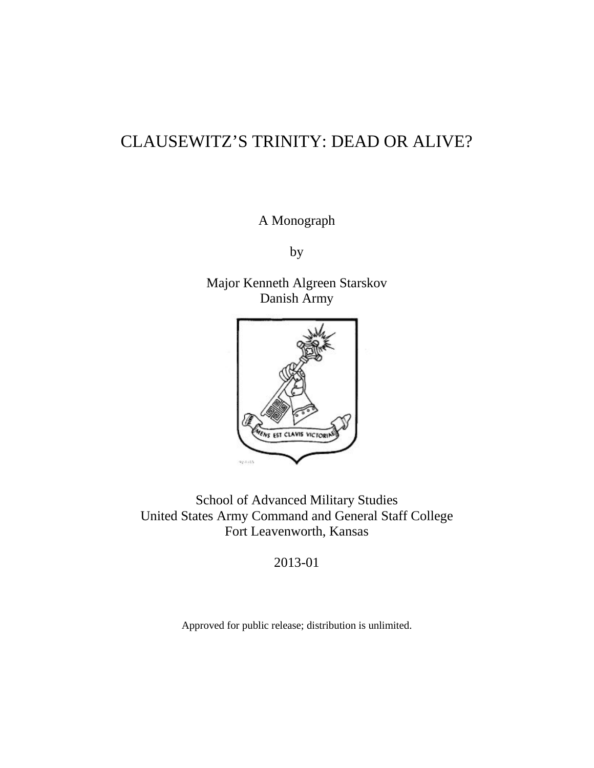# CLAUSEWITZ'S TRINITY: DEAD OR ALIVE?

A Monograph

by

Major Kenneth Algreen Starskov Danish Army



School of Advanced Military Studies United States Army Command and General Staff College Fort Leavenworth, Kansas

2013-01

Approved for public release; distribution is unlimited.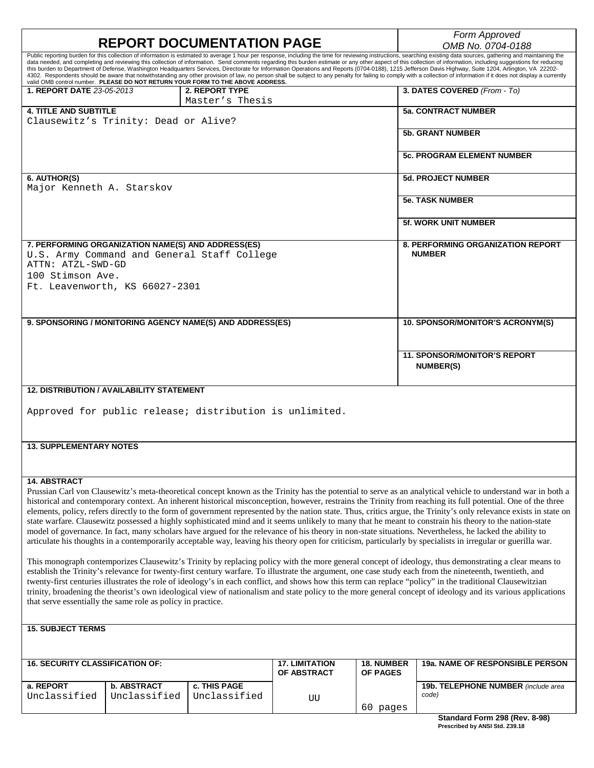|                                                                                                                                                                                                                                                                                                                         |                                                                                                                                                              |                                                                                |                                      |                               | Form Approved                                                                                                                                                                                                                                                                                                                                                                                                                    |  |  |
|-------------------------------------------------------------------------------------------------------------------------------------------------------------------------------------------------------------------------------------------------------------------------------------------------------------------------|--------------------------------------------------------------------------------------------------------------------------------------------------------------|--------------------------------------------------------------------------------|--------------------------------------|-------------------------------|----------------------------------------------------------------------------------------------------------------------------------------------------------------------------------------------------------------------------------------------------------------------------------------------------------------------------------------------------------------------------------------------------------------------------------|--|--|
| <b>REPORT DOCUMENTATION PAGE</b><br>Public reporting burden for this collection of information is estimated to average 1 hour per response, including the time for reviewing instructions, searching existing data sources, gathering and maintaining the                                                               |                                                                                                                                                              |                                                                                |                                      |                               | OMB No. 0704-0188                                                                                                                                                                                                                                                                                                                                                                                                                |  |  |
|                                                                                                                                                                                                                                                                                                                         |                                                                                                                                                              |                                                                                |                                      |                               | data needed, and completing and reviewing this collection of information. Send comments regarding this burden estimate or any other aspect of this collection of information, including suggestions for reducing                                                                                                                                                                                                                 |  |  |
|                                                                                                                                                                                                                                                                                                                         |                                                                                                                                                              |                                                                                |                                      |                               | this burden to Department of Defense, Washington Headquarters Services, Directorate for Information Operations and Reports (0704-0188), 1215 Jefferson Davis Highway, Suite 1204, Arlington, VA 22202-<br>4302. Respondents should be aware that notwithstanding any other provision of law, no person shall be subject to any penalty for failing to comply with a collection of information if it does not display a currently |  |  |
|                                                                                                                                                                                                                                                                                                                         |                                                                                                                                                              | valid OMB control number. PLEASE DO NOT RETURN YOUR FORM TO THE ABOVE ADDRESS. |                                      |                               |                                                                                                                                                                                                                                                                                                                                                                                                                                  |  |  |
| <b>1. REPORT DATE 23-05-2013</b>                                                                                                                                                                                                                                                                                        |                                                                                                                                                              | 2. REPORT TYPE                                                                 |                                      |                               | 3. DATES COVERED (From - To)                                                                                                                                                                                                                                                                                                                                                                                                     |  |  |
|                                                                                                                                                                                                                                                                                                                         |                                                                                                                                                              | Master's Thesis                                                                |                                      |                               |                                                                                                                                                                                                                                                                                                                                                                                                                                  |  |  |
| <b>4. TITLE AND SUBTITLE</b>                                                                                                                                                                                                                                                                                            |                                                                                                                                                              |                                                                                |                                      |                               | <b>5a. CONTRACT NUMBER</b>                                                                                                                                                                                                                                                                                                                                                                                                       |  |  |
| Clausewitz's Trinity: Dead or Alive?                                                                                                                                                                                                                                                                                    |                                                                                                                                                              |                                                                                |                                      |                               |                                                                                                                                                                                                                                                                                                                                                                                                                                  |  |  |
|                                                                                                                                                                                                                                                                                                                         |                                                                                                                                                              |                                                                                |                                      |                               | <b>5b. GRANT NUMBER</b>                                                                                                                                                                                                                                                                                                                                                                                                          |  |  |
|                                                                                                                                                                                                                                                                                                                         |                                                                                                                                                              |                                                                                |                                      |                               |                                                                                                                                                                                                                                                                                                                                                                                                                                  |  |  |
|                                                                                                                                                                                                                                                                                                                         |                                                                                                                                                              |                                                                                |                                      |                               | <b>5c. PROGRAM ELEMENT NUMBER</b>                                                                                                                                                                                                                                                                                                                                                                                                |  |  |
|                                                                                                                                                                                                                                                                                                                         |                                                                                                                                                              |                                                                                |                                      |                               |                                                                                                                                                                                                                                                                                                                                                                                                                                  |  |  |
| 6. AUTHOR(S)                                                                                                                                                                                                                                                                                                            |                                                                                                                                                              |                                                                                |                                      |                               | <b>5d. PROJECT NUMBER</b>                                                                                                                                                                                                                                                                                                                                                                                                        |  |  |
| Major Kenneth A. Starskov                                                                                                                                                                                                                                                                                               |                                                                                                                                                              |                                                                                |                                      |                               |                                                                                                                                                                                                                                                                                                                                                                                                                                  |  |  |
|                                                                                                                                                                                                                                                                                                                         |                                                                                                                                                              |                                                                                |                                      |                               | <b>5e. TASK NUMBER</b>                                                                                                                                                                                                                                                                                                                                                                                                           |  |  |
|                                                                                                                                                                                                                                                                                                                         |                                                                                                                                                              |                                                                                |                                      |                               |                                                                                                                                                                                                                                                                                                                                                                                                                                  |  |  |
|                                                                                                                                                                                                                                                                                                                         |                                                                                                                                                              |                                                                                |                                      |                               | <b>5f. WORK UNIT NUMBER</b>                                                                                                                                                                                                                                                                                                                                                                                                      |  |  |
|                                                                                                                                                                                                                                                                                                                         |                                                                                                                                                              |                                                                                |                                      |                               |                                                                                                                                                                                                                                                                                                                                                                                                                                  |  |  |
| 7. PERFORMING ORGANIZATION NAME(S) AND ADDRESS(ES)                                                                                                                                                                                                                                                                      |                                                                                                                                                              |                                                                                |                                      |                               | 8. PERFORMING ORGANIZATION REPORT                                                                                                                                                                                                                                                                                                                                                                                                |  |  |
| U.S. Army Command and General Staff College                                                                                                                                                                                                                                                                             |                                                                                                                                                              |                                                                                |                                      |                               | <b>NUMBER</b>                                                                                                                                                                                                                                                                                                                                                                                                                    |  |  |
| ATTN: ATZL-SWD-GD                                                                                                                                                                                                                                                                                                       |                                                                                                                                                              |                                                                                |                                      |                               |                                                                                                                                                                                                                                                                                                                                                                                                                                  |  |  |
| 100 Stimson Ave.                                                                                                                                                                                                                                                                                                        |                                                                                                                                                              |                                                                                |                                      |                               |                                                                                                                                                                                                                                                                                                                                                                                                                                  |  |  |
| Ft. Leavenworth, KS 66027-2301                                                                                                                                                                                                                                                                                          |                                                                                                                                                              |                                                                                |                                      |                               |                                                                                                                                                                                                                                                                                                                                                                                                                                  |  |  |
|                                                                                                                                                                                                                                                                                                                         |                                                                                                                                                              |                                                                                |                                      |                               |                                                                                                                                                                                                                                                                                                                                                                                                                                  |  |  |
|                                                                                                                                                                                                                                                                                                                         |                                                                                                                                                              |                                                                                |                                      |                               |                                                                                                                                                                                                                                                                                                                                                                                                                                  |  |  |
|                                                                                                                                                                                                                                                                                                                         |                                                                                                                                                              | 9. SPONSORING / MONITORING AGENCY NAME(S) AND ADDRESS(ES)                      |                                      |                               | 10. SPONSOR/MONITOR'S ACRONYM(S)                                                                                                                                                                                                                                                                                                                                                                                                 |  |  |
|                                                                                                                                                                                                                                                                                                                         |                                                                                                                                                              |                                                                                |                                      |                               |                                                                                                                                                                                                                                                                                                                                                                                                                                  |  |  |
|                                                                                                                                                                                                                                                                                                                         |                                                                                                                                                              |                                                                                |                                      |                               |                                                                                                                                                                                                                                                                                                                                                                                                                                  |  |  |
|                                                                                                                                                                                                                                                                                                                         |                                                                                                                                                              |                                                                                |                                      |                               | <b>11. SPONSOR/MONITOR'S REPORT</b>                                                                                                                                                                                                                                                                                                                                                                                              |  |  |
|                                                                                                                                                                                                                                                                                                                         |                                                                                                                                                              |                                                                                |                                      |                               | <b>NUMBER(S)</b>                                                                                                                                                                                                                                                                                                                                                                                                                 |  |  |
|                                                                                                                                                                                                                                                                                                                         |                                                                                                                                                              |                                                                                |                                      |                               |                                                                                                                                                                                                                                                                                                                                                                                                                                  |  |  |
|                                                                                                                                                                                                                                                                                                                         | <b>12. DISTRIBUTION / AVAILABILITY STATEMENT</b>                                                                                                             |                                                                                |                                      |                               |                                                                                                                                                                                                                                                                                                                                                                                                                                  |  |  |
|                                                                                                                                                                                                                                                                                                                         |                                                                                                                                                              |                                                                                |                                      |                               |                                                                                                                                                                                                                                                                                                                                                                                                                                  |  |  |
|                                                                                                                                                                                                                                                                                                                         |                                                                                                                                                              | Approved for public release; distribution is unlimited.                        |                                      |                               |                                                                                                                                                                                                                                                                                                                                                                                                                                  |  |  |
|                                                                                                                                                                                                                                                                                                                         |                                                                                                                                                              |                                                                                |                                      |                               |                                                                                                                                                                                                                                                                                                                                                                                                                                  |  |  |
|                                                                                                                                                                                                                                                                                                                         |                                                                                                                                                              |                                                                                |                                      |                               |                                                                                                                                                                                                                                                                                                                                                                                                                                  |  |  |
| <b>13. SUPPLEMENTARY NOTES</b>                                                                                                                                                                                                                                                                                          |                                                                                                                                                              |                                                                                |                                      |                               |                                                                                                                                                                                                                                                                                                                                                                                                                                  |  |  |
|                                                                                                                                                                                                                                                                                                                         |                                                                                                                                                              |                                                                                |                                      |                               |                                                                                                                                                                                                                                                                                                                                                                                                                                  |  |  |
|                                                                                                                                                                                                                                                                                                                         |                                                                                                                                                              |                                                                                |                                      |                               |                                                                                                                                                                                                                                                                                                                                                                                                                                  |  |  |
|                                                                                                                                                                                                                                                                                                                         |                                                                                                                                                              |                                                                                |                                      |                               |                                                                                                                                                                                                                                                                                                                                                                                                                                  |  |  |
| 14. ABSTRACT                                                                                                                                                                                                                                                                                                            |                                                                                                                                                              |                                                                                |                                      |                               |                                                                                                                                                                                                                                                                                                                                                                                                                                  |  |  |
|                                                                                                                                                                                                                                                                                                                         |                                                                                                                                                              |                                                                                |                                      |                               | Prussian Carl von Clausewitz's meta-theoretical concept known as the Trinity has the potential to serve as an analytical vehicle to understand war in both a                                                                                                                                                                                                                                                                     |  |  |
|                                                                                                                                                                                                                                                                                                                         |                                                                                                                                                              |                                                                                |                                      |                               | historical and contemporary context. An inherent historical misconception, however, restrains the Trinity from reaching its full potential. One of the three<br>elements, policy, refers directly to the form of government represented by the nation state. Thus, critics argue, the Trinity's only relevance exists in state on                                                                                                |  |  |
|                                                                                                                                                                                                                                                                                                                         |                                                                                                                                                              |                                                                                |                                      |                               | state warfare. Clausewitz possessed a highly sophisticated mind and it seems unlikely to many that he meant to constrain his theory to the nation-state                                                                                                                                                                                                                                                                          |  |  |
|                                                                                                                                                                                                                                                                                                                         |                                                                                                                                                              |                                                                                |                                      |                               |                                                                                                                                                                                                                                                                                                                                                                                                                                  |  |  |
| model of governance. In fact, many scholars have argued for the relevance of his theory in non-state situations. Nevertheless, he lacked the ability to<br>articulate his thoughts in a contemporarily acceptable way, leaving his theory open for criticism, particularly by specialists in irregular or guerilla war. |                                                                                                                                                              |                                                                                |                                      |                               |                                                                                                                                                                                                                                                                                                                                                                                                                                  |  |  |
|                                                                                                                                                                                                                                                                                                                         |                                                                                                                                                              |                                                                                |                                      |                               |                                                                                                                                                                                                                                                                                                                                                                                                                                  |  |  |
|                                                                                                                                                                                                                                                                                                                         |                                                                                                                                                              |                                                                                |                                      |                               | This monograph contemporizes Clausewitz's Trinity by replacing policy with the more general concept of ideology, thus demonstrating a clear means to                                                                                                                                                                                                                                                                             |  |  |
|                                                                                                                                                                                                                                                                                                                         |                                                                                                                                                              |                                                                                |                                      |                               | establish the Trinity's relevance for twenty-first century warfare. To illustrate the argument, one case study each from the nineteenth, twentieth, and                                                                                                                                                                                                                                                                          |  |  |
| twenty-first centuries illustrates the role of ideology's in each conflict, and shows how this term can replace "policy" in the traditional Clausewitzian                                                                                                                                                               |                                                                                                                                                              |                                                                                |                                      |                               |                                                                                                                                                                                                                                                                                                                                                                                                                                  |  |  |
|                                                                                                                                                                                                                                                                                                                         | trinity, broadening the theorist's own ideological view of nationalism and state policy to the more general concept of ideology and its various applications |                                                                                |                                      |                               |                                                                                                                                                                                                                                                                                                                                                                                                                                  |  |  |
|                                                                                                                                                                                                                                                                                                                         | that serve essentially the same role as policy in practice.                                                                                                  |                                                                                |                                      |                               |                                                                                                                                                                                                                                                                                                                                                                                                                                  |  |  |
|                                                                                                                                                                                                                                                                                                                         |                                                                                                                                                              |                                                                                |                                      |                               |                                                                                                                                                                                                                                                                                                                                                                                                                                  |  |  |
| <b>15. SUBJECT TERMS</b>                                                                                                                                                                                                                                                                                                |                                                                                                                                                              |                                                                                |                                      |                               |                                                                                                                                                                                                                                                                                                                                                                                                                                  |  |  |
|                                                                                                                                                                                                                                                                                                                         |                                                                                                                                                              |                                                                                |                                      |                               |                                                                                                                                                                                                                                                                                                                                                                                                                                  |  |  |
|                                                                                                                                                                                                                                                                                                                         |                                                                                                                                                              |                                                                                |                                      |                               |                                                                                                                                                                                                                                                                                                                                                                                                                                  |  |  |
|                                                                                                                                                                                                                                                                                                                         |                                                                                                                                                              |                                                                                |                                      |                               |                                                                                                                                                                                                                                                                                                                                                                                                                                  |  |  |
| <b>16. SECURITY CLASSIFICATION OF:</b>                                                                                                                                                                                                                                                                                  |                                                                                                                                                              |                                                                                | <b>17. LIMITATION</b><br>OF ABSTRACT | 18. NUMBER<br><b>OF PAGES</b> | 19a. NAME OF RESPONSIBLE PERSON                                                                                                                                                                                                                                                                                                                                                                                                  |  |  |
|                                                                                                                                                                                                                                                                                                                         |                                                                                                                                                              |                                                                                |                                      |                               |                                                                                                                                                                                                                                                                                                                                                                                                                                  |  |  |
| a. REPORT                                                                                                                                                                                                                                                                                                               | <b>b. ABSTRACT</b>                                                                                                                                           | c. THIS PAGE                                                                   |                                      |                               | 19b. TELEPHONE NUMBER (include area<br>code)                                                                                                                                                                                                                                                                                                                                                                                     |  |  |
| Unclassified                                                                                                                                                                                                                                                                                                            | Unclassified                                                                                                                                                 | Unclassified                                                                   | UU                                   |                               |                                                                                                                                                                                                                                                                                                                                                                                                                                  |  |  |
|                                                                                                                                                                                                                                                                                                                         |                                                                                                                                                              |                                                                                |                                      | 60 pages                      |                                                                                                                                                                                                                                                                                                                                                                                                                                  |  |  |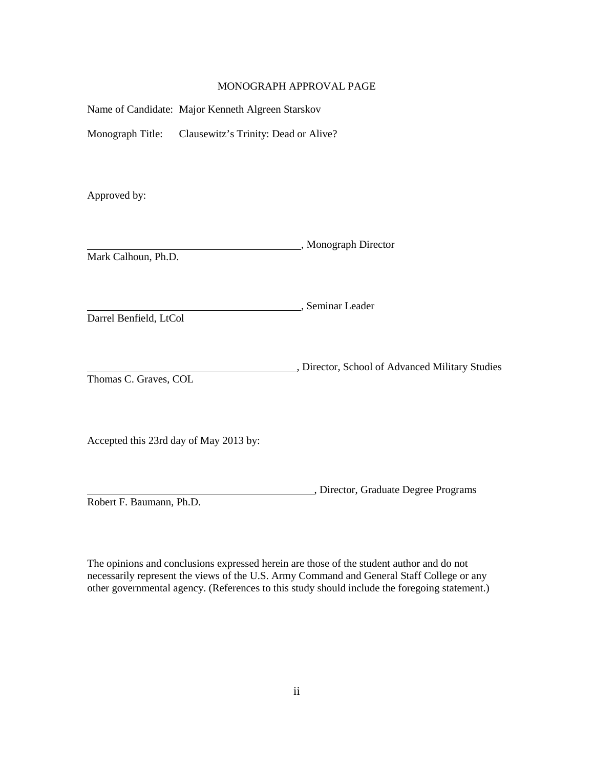# MONOGRAPH APPROVAL PAGE

| Name of Candidate: Major Kenneth Algreen Starskov        |                                                 |
|----------------------------------------------------------|-------------------------------------------------|
| Monograph Title:<br>Clausewitz's Trinity: Dead or Alive? |                                                 |
| Approved by:                                             |                                                 |
| Mark Calhoun, Ph.D.                                      | _, Monograph Director                           |
| Darrel Benfield, LtCol                                   | __, Seminar Leader                              |
| Thomas C. Graves, COL                                    | , Director, School of Advanced Military Studies |
| Accepted this 23rd day of May 2013 by:                   |                                                 |

Robert F. Baumann, Ph.D.

The opinions and conclusions expressed herein are those of the student author and do not necessarily represent the views of the U.S. Army Command and General Staff College or any other governmental agency. (References to this study should include the foregoing statement.)

, Director, Graduate Degree Programs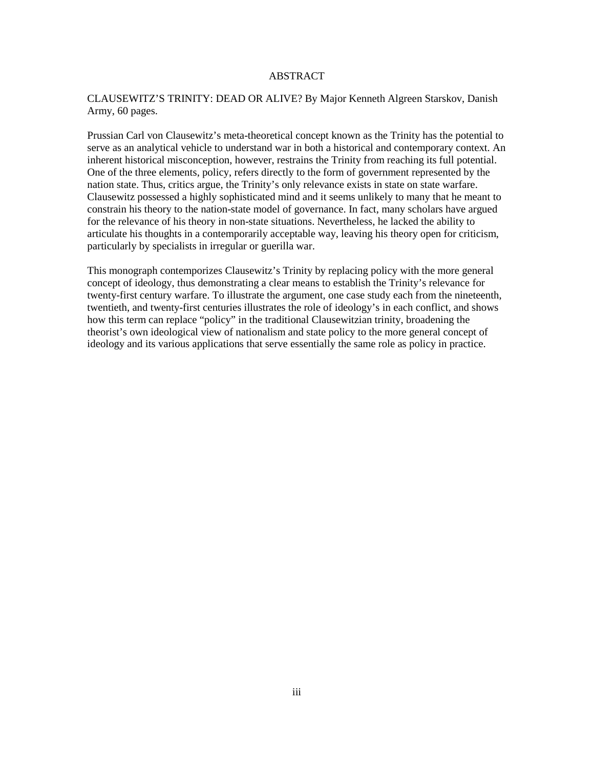# ABSTRACT

# CLAUSEWITZ'S TRINITY: DEAD OR ALIVE? By Major Kenneth Algreen Starskov, Danish Army, 60 pages.

Prussian Carl von Clausewitz's meta-theoretical concept known as the Trinity has the potential to serve as an analytical vehicle to understand war in both a historical and contemporary context. An inherent historical misconception, however, restrains the Trinity from reaching its full potential. One of the three elements, policy, refers directly to the form of government represented by the nation state. Thus, critics argue, the Trinity's only relevance exists in state on state warfare. Clausewitz possessed a highly sophisticated mind and it seems unlikely to many that he meant to constrain his theory to the nation-state model of governance. In fact, many scholars have argued for the relevance of his theory in non-state situations. Nevertheless, he lacked the ability to articulate his thoughts in a contemporarily acceptable way, leaving his theory open for criticism, particularly by specialists in irregular or guerilla war.

This monograph contemporizes Clausewitz's Trinity by replacing policy with the more general concept of ideology, thus demonstrating a clear means to establish the Trinity's relevance for twenty-first century warfare. To illustrate the argument, one case study each from the nineteenth, twentieth, and twenty-first centuries illustrates the role of ideology's in each conflict, and shows how this term can replace "policy" in the traditional Clausewitzian trinity, broadening the theorist's own ideological view of nationalism and state policy to the more general concept of ideology and its various applications that serve essentially the same role as policy in practice.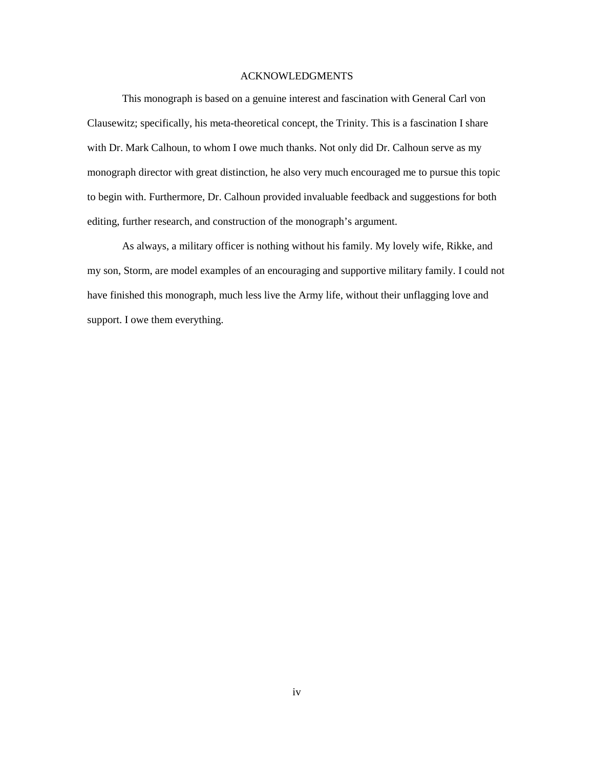# ACKNOWLEDGMENTS

This monograph is based on a genuine interest and fascination with General Carl von Clausewitz; specifically, his meta-theoretical concept, the Trinity. This is a fascination I share with Dr. Mark Calhoun, to whom I owe much thanks. Not only did Dr. Calhoun serve as my monograph director with great distinction, he also very much encouraged me to pursue this topic to begin with. Furthermore, Dr. Calhoun provided invaluable feedback and suggestions for both editing, further research, and construction of the monograph's argument.

As always, a military officer is nothing without his family. My lovely wife, Rikke, and my son, Storm, are model examples of an encouraging and supportive military family. I could not have finished this monograph, much less live the Army life, without their unflagging love and support. I owe them everything.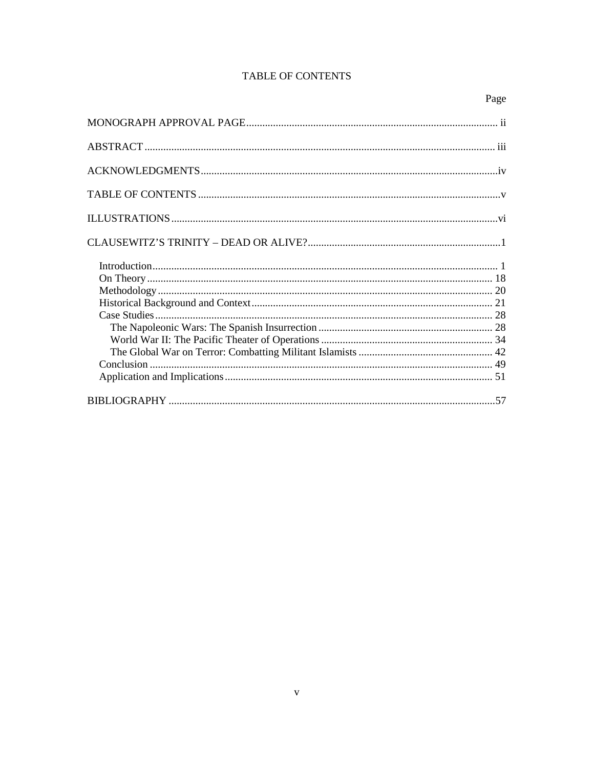# TABLE OF CONTENTS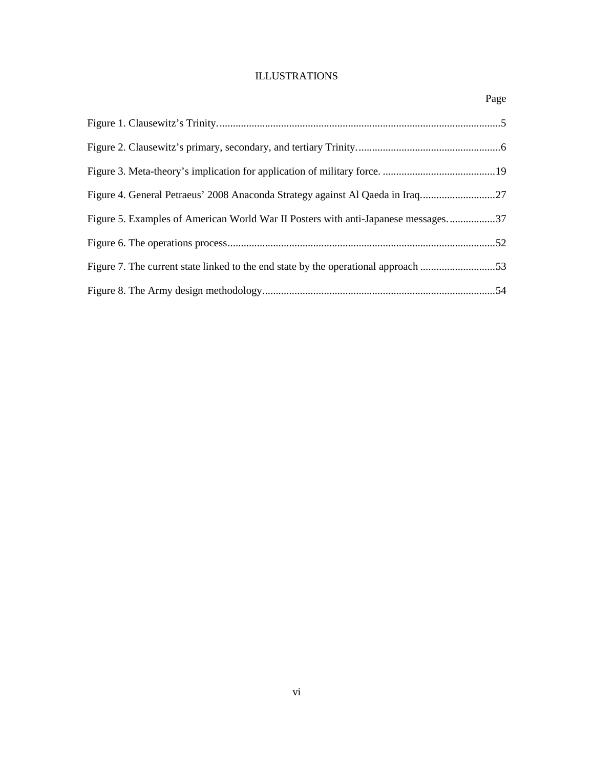# ILLUSTRATIONS

|                                                                                   | Page |
|-----------------------------------------------------------------------------------|------|
|                                                                                   |      |
|                                                                                   |      |
|                                                                                   |      |
| Figure 4. General Petraeus' 2008 Anaconda Strategy against Al Qaeda in Iraq27     |      |
| Figure 5. Examples of American World War II Posters with anti-Japanese messages37 |      |
|                                                                                   |      |
|                                                                                   |      |
|                                                                                   |      |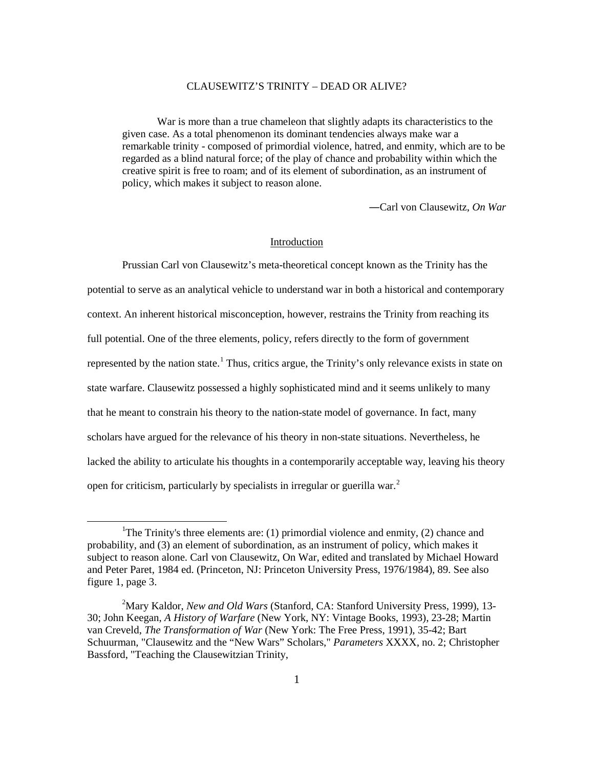## CLAUSEWITZ'S TRINITY – DEAD OR ALIVE?

War is more than a true chameleon that slightly adapts its characteristics to the given case. As a total phenomenon its dominant tendencies always make war a remarkable trinity - composed of primordial violence, hatred, and enmity, which are to be regarded as a blind natural force; of the play of chance and probability within which the creative spirit is free to roam; and of its element of subordination, as an instrument of policy, which makes it subject to reason alone.

―Carl von Clausewitz, *On War*

## Introduction

Prussian Carl von Clausewitz's meta-theoretical concept known as the Trinity has the potential to serve as an analytical vehicle to understand war in both a historical and contemporary context. An inherent historical misconception, however, restrains the Trinity from reaching its full potential. One of the three elements, policy, refers directly to the form of government represented by the nation state.<sup>1</sup> Thus, critics argue, the Trinity's only relevance exists in state on state warfare. Clausewitz possessed a highly sophisticated mind and it seems unlikely to many that he meant to constrain his theory to the nation-state model of governance. In fact, many scholars have argued for the relevance of his theory in non-state situations. Nevertheless, he lacked the ability to articulate his thoughts in a contemporarily acceptable way, leaving his theory open for criticism, particularly by specialists in irregular or guerilla war.<sup>2</sup>

<sup>&</sup>lt;sup>1</sup>The Trinity's three elements are: (1) primordial violence and enmity, (2) chance and probability, and (3) an element of subordination, as an instrument of policy, which makes it subject to reason alone. Carl von Clausewitz, On War, edited and translated by Michael Howard and Peter Paret, 1984 ed. (Princeton, NJ: Princeton University Press, 1976/1984), 89. See also figure 1, page 3.

<sup>2</sup> Mary Kaldor, *New and Old Wars* (Stanford, CA: Stanford University Press, 1999), 13- 30; John Keegan, *A History of Warfare* (New York, NY: Vintage Books, 1993), 23-28; Martin van Creveld, *The Transformation of War* (New York: The Free Press, 1991), 35-42; Bart Schuurman, "Clausewitz and the "New Wars" Scholars," *Parameters* XXXX, no. 2; Christopher Bassford, "Teaching the Clausewitzian Trinity,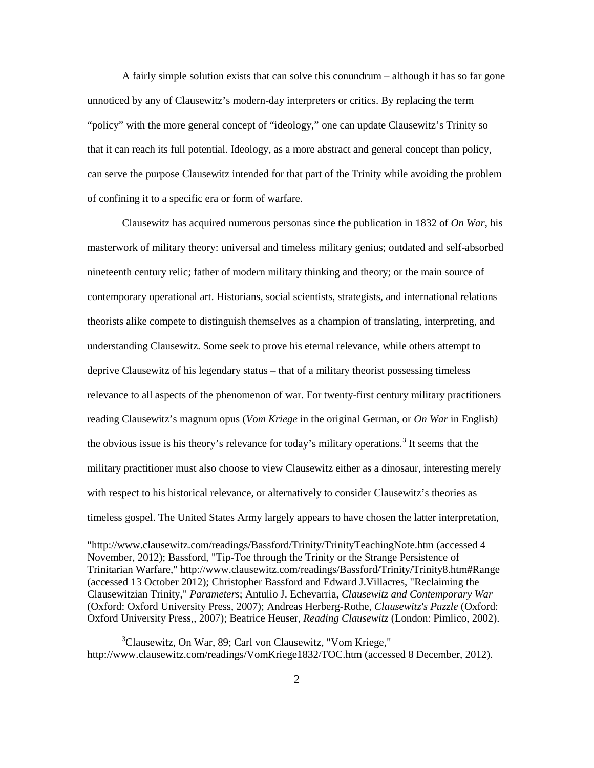A fairly simple solution exists that can solve this conundrum – although it has so far gone unnoticed by any of Clausewitz's modern-day interpreters or critics. By replacing the term "policy" with the more general concept of "ideology," one can update Clausewitz's Trinity so that it can reach its full potential. Ideology, as a more abstract and general concept than policy, can serve the purpose Clausewitz intended for that part of the Trinity while avoiding the problem of confining it to a specific era or form of warfare.

Clausewitz has acquired numerous personas since the publication in 1832 of *On War*, his masterwork of military theory: universal and timeless military genius; outdated and self-absorbed nineteenth century relic; father of modern military thinking and theory; or the main source of contemporary operational art. Historians, social scientists, strategists, and international relations theorists alike compete to distinguish themselves as a champion of translating, interpreting, and understanding Clausewitz. Some seek to prove his eternal relevance, while others attempt to deprive Clausewitz of his legendary status – that of a military theorist possessing timeless relevance to all aspects of the phenomenon of war. For twenty-first century military practitioners reading Clausewitz's magnum opus (*Vom Kriege* in the original German, or *On War* in English*)* the obvious issue is his theory's relevance for today's military operations.<sup>3</sup> It seems that the military practitioner must also choose to view Clausewitz either as a dinosaur, interesting merely with respect to his historical relevance, or alternatively to consider Clausewitz's theories as timeless gospel. The United States Army largely appears to have chosen the latter interpretation,

"http://www.clausewitz.com/readings/Bassford/Trinity/TrinityTeachingNote.htm (accessed 4 November, 2012); Bassford, "Tip-Toe through the Trinity or the Strange Persistence of Trinitarian Warfare," http://www.clausewitz.com/readings/Bassford/Trinity/Trinity8.htm#Range (accessed 13 October 2012); Christopher Bassford and Edward J.Villacres, "Reclaiming the Clausewitzian Trinity," *Parameters*; Antulio J. Echevarria, *Clausewitz and Contemporary War* (Oxford: Oxford University Press, 2007); Andreas Herberg-Rothe, *Clausewitz's Puzzle* (Oxford: Oxford University Press,, 2007); Beatrice Heuser, *Reading Clausewitz* (London: Pimlico, 2002).

 $\overline{a}$ 

3 Clausewitz, On War, 89; Carl von Clausewitz, "Vom Kriege," http://www.clausewitz.com/readings/VomKriege1832/TOC.htm (accessed 8 December, 2012).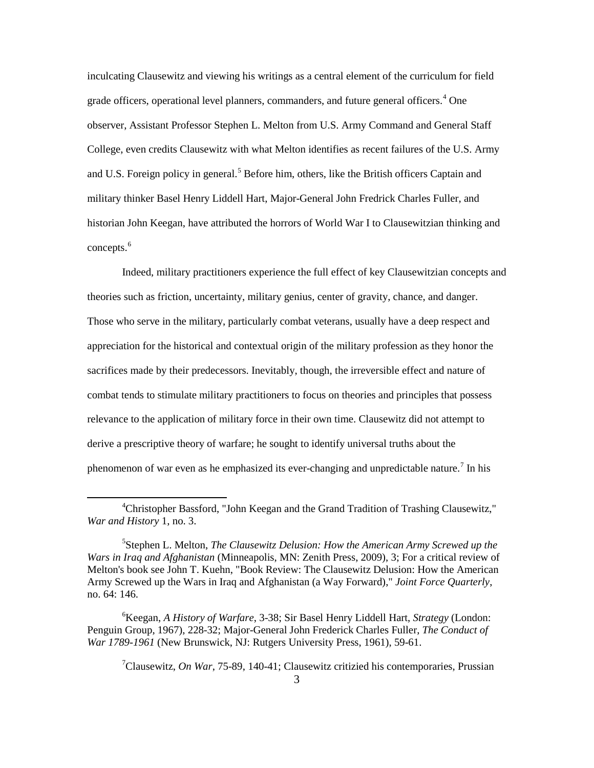inculcating Clausewitz and viewing his writings as a central element of the curriculum for field grade officers, operational level planners, commanders, and future general officers.<sup>4</sup> One observer, Assistant Professor Stephen L. Melton from U.S. Army Command and General Staff College, even credits Clausewitz with what Melton identifies as recent failures of the U.S. Army and U.S. Foreign policy in general.<sup>5</sup> Before him, others, like the British officers Captain and military thinker Basel Henry Liddell Hart, Major-General John Fredrick Charles Fuller, and historian John Keegan, have attributed the horrors of World War I to Clausewitzian thinking and concepts. $<sup>6</sup>$ </sup>

Indeed, military practitioners experience the full effect of key Clausewitzian concepts and theories such as friction, uncertainty, military genius, center of gravity, chance, and danger. Those who serve in the military, particularly combat veterans, usually have a deep respect and appreciation for the historical and contextual origin of the military profession as they honor the sacrifices made by their predecessors. Inevitably, though, the irreversible effect and nature of combat tends to stimulate military practitioners to focus on theories and principles that possess relevance to the application of military force in their own time. Clausewitz did not attempt to derive a prescriptive theory of warfare; he sought to identify universal truths about the phenomenon of war even as he emphasized its ever-changing and unpredictable nature.<sup>7</sup> In his

 $\ddot{\phantom{a}}$ 

7 Clausewitz, *On War*, 75-89, 140-41; Clausewitz critizied his contemporaries, Prussian

<sup>4</sup> Christopher Bassford, "John Keegan and the Grand Tradition of Trashing Clausewitz," *War and History* 1, no. 3.

<sup>5</sup> Stephen L. Melton, *The Clausewitz Delusion: How the American Army Screwed up the Wars in Iraq and Afghanistan* (Minneapolis, MN: Zenith Press, 2009), 3; For a critical review of Melton's book see John T. Kuehn, "Book Review: The Clausewitz Delusion: How the American Army Screwed up the Wars in Iraq and Afghanistan (a Way Forward)," *Joint Force Quarterly*, no. 64: 146.

<sup>6</sup> Keegan, *A History of Warfare*, 3-38; Sir Basel Henry Liddell Hart, *Strategy* (London: Penguin Group, 1967), 228-32; Major-General John Frederick Charles Fuller, *The Conduct of War 1789-1961* (New Brunswick, NJ: Rutgers University Press, 1961), 59-61.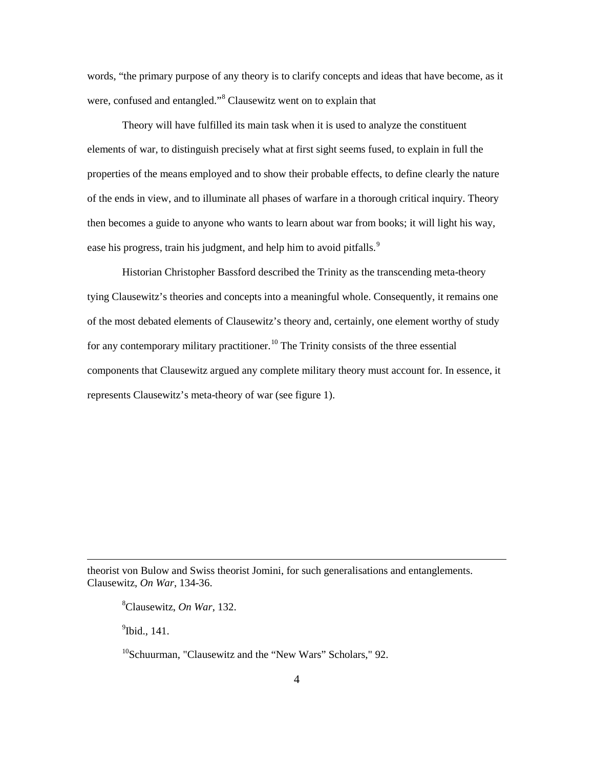words, "the primary purpose of any theory is to clarify concepts and ideas that have become, as it were, confused and entangled."<sup>8</sup> Clausewitz went on to explain that

Theory will have fulfilled its main task when it is used to analyze the constituent elements of war, to distinguish precisely what at first sight seems fused, to explain in full the properties of the means employed and to show their probable effects, to define clearly the nature of the ends in view, and to illuminate all phases of warfare in a thorough critical inquiry. Theory then becomes a guide to anyone who wants to learn about war from books; it will light his way, ease his progress, train his judgment, and help him to avoid pitfalls.<sup>9</sup>

Historian Christopher Bassford described the Trinity as the transcending meta-theory tying Clausewitz's theories and concepts into a meaningful whole. Consequently, it remains one of the most debated elements of Clausewitz's theory and, certainly, one element worthy of study for any contemporary military practitioner.<sup>10</sup> The Trinity consists of the three essential components that Clausewitz argued any complete military theory must account for. In essence, it represents Clausewitz's meta-theory of war (see figure 1).

theorist von Bulow and Swiss theorist Jomini, for such generalisations and entanglements. Clausewitz, *On War*, 134-36.

8 Clausewitz, *On War*, 132.

<sup>9</sup>Ibid., 141.

 $\overline{a}$ 

<sup>10</sup>Schuurman, "Clausewitz and the "New Wars" Scholars," 92.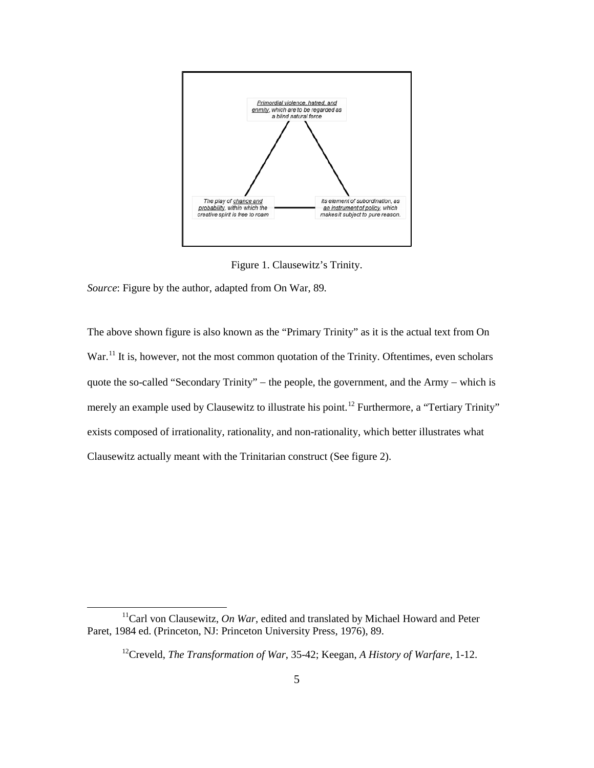

Figure 1. Clausewitz's Trinity.

*Source*: Figure by the author, adapted from On War, 89.

 $\overline{a}$ 

The above shown figure is also known as the "Primary Trinity" as it is the actual text from On War.<sup>11</sup> It is, however, not the most common quotation of the Trinity. Oftentimes, even scholars quote the so-called "Secondary Trinity" – the people, the government, and the Army – which is merely an example used by Clausewitz to illustrate his point.<sup>12</sup> Furthermore, a "Tertiary Trinity" exists composed of irrationality, rationality, and non-rationality, which better illustrates what Clausewitz actually meant with the Trinitarian construct (See figure 2).

 $11$ Carl von Clausewitz, *On War*, edited and translated by Michael Howard and Peter Paret, 1984 ed. (Princeton, NJ: Princeton University Press, 1976), 89.

<sup>12</sup>Creveld, *The Transformation of War*, 35-42; Keegan, *A History of Warfare*, 1-12.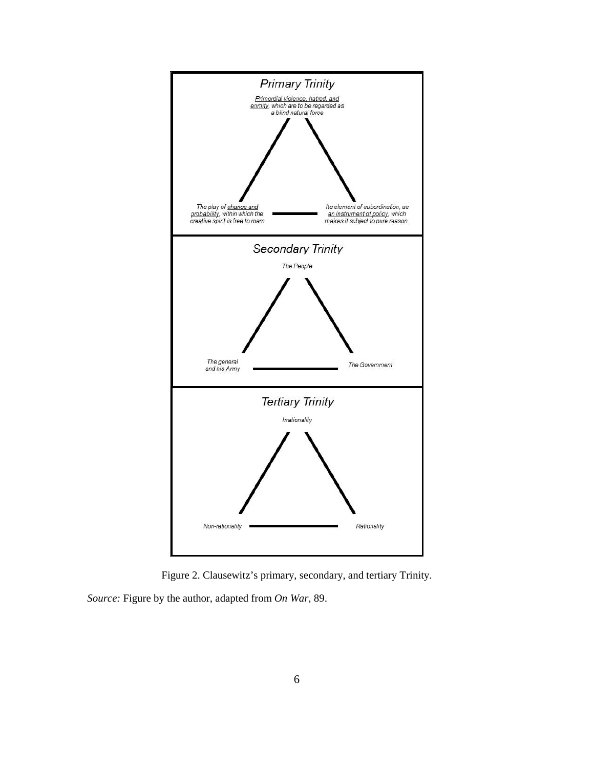

Figure 2. Clausewitz's primary, secondary, and tertiary Trinity.

*Source:* Figure by the author, adapted from *On War*, 89.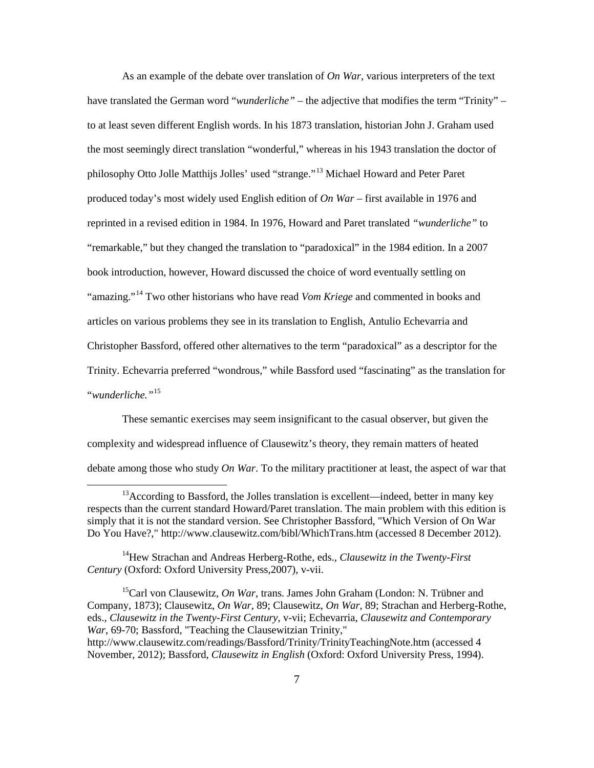As an example of the debate over translation of *On War,* various interpreters of the text have translated the German word "*wunderliche"* – the adjective that modifies the term "Trinity" – to at least seven different English words. In his 1873 translation, historian John J. Graham used the most seemingly direct translation "wonderful," whereas in his 1943 translation the doctor of philosophy Otto Jolle Matthijs Jolles' used "strange."<sup>13</sup> Michael Howard and Peter Paret produced today's most widely used English edition of *On War* – first available in 1976 and reprinted in a revised edition in 1984. In 1976, Howard and Paret translated *"wunderliche"* to "remarkable," but they changed the translation to "paradoxical" in the 1984 edition. In a 2007 book introduction, however, Howard discussed the choice of word eventually settling on "amazing."<sup>14</sup> Two other historians who have read *Vom Kriege* and commented in books and articles on various problems they see in its translation to English, Antulio Echevarria and Christopher Bassford, offered other alternatives to the term "paradoxical" as a descriptor for the Trinity. Echevarria preferred "wondrous," while Bassford used "fascinating" as the translation for "*wunderliche."*<sup>15</sup>

These semantic exercises may seem insignificant to the casual observer, but given the complexity and widespread influence of Clausewitz's theory, they remain matters of heated debate among those who study *On War*. To the military practitioner at least, the aspect of war that

 $13$ According to Bassford, the Jolles translation is excellent—indeed, better in many key respects than the current standard Howard/Paret translation. The main problem with this edition is simply that it is not the standard version. See Christopher Bassford, "Which Version of On War Do You Have?," http://www.clausewitz.com/bibl/WhichTrans.htm (accessed 8 December 2012).

<sup>14</sup>Hew Strachan and Andreas Herberg-Rothe, eds., *Clausewitz in the Twenty-First Century* (Oxford: Oxford University Press,2007), v-vii.

<sup>15</sup>Carl von Clausewitz, *On War*, trans. James John Graham (London: N. Trübner and Company, 1873); Clausewitz, *On War*, 89; Clausewitz, *On War*, 89; Strachan and Herberg-Rothe, eds., *Clausewitz in the Twenty-First Century*, v-vii; Echevarria, *Clausewitz and Contemporary War*, 69-70; Bassford, "Teaching the Clausewitzian Trinity," http://www.clausewitz.com/readings/Bassford/Trinity/TrinityTeachingNote.htm (accessed 4

November, 2012); Bassford, *Clausewitz in English* (Oxford: Oxford University Press, 1994).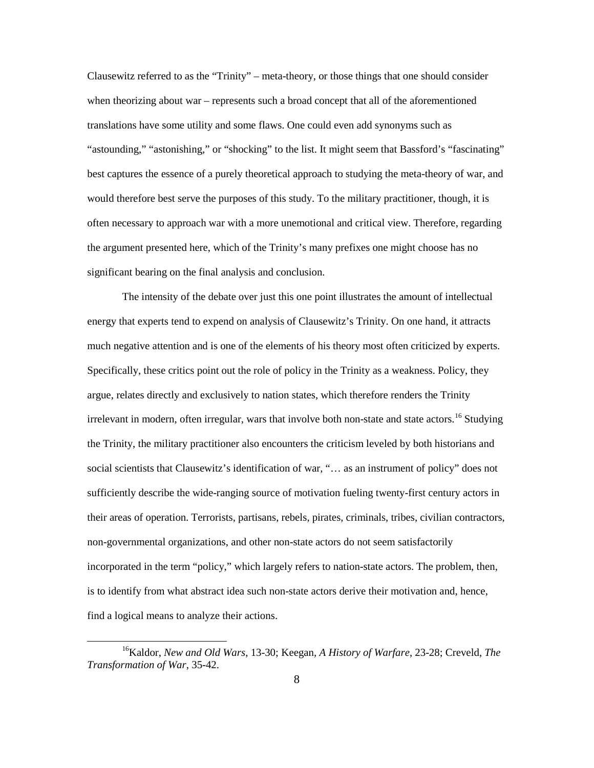Clausewitz referred to as the "Trinity" – meta-theory, or those things that one should consider when theorizing about war – represents such a broad concept that all of the aforementioned translations have some utility and some flaws. One could even add synonyms such as "astounding," "astonishing," or "shocking" to the list. It might seem that Bassford's "fascinating" best captures the essence of a purely theoretical approach to studying the meta-theory of war, and would therefore best serve the purposes of this study. To the military practitioner, though, it is often necessary to approach war with a more unemotional and critical view. Therefore, regarding the argument presented here, which of the Trinity's many prefixes one might choose has no significant bearing on the final analysis and conclusion.

The intensity of the debate over just this one point illustrates the amount of intellectual energy that experts tend to expend on analysis of Clausewitz's Trinity. On one hand, it attracts much negative attention and is one of the elements of his theory most often criticized by experts. Specifically, these critics point out the role of policy in the Trinity as a weakness. Policy, they argue, relates directly and exclusively to nation states, which therefore renders the Trinity irrelevant in modern, often irregular, wars that involve both non-state and state actors.<sup>16</sup> Studying the Trinity, the military practitioner also encounters the criticism leveled by both historians and social scientists that Clausewitz's identification of war, "… as an instrument of policy" does not sufficiently describe the wide-ranging source of motivation fueling twenty-first century actors in their areas of operation. Terrorists, partisans, rebels, pirates, criminals, tribes, civilian contractors, non-governmental organizations, and other non-state actors do not seem satisfactorily incorporated in the term "policy," which largely refers to nation-state actors. The problem, then, is to identify from what abstract idea such non-state actors derive their motivation and, hence, find a logical means to analyze their actions.

 $\ddot{\phantom{a}}$ 

<sup>16</sup>Kaldor, *New and Old Wars*, 13-30; Keegan, *A History of Warfare*, 23-28; Creveld, *The Transformation of War*, 35-42.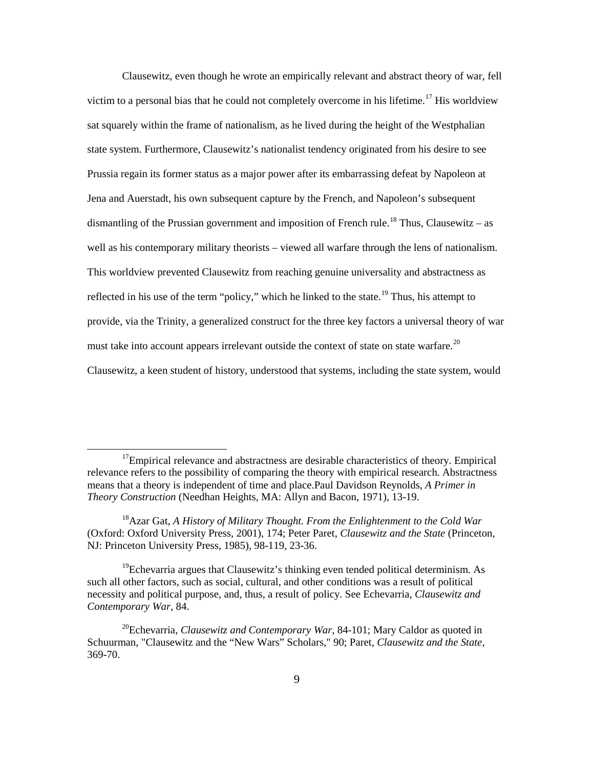Clausewitz, even though he wrote an empirically relevant and abstract theory of war, fell victim to a personal bias that he could not completely overcome in his lifetime.<sup>17</sup> His worldview sat squarely within the frame of nationalism, as he lived during the height of the Westphalian state system. Furthermore, Clausewitz's nationalist tendency originated from his desire to see Prussia regain its former status as a major power after its embarrassing defeat by Napoleon at Jena and Auerstadt, his own subsequent capture by the French, and Napoleon's subsequent dismantling of the Prussian government and imposition of French rule.<sup>18</sup> Thus, Clausewitz – as well as his contemporary military theorists – viewed all warfare through the lens of nationalism. This worldview prevented Clausewitz from reaching genuine universality and abstractness as reflected in his use of the term "policy," which he linked to the state.<sup>19</sup> Thus, his attempt to provide, via the Trinity, a generalized construct for the three key factors a universal theory of war must take into account appears irrelevant outside the context of state on state warfare.<sup>20</sup> Clausewitz, a keen student of history, understood that systems, including the state system, would

 $17$ Empirical relevance and abstractness are desirable characteristics of theory. Empirical relevance refers to the possibility of comparing the theory with empirical research. Abstractness means that a theory is independent of time and place.Paul Davidson Reynolds, *A Primer in Theory Construction* (Needhan Heights, MA: Allyn and Bacon, 1971), 13-19.

<sup>18</sup>Azar Gat, *A History of Military Thought. From the Enlightenment to the Cold War* (Oxford: Oxford University Press, 2001), 174; Peter Paret, *Clausewitz and the State* (Princeton, NJ: Princeton University Press, 1985), 98-119, 23-36.

 $19$ Echevarria argues that Clausewitz's thinking even tended political determinism. As such all other factors, such as social, cultural, and other conditions was a result of political necessity and political purpose, and, thus, a result of policy. See Echevarria, *Clausewitz and Contemporary War*, 84.

<sup>20</sup>Echevarria, *Clausewitz and Contemporary War*, 84-101; Mary Caldor as quoted in Schuurman, "Clausewitz and the "New Wars" Scholars," 90; Paret, *Clausewitz and the State*, 369-70.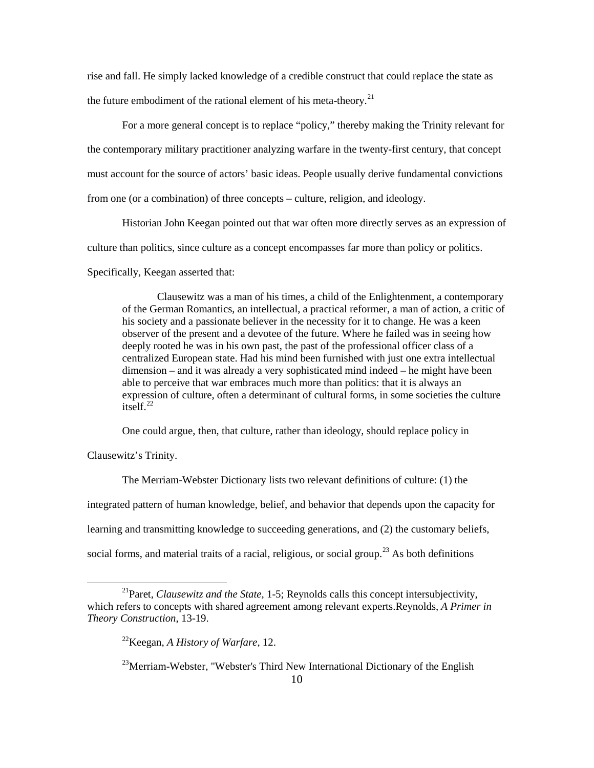rise and fall. He simply lacked knowledge of a credible construct that could replace the state as the future embodiment of the rational element of his meta-theory.<sup>21</sup>

For a more general concept is to replace "policy," thereby making the Trinity relevant for the contemporary military practitioner analyzing warfare in the twenty-first century, that concept must account for the source of actors' basic ideas. People usually derive fundamental convictions from one (or a combination) of three concepts – culture, religion, and ideology.

Historian John Keegan pointed out that war often more directly serves as an expression of culture than politics, since culture as a concept encompasses far more than policy or politics.

Specifically, Keegan asserted that:

Clausewitz was a man of his times, a child of the Enlightenment, a contemporary of the German Romantics, an intellectual, a practical reformer, a man of action, a critic of his society and a passionate believer in the necessity for it to change. He was a keen observer of the present and a devotee of the future. Where he failed was in seeing how deeply rooted he was in his own past, the past of the professional officer class of a centralized European state. Had his mind been furnished with just one extra intellectual dimension – and it was already a very sophisticated mind indeed – he might have been able to perceive that war embraces much more than politics: that it is always an expression of culture, often a determinant of cultural forms, in some societies the culture itself. $^{22}$ 

One could argue, then, that culture, rather than ideology, should replace policy in

Clausewitz's Trinity.

 $\overline{a}$ 

The Merriam-Webster Dictionary lists two relevant definitions of culture: (1) the integrated pattern of human knowledge, belief, and behavior that depends upon the capacity for learning and transmitting knowledge to succeeding generations, and (2) the customary beliefs, social forms, and material traits of a racial, religious, or social group.<sup>23</sup> As both definitions

<sup>21</sup>Paret, *Clausewitz and the State*, 1-5; Reynolds calls this concept intersubjectivity, which refers to concepts with shared agreement among relevant experts.Reynolds, *A Primer in Theory Construction*, 13-19.

<sup>22</sup>Keegan, *A History of Warfare*, 12.

 $23$ Merriam-Webster, "Webster's Third New International Dictionary of the English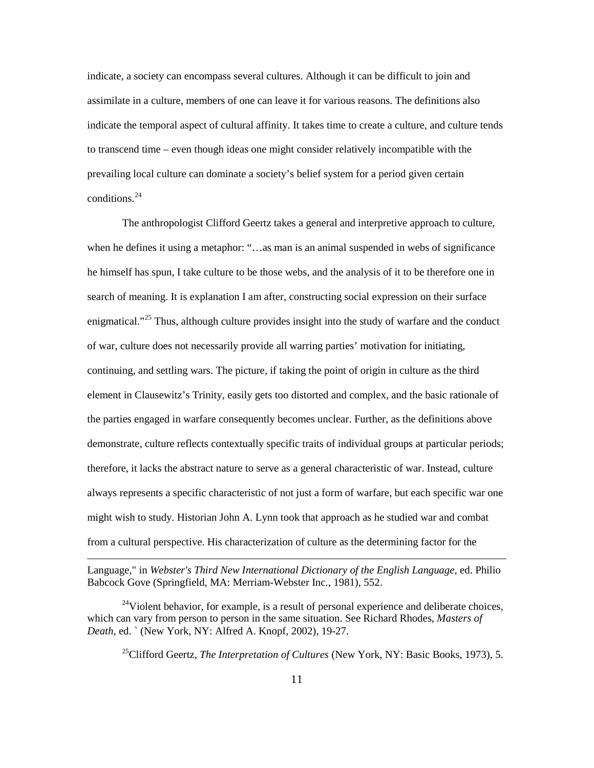indicate, a society can encompass several cultures. Although it can be difficult to join and assimilate in a culture, members of one can leave it for various reasons. The definitions also indicate the temporal aspect of cultural affinity. It takes time to create a culture, and culture tends to transcend time – even though ideas one might consider relatively incompatible with the prevailing local culture can dominate a society's belief system for a period given certain conditions.<sup>24</sup>

The anthropologist Clifford Geertz takes a general and interpretive approach to culture, when he defines it using a metaphor: "…as man is an animal suspended in webs of significance he himself has spun, I take culture to be those webs, and the analysis of it to be therefore one in search of meaning. It is explanation I am after, constructing social expression on their surface enigmatical."<sup>25</sup> Thus, although culture provides insight into the study of warfare and the conduct of war, culture does not necessarily provide all warring parties' motivation for initiating, continuing, and settling wars. The picture, if taking the point of origin in culture as the third element in Clausewitz's Trinity, easily gets too distorted and complex, and the basic rationale of the parties engaged in warfare consequently becomes unclear. Further, as the definitions above demonstrate, culture reflects contextually specific traits of individual groups at particular periods; therefore, it lacks the abstract nature to serve as a general characteristic of war. Instead, culture always represents a specific characteristic of not just a form of warfare, but each specific war one might wish to study. Historian John A. Lynn took that approach as he studied war and combat from a cultural perspective. His characterization of culture as the determining factor for the

 $\overline{a}$ 

25Clifford Geertz, *The Interpretation of Cultures* (New York, NY: Basic Books, 1973), 5.

Language," in *Webster's Third New International Dictionary of the English Language*, ed. Philio Babcock Gove (Springfield, MA: Merriam-Webster Inc., 1981), 552.

 $24$ Violent behavior, for example, is a result of personal experience and deliberate choices, which can vary from person to person in the same situation. See Richard Rhodes, *Masters of Death*, ed. ` (New York, NY: Alfred A. Knopf, 2002), 19-27.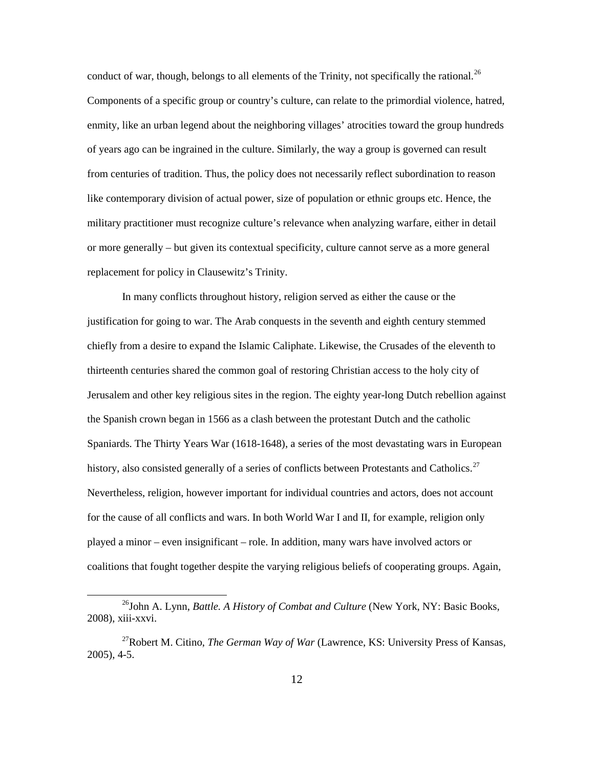conduct of war, though, belongs to all elements of the Trinity, not specifically the rational.<sup>26</sup> Components of a specific group or country's culture, can relate to the primordial violence, hatred, enmity, like an urban legend about the neighboring villages' atrocities toward the group hundreds of years ago can be ingrained in the culture. Similarly, the way a group is governed can result from centuries of tradition. Thus, the policy does not necessarily reflect subordination to reason like contemporary division of actual power, size of population or ethnic groups etc. Hence, the military practitioner must recognize culture's relevance when analyzing warfare, either in detail or more generally – but given its contextual specificity, culture cannot serve as a more general replacement for policy in Clausewitz's Trinity.

In many conflicts throughout history, religion served as either the cause or the justification for going to war. The Arab conquests in the seventh and eighth century stemmed chiefly from a desire to expand the Islamic Caliphate. Likewise, the Crusades of the eleventh to thirteenth centuries shared the common goal of restoring Christian access to the holy city of Jerusalem and other key religious sites in the region. The eighty year-long Dutch rebellion against the Spanish crown began in 1566 as a clash between the protestant Dutch and the catholic Spaniards. The Thirty Years War (1618-1648), a series of the most devastating wars in European history, also consisted generally of a series of conflicts between Protestants and Catholics.<sup>27</sup> Nevertheless, religion, however important for individual countries and actors, does not account for the cause of all conflicts and wars. In both World War I and II, for example, religion only played a minor – even insignificant – role. In addition, many wars have involved actors or coalitions that fought together despite the varying religious beliefs of cooperating groups. Again,

<sup>26</sup>John A. Lynn, *Battle. A History of Combat and Culture* (New York, NY: Basic Books, 2008), xiii-xxvi.

<sup>27</sup>Robert M. Citino, *The German Way of War* (Lawrence, KS: University Press of Kansas, 2005), 4-5.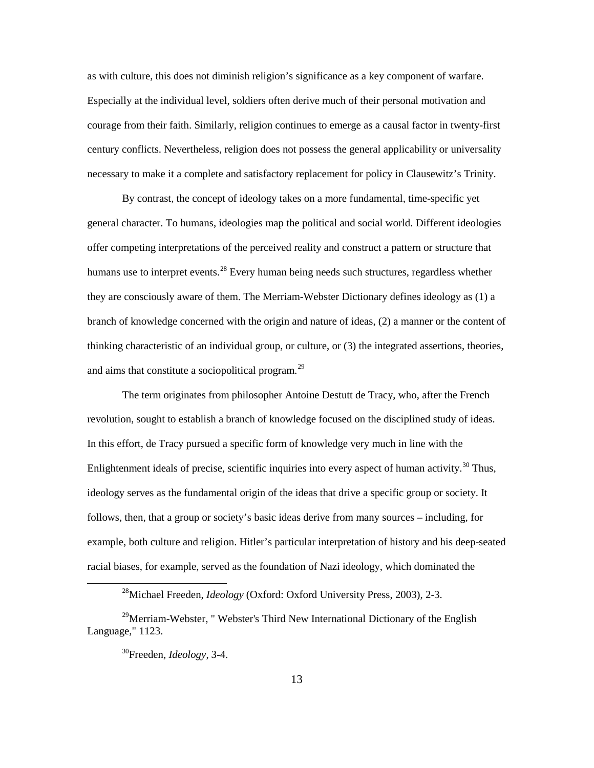as with culture, this does not diminish religion's significance as a key component of warfare. Especially at the individual level, soldiers often derive much of their personal motivation and courage from their faith. Similarly, religion continues to emerge as a causal factor in twenty-first century conflicts. Nevertheless, religion does not possess the general applicability or universality necessary to make it a complete and satisfactory replacement for policy in Clausewitz's Trinity.

By contrast, the concept of ideology takes on a more fundamental, time-specific yet general character. To humans, ideologies map the political and social world. Different ideologies offer competing interpretations of the perceived reality and construct a pattern or structure that humans use to interpret events.<sup>28</sup> Every human being needs such structures, regardless whether they are consciously aware of them. The Merriam-Webster Dictionary defines ideology as (1) a branch of knowledge concerned with the origin and nature of ideas, (2) a manner or the content of thinking characteristic of an individual group, or culture, or (3) the integrated assertions, theories, and aims that constitute a sociopolitical program.<sup>29</sup>

The term originates from philosopher Antoine Destutt de Tracy, who, after the French revolution, sought to establish a branch of knowledge focused on the disciplined study of ideas. In this effort, de Tracy pursued a specific form of knowledge very much in line with the Enlightenment ideals of precise, scientific inquiries into every aspect of human activity.<sup>30</sup> Thus, ideology serves as the fundamental origin of the ideas that drive a specific group or society. It follows, then, that a group or society's basic ideas derive from many sources – including, for example, both culture and religion. Hitler's particular interpretation of history and his deep-seated racial biases, for example, served as the foundation of Nazi ideology, which dominated the

<sup>28</sup>Michael Freeden, *Ideology* (Oxford: Oxford University Press, 2003), 2-3.

<sup>&</sup>lt;sup>29</sup>Merriam-Webster, "Webster's Third New International Dictionary of the English Language," 1123.

<sup>30</sup>Freeden, *Ideology*, 3-4.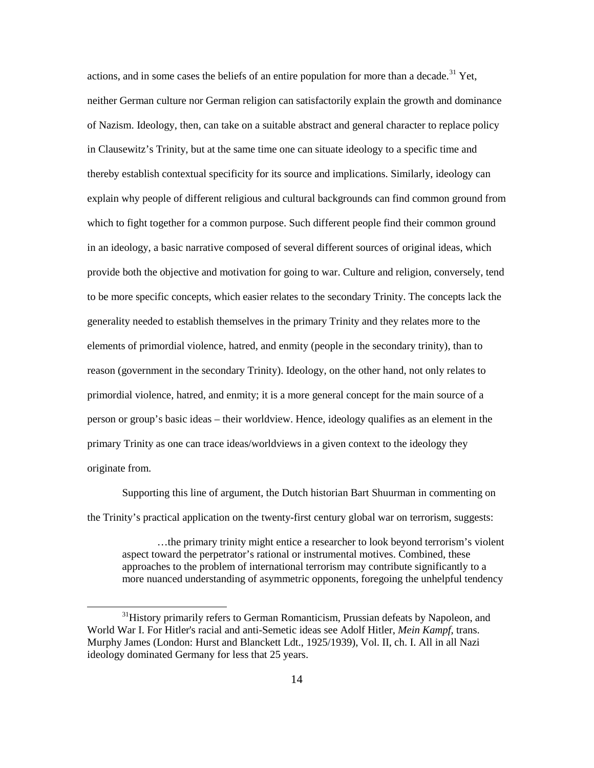actions, and in some cases the beliefs of an entire population for more than a decade.<sup>31</sup> Yet, neither German culture nor German religion can satisfactorily explain the growth and dominance of Nazism. Ideology, then, can take on a suitable abstract and general character to replace policy in Clausewitz's Trinity, but at the same time one can situate ideology to a specific time and thereby establish contextual specificity for its source and implications. Similarly, ideology can explain why people of different religious and cultural backgrounds can find common ground from which to fight together for a common purpose. Such different people find their common ground in an ideology, a basic narrative composed of several different sources of original ideas, which provide both the objective and motivation for going to war. Culture and religion, conversely, tend to be more specific concepts, which easier relates to the secondary Trinity. The concepts lack the generality needed to establish themselves in the primary Trinity and they relates more to the elements of primordial violence, hatred, and enmity (people in the secondary trinity), than to reason (government in the secondary Trinity). Ideology, on the other hand, not only relates to primordial violence, hatred, and enmity; it is a more general concept for the main source of a person or group's basic ideas – their worldview. Hence, ideology qualifies as an element in the primary Trinity as one can trace ideas/worldviews in a given context to the ideology they originate from.

Supporting this line of argument, the Dutch historian Bart Shuurman in commenting on the Trinity's practical application on the twenty-first century global war on terrorism, suggests:

…the primary trinity might entice a researcher to look beyond terrorism's violent aspect toward the perpetrator's rational or instrumental motives. Combined, these approaches to the problem of international terrorism may contribute significantly to a more nuanced understanding of asymmetric opponents, foregoing the unhelpful tendency

<sup>&</sup>lt;sup>31</sup>History primarily refers to German Romanticism, Prussian defeats by Napoleon, and World War I. For Hitler's racial and anti-Semetic ideas see Adolf Hitler, *Mein Kampf*, trans. Murphy James (London: Hurst and Blanckett Ldt., 1925/1939), Vol. II, ch. I. All in all Nazi ideology dominated Germany for less that 25 years.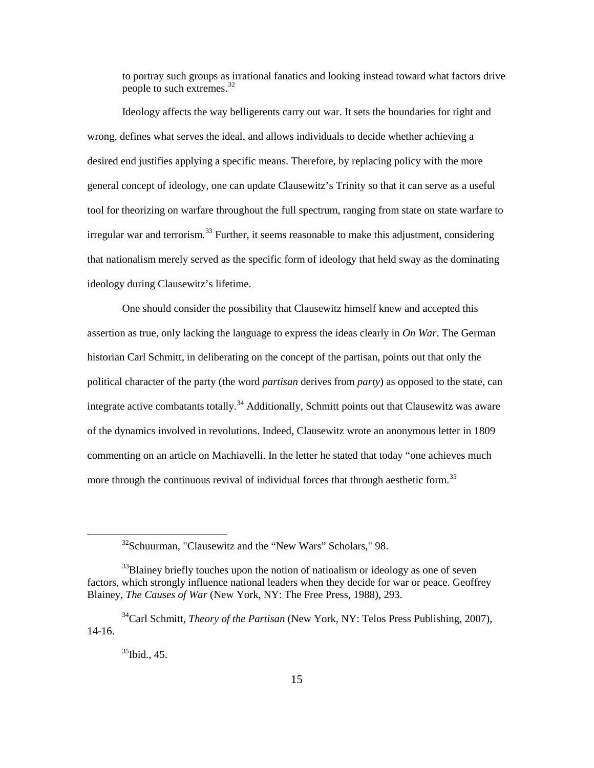to portray such groups as irrational fanatics and looking instead toward what factors drive people to such extremes.<sup>32</sup>

Ideology affects the way belligerents carry out war. It sets the boundaries for right and wrong, defines what serves the ideal, and allows individuals to decide whether achieving a desired end justifies applying a specific means. Therefore, by replacing policy with the more general concept of ideology, one can update Clausewitz's Trinity so that it can serve as a useful tool for theorizing on warfare throughout the full spectrum, ranging from state on state warfare to irregular war and terrorism.<sup>33</sup> Further, it seems reasonable to make this adjustment, considering that nationalism merely served as the specific form of ideology that held sway as the dominating ideology during Clausewitz's lifetime.

One should consider the possibility that Clausewitz himself knew and accepted this assertion as true, only lacking the language to express the ideas clearly in *On War*. The German historian Carl Schmitt, in deliberating on the concept of the partisan, points out that only the political character of the party (the word *partisan* derives from *party*) as opposed to the state, can integrate active combatants totally.<sup>34</sup> Additionally, Schmitt points out that Clausewitz was aware of the dynamics involved in revolutions. Indeed, Clausewitz wrote an anonymous letter in 1809 commenting on an article on Machiavelli. In the letter he stated that today "one achieves much more through the continuous revival of individual forces that through aesthetic form.<sup>35</sup>

<sup>&</sup>lt;sup>32</sup>Schuurman, "Clausewitz and the "New Wars" Scholars," 98.

<sup>&</sup>lt;sup>33</sup>Blainey briefly touches upon the notion of natioalism or ideology as one of seven factors, which strongly influence national leaders when they decide for war or peace. Geoffrey Blainey, *The Causes of War* (New York, NY: The Free Press, 1988), 293.

<sup>34</sup>Carl Schmitt, *Theory of the Partisan* (New York, NY: Telos Press Publishing, 2007), 14-16.

 $35$ Ibid., 45.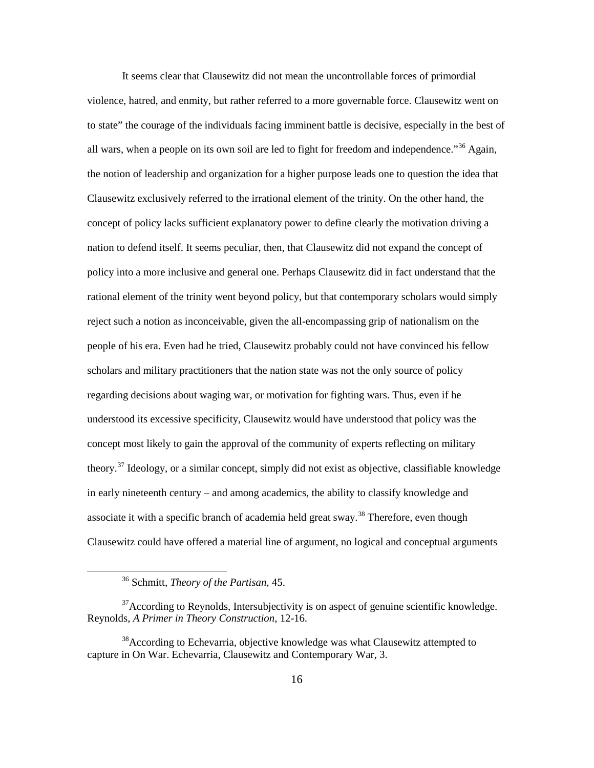It seems clear that Clausewitz did not mean the uncontrollable forces of primordial violence, hatred, and enmity, but rather referred to a more governable force. Clausewitz went on to state" the courage of the individuals facing imminent battle is decisive, especially in the best of all wars, when a people on its own soil are led to fight for freedom and independence.<sup>356</sup> Again, the notion of leadership and organization for a higher purpose leads one to question the idea that Clausewitz exclusively referred to the irrational element of the trinity. On the other hand, the concept of policy lacks sufficient explanatory power to define clearly the motivation driving a nation to defend itself. It seems peculiar, then, that Clausewitz did not expand the concept of policy into a more inclusive and general one. Perhaps Clausewitz did in fact understand that the rational element of the trinity went beyond policy, but that contemporary scholars would simply reject such a notion as inconceivable, given the all-encompassing grip of nationalism on the people of his era. Even had he tried, Clausewitz probably could not have convinced his fellow scholars and military practitioners that the nation state was not the only source of policy regarding decisions about waging war, or motivation for fighting wars. Thus, even if he understood its excessive specificity, Clausewitz would have understood that policy was the concept most likely to gain the approval of the community of experts reflecting on military theory.<sup>37</sup> Ideology, or a similar concept, simply did not exist as objective, classifiable knowledge in early nineteenth century – and among academics, the ability to classify knowledge and associate it with a specific branch of academia held great sway.<sup>38</sup> Therefore, even though Clausewitz could have offered a material line of argument, no logical and conceptual arguments

<sup>36</sup> Schmitt, *Theory of the Partisan*, 45.

 $37$ According to Reynolds, Intersubjectivity is on aspect of genuine scientific knowledge. Reynolds, *A Primer in Theory Construction*, 12-16.

<sup>38</sup>According to Echevarria, objective knowledge was what Clausewitz attempted to capture in On War. Echevarria, Clausewitz and Contemporary War, 3.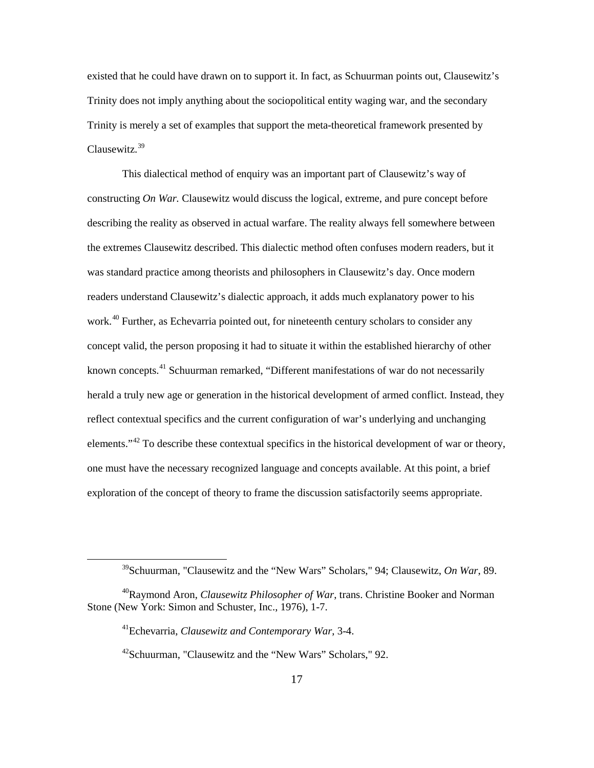existed that he could have drawn on to support it. In fact, as Schuurman points out, Clausewitz's Trinity does not imply anything about the sociopolitical entity waging war, and the secondary Trinity is merely a set of examples that support the meta-theoretical framework presented by Clausewitz.<sup>39</sup>

This dialectical method of enquiry was an important part of Clausewitz's way of constructing *On War.* Clausewitz would discuss the logical, extreme, and pure concept before describing the reality as observed in actual warfare. The reality always fell somewhere between the extremes Clausewitz described. This dialectic method often confuses modern readers, but it was standard practice among theorists and philosophers in Clausewitz's day. Once modern readers understand Clausewitz's dialectic approach, it adds much explanatory power to his work.<sup>40</sup> Further, as Echevarria pointed out, for nineteenth century scholars to consider any concept valid, the person proposing it had to situate it within the established hierarchy of other known concepts.<sup>41</sup> Schuurman remarked, "Different manifestations of war do not necessarily herald a truly new age or generation in the historical development of armed conflict. Instead, they reflect contextual specifics and the current configuration of war's underlying and unchanging elements."<sup>42</sup> To describe these contextual specifics in the historical development of war or theory, one must have the necessary recognized language and concepts available. At this point, a brief exploration of the concept of theory to frame the discussion satisfactorily seems appropriate.

<sup>39</sup>Schuurman, "Clausewitz and the "New Wars" Scholars," 94; Clausewitz, *On War*, 89.

<sup>40</sup>Raymond Aron, *Clausewitz Philosopher of War*, trans. Christine Booker and Norman Stone (New York: Simon and Schuster, Inc., 1976), 1-7.

<sup>41</sup>Echevarria, *Clausewitz and Contemporary War*, 3-4.

<sup>&</sup>lt;sup>42</sup>Schuurman, "Clausewitz and the "New Wars" Scholars," 92.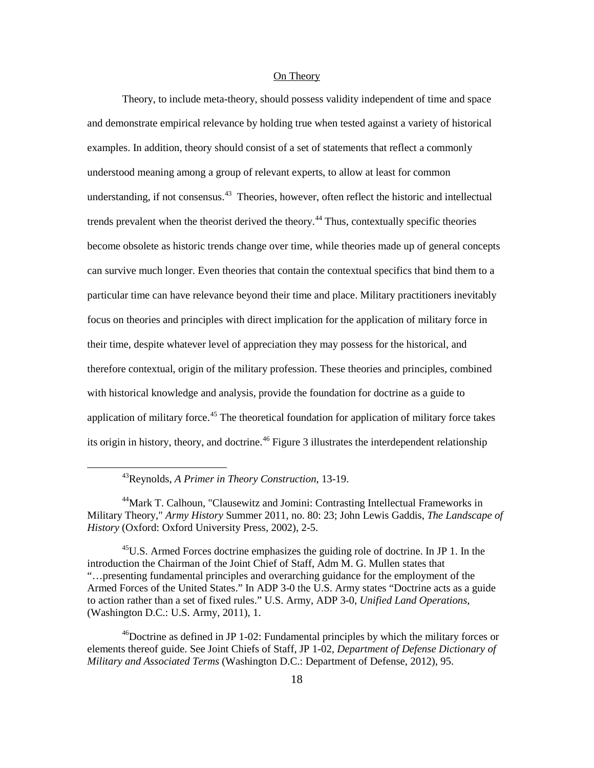## On Theory

Theory, to include meta-theory, should possess validity independent of time and space and demonstrate empirical relevance by holding true when tested against a variety of historical examples. In addition, theory should consist of a set of statements that reflect a commonly understood meaning among a group of relevant experts, to allow at least for common understanding, if not consensus.<sup>43</sup> Theories, however, often reflect the historic and intellectual trends prevalent when the theorist derived the theory.<sup>44</sup> Thus, contextually specific theories become obsolete as historic trends change over time, while theories made up of general concepts can survive much longer. Even theories that contain the contextual specifics that bind them to a particular time can have relevance beyond their time and place. Military practitioners inevitably focus on theories and principles with direct implication for the application of military force in their time, despite whatever level of appreciation they may possess for the historical, and therefore contextual, origin of the military profession. These theories and principles, combined with historical knowledge and analysis, provide the foundation for doctrine as a guide to application of military force.<sup>45</sup> The theoretical foundation for application of military force takes its origin in history, theory, and doctrine.<sup>46</sup> Figure 3 illustrates the interdependent relationship

 $\overline{a}$ 

<sup>45</sup>U.S. Armed Forces doctrine emphasizes the guiding role of doctrine. In JP 1. In the introduction the Chairman of the Joint Chief of Staff, Adm M. G. Mullen states that "…presenting fundamental principles and overarching guidance for the employment of the Armed Forces of the United States." In ADP 3-0 the U.S. Army states "Doctrine acts as a guide to action rather than a set of fixed rules." U.S. Army, ADP 3-0, *Unified Land Operations*, (Washington D.C.: U.S. Army, 2011), 1.

 $^{46}$ Doctrine as defined in JP 1-02: Fundamental principles by which the military forces or elements thereof guide. See Joint Chiefs of Staff, JP 1-02, *Department of Defense Dictionary of Military and Associated Terms* (Washington D.C.: Department of Defense, 2012), 95.

<sup>43</sup>Reynolds, *A Primer in Theory Construction*, 13-19.

<sup>&</sup>lt;sup>44</sup>Mark T. Calhoun, "Clausewitz and Jomini: Contrasting Intellectual Frameworks in Military Theory," *Army History* Summer 2011, no. 80: 23; John Lewis Gaddis, *The Landscape of History* (Oxford: Oxford University Press, 2002), 2-5.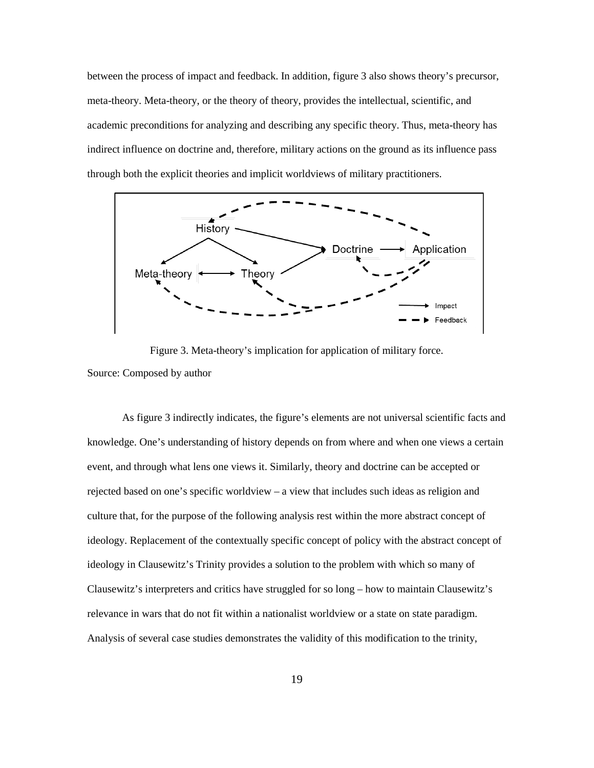between the process of impact and feedback. In addition, figure 3 also shows theory's precursor, meta-theory. Meta-theory, or the theory of theory, provides the intellectual, scientific, and academic preconditions for analyzing and describing any specific theory. Thus, meta-theory has indirect influence on doctrine and, therefore, military actions on the ground as its influence pass through both the explicit theories and implicit worldviews of military practitioners.



Figure 3. Meta-theory's implication for application of military force.

# Source: Composed by author

As figure 3 indirectly indicates, the figure's elements are not universal scientific facts and knowledge. One's understanding of history depends on from where and when one views a certain event, and through what lens one views it. Similarly, theory and doctrine can be accepted or rejected based on one's specific worldview – a view that includes such ideas as religion and culture that, for the purpose of the following analysis rest within the more abstract concept of ideology. Replacement of the contextually specific concept of policy with the abstract concept of ideology in Clausewitz's Trinity provides a solution to the problem with which so many of Clausewitz's interpreters and critics have struggled for so long – how to maintain Clausewitz's relevance in wars that do not fit within a nationalist worldview or a state on state paradigm. Analysis of several case studies demonstrates the validity of this modification to the trinity,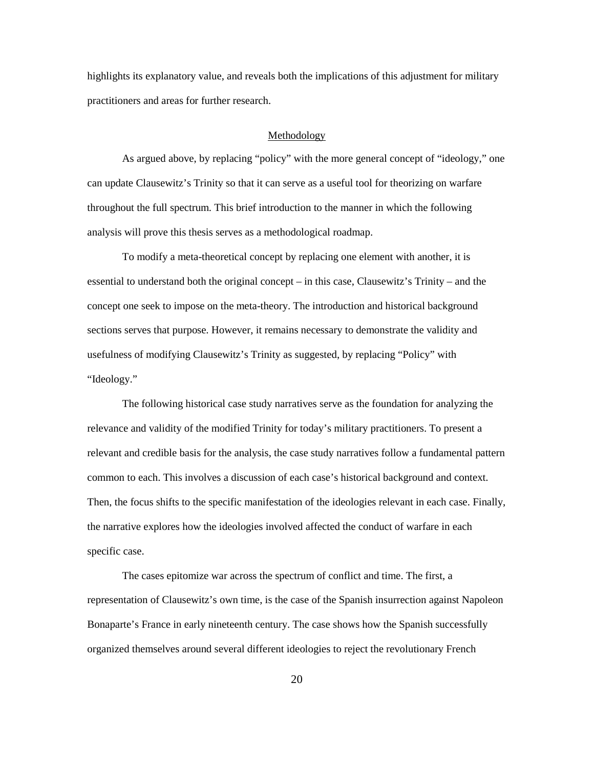highlights its explanatory value, and reveals both the implications of this adjustment for military practitioners and areas for further research.

### Methodology

As argued above, by replacing "policy" with the more general concept of "ideology," one can update Clausewitz's Trinity so that it can serve as a useful tool for theorizing on warfare throughout the full spectrum. This brief introduction to the manner in which the following analysis will prove this thesis serves as a methodological roadmap.

To modify a meta-theoretical concept by replacing one element with another, it is essential to understand both the original concept – in this case, Clausewitz's Trinity – and the concept one seek to impose on the meta-theory. The introduction and historical background sections serves that purpose. However, it remains necessary to demonstrate the validity and usefulness of modifying Clausewitz's Trinity as suggested, by replacing "Policy" with "Ideology."

The following historical case study narratives serve as the foundation for analyzing the relevance and validity of the modified Trinity for today's military practitioners. To present a relevant and credible basis for the analysis, the case study narratives follow a fundamental pattern common to each. This involves a discussion of each case's historical background and context. Then, the focus shifts to the specific manifestation of the ideologies relevant in each case. Finally, the narrative explores how the ideologies involved affected the conduct of warfare in each specific case.

The cases epitomize war across the spectrum of conflict and time. The first, a representation of Clausewitz's own time, is the case of the Spanish insurrection against Napoleon Bonaparte's France in early nineteenth century. The case shows how the Spanish successfully organized themselves around several different ideologies to reject the revolutionary French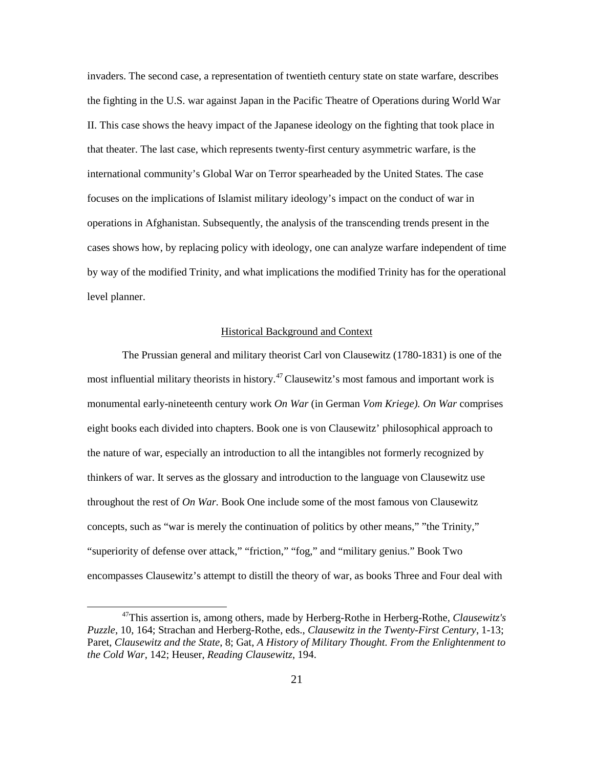invaders. The second case, a representation of twentieth century state on state warfare, describes the fighting in the U.S. war against Japan in the Pacific Theatre of Operations during World War II. This case shows the heavy impact of the Japanese ideology on the fighting that took place in that theater. The last case, which represents twenty-first century asymmetric warfare, is the international community's Global War on Terror spearheaded by the United States. The case focuses on the implications of Islamist military ideology's impact on the conduct of war in operations in Afghanistan. Subsequently, the analysis of the transcending trends present in the cases shows how, by replacing policy with ideology, one can analyze warfare independent of time by way of the modified Trinity, and what implications the modified Trinity has for the operational level planner.

# Historical Background and Context

The Prussian general and military theorist Carl von Clausewitz (1780-1831) is one of the most influential military theorists in history.<sup>47</sup> Clausewitz's most famous and important work is monumental early-nineteenth century work *On War* (in German *Vom Kriege). On War* comprises eight books each divided into chapters. Book one is von Clausewitz' philosophical approach to the nature of war, especially an introduction to all the intangibles not formerly recognized by thinkers of war. It serves as the glossary and introduction to the language von Clausewitz use throughout the rest of *On War.* Book One include some of the most famous von Clausewitz concepts, such as "war is merely the continuation of politics by other means," "the Trinity," "superiority of defense over attack," "friction," "fog," and "military genius." Book Two encompasses Clausewitz's attempt to distill the theory of war, as books Three and Four deal with

<sup>47</sup>This assertion is, among others, made by Herberg-Rothe in Herberg-Rothe, *Clausewitz's Puzzle*, 10, 164; Strachan and Herberg-Rothe, eds., *Clausewitz in the Twenty-First Century*, 1-13; Paret, *Clausewitz and the State*, 8; Gat, *A History of Military Thought. From the Enlightenment to the Cold War*, 142; Heuser, *Reading Clausewitz*, 194.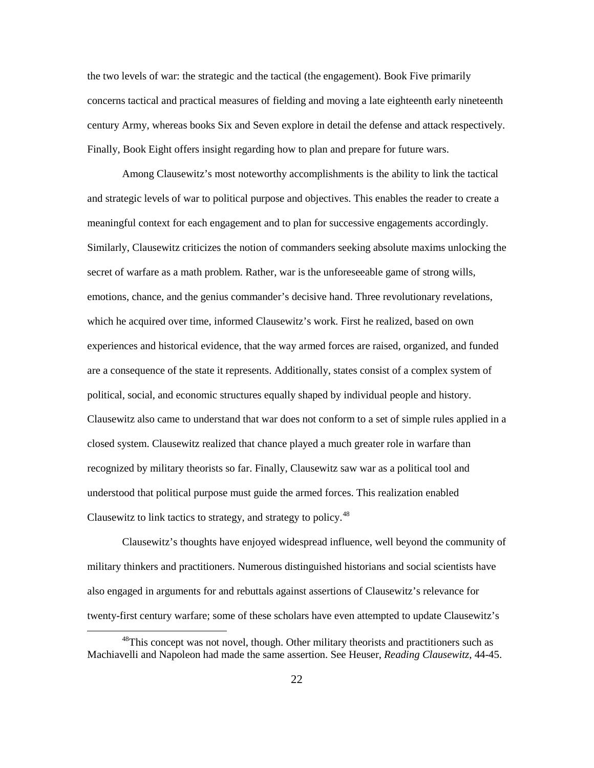the two levels of war: the strategic and the tactical (the engagement). Book Five primarily concerns tactical and practical measures of fielding and moving a late eighteenth early nineteenth century Army, whereas books Six and Seven explore in detail the defense and attack respectively. Finally, Book Eight offers insight regarding how to plan and prepare for future wars.

Among Clausewitz's most noteworthy accomplishments is the ability to link the tactical and strategic levels of war to political purpose and objectives. This enables the reader to create a meaningful context for each engagement and to plan for successive engagements accordingly. Similarly, Clausewitz criticizes the notion of commanders seeking absolute maxims unlocking the secret of warfare as a math problem. Rather, war is the unforeseeable game of strong wills, emotions, chance, and the genius commander's decisive hand. Three revolutionary revelations, which he acquired over time, informed Clausewitz's work. First he realized, based on own experiences and historical evidence, that the way armed forces are raised, organized, and funded are a consequence of the state it represents. Additionally, states consist of a complex system of political, social, and economic structures equally shaped by individual people and history. Clausewitz also came to understand that war does not conform to a set of simple rules applied in a closed system. Clausewitz realized that chance played a much greater role in warfare than recognized by military theorists so far. Finally, Clausewitz saw war as a political tool and understood that political purpose must guide the armed forces. This realization enabled Clausewitz to link tactics to strategy, and strategy to policy.<sup>48</sup>

Clausewitz's thoughts have enjoyed widespread influence, well beyond the community of military thinkers and practitioners. Numerous distinguished historians and social scientists have also engaged in arguments for and rebuttals against assertions of Clausewitz's relevance for twenty-first century warfare; some of these scholars have even attempted to update Clausewitz's

 $48$ This concept was not novel, though. Other military theorists and practitioners such as Machiavelli and Napoleon had made the same assertion. See Heuser, *Reading Clausewitz*, 44-45.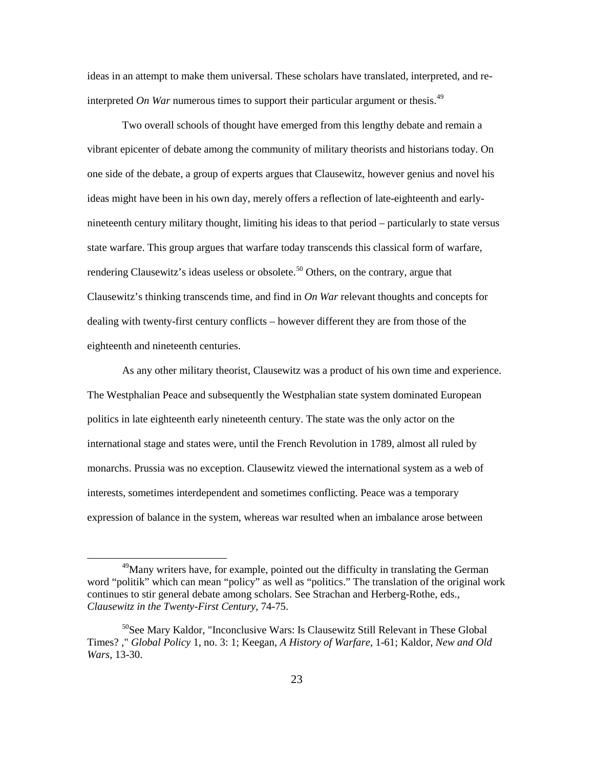ideas in an attempt to make them universal. These scholars have translated, interpreted, and reinterpreted *On War* numerous times to support their particular argument or thesis.<sup>49</sup>

Two overall schools of thought have emerged from this lengthy debate and remain a vibrant epicenter of debate among the community of military theorists and historians today. On one side of the debate, a group of experts argues that Clausewitz, however genius and novel his ideas might have been in his own day, merely offers a reflection of late-eighteenth and earlynineteenth century military thought, limiting his ideas to that period – particularly to state versus state warfare. This group argues that warfare today transcends this classical form of warfare, rendering Clausewitz's ideas useless or obsolete.<sup>50</sup> Others, on the contrary, argue that Clausewitz's thinking transcends time, and find in *On War* relevant thoughts and concepts for dealing with twenty-first century conflicts – however different they are from those of the eighteenth and nineteenth centuries.

As any other military theorist, Clausewitz was a product of his own time and experience. The Westphalian Peace and subsequently the Westphalian state system dominated European politics in late eighteenth early nineteenth century. The state was the only actor on the international stage and states were, until the French Revolution in 1789, almost all ruled by monarchs. Prussia was no exception. Clausewitz viewed the international system as a web of interests, sometimes interdependent and sometimes conflicting. Peace was a temporary expression of balance in the system, whereas war resulted when an imbalance arose between

<sup>&</sup>lt;sup>49</sup>Many writers have, for example, pointed out the difficulty in translating the German word "politik" which can mean "policy" as well as "politics." The translation of the original work continues to stir general debate among scholars. See Strachan and Herberg-Rothe, eds., *Clausewitz in the Twenty-First Century*, 74-75.

<sup>&</sup>lt;sup>50</sup>See Mary Kaldor, "Inconclusive Wars: Is Clausewitz Still Relevant in These Global Times? ," *Global Policy* 1, no. 3: 1; Keegan, *A History of Warfare*, 1-61; Kaldor, *New and Old Wars*, 13-30.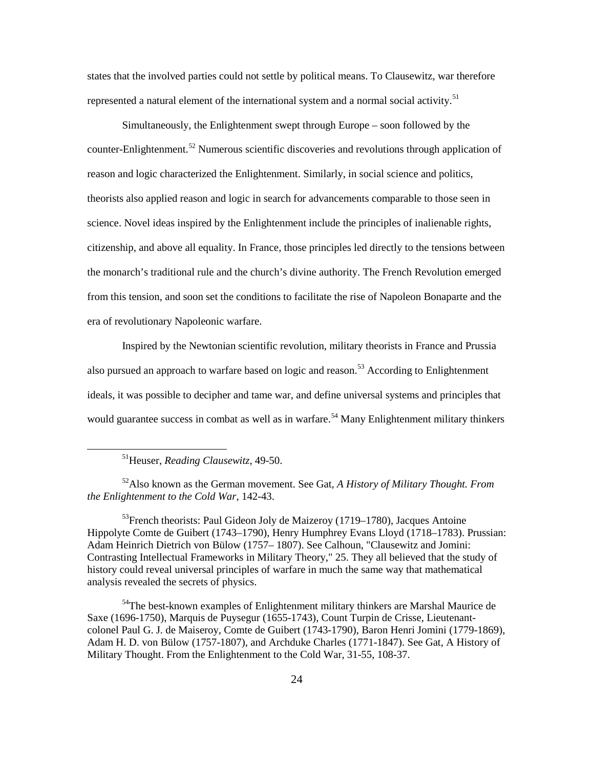states that the involved parties could not settle by political means. To Clausewitz, war therefore represented a natural element of the international system and a normal social activity.<sup>51</sup>

Simultaneously, the Enlightenment swept through Europe – soon followed by the counter-Enlightenment.<sup>52</sup> Numerous scientific discoveries and revolutions through application of reason and logic characterized the Enlightenment. Similarly, in social science and politics, theorists also applied reason and logic in search for advancements comparable to those seen in science. Novel ideas inspired by the Enlightenment include the principles of inalienable rights, citizenship, and above all equality. In France, those principles led directly to the tensions between the monarch's traditional rule and the church's divine authority. The French Revolution emerged from this tension, and soon set the conditions to facilitate the rise of Napoleon Bonaparte and the era of revolutionary Napoleonic warfare.

Inspired by the Newtonian scientific revolution, military theorists in France and Prussia also pursued an approach to warfare based on logic and reason.<sup>53</sup> According to Enlightenment ideals, it was possible to decipher and tame war, and define universal systems and principles that would guarantee success in combat as well as in warfare.<sup>54</sup> Many Enlightenment military thinkers

51Heuser, *Reading Clausewitz*, 49-50.

 $\overline{a}$ 

52Also known as the German movement. See Gat, *A History of Military Thought. From the Enlightenment to the Cold War*, 142-43.

 $53$ French theorists: Paul Gideon Joly de Maizeroy (1719–1780), Jacques Antoine Hippolyte Comte de Guibert (1743–1790), Henry Humphrey Evans Lloyd (1718–1783). Prussian: Adam Heinrich Dietrich von Bülow (1757– 1807). See Calhoun, "Clausewitz and Jomini: Contrasting Intellectual Frameworks in Military Theory," 25. They all believed that the study of history could reveal universal principles of warfare in much the same way that mathematical analysis revealed the secrets of physics.

<sup>54</sup>The best-known examples of Enlightenment military thinkers are Marshal Maurice de Saxe (1696-1750), Marquis de Puysegur (1655-1743), Count Turpin de Crisse, Lieutenantcolonel Paul G. J. de Maiseroy, Comte de Guibert (1743-1790), Baron Henri Jomini (1779-1869), Adam H. D. von Bülow (1757-1807), and Archduke Charles (1771-1847). See Gat, A History of Military Thought. From the Enlightenment to the Cold War, 31-55, 108-37.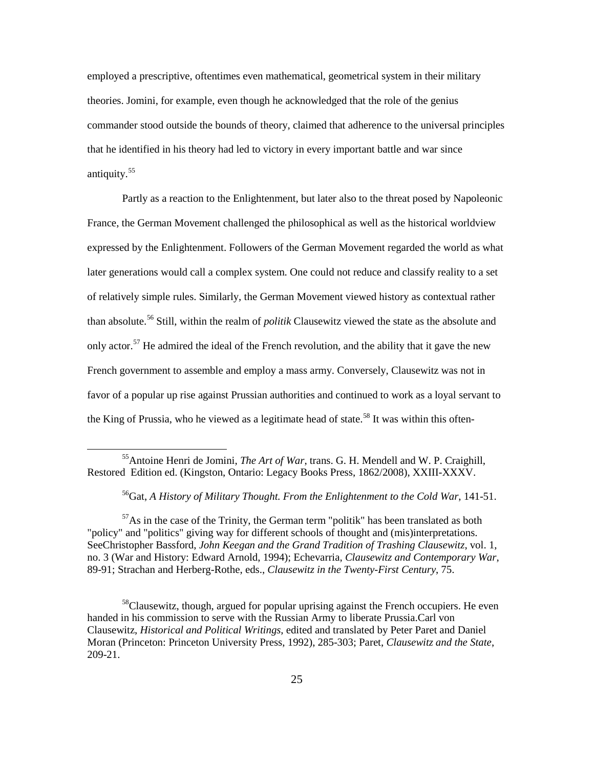employed a prescriptive, oftentimes even mathematical, geometrical system in their military theories. Jomini, for example, even though he acknowledged that the role of the genius commander stood outside the bounds of theory, claimed that adherence to the universal principles that he identified in his theory had led to victory in every important battle and war since antiquity. $55$ 

Partly as a reaction to the Enlightenment, but later also to the threat posed by Napoleonic France, the German Movement challenged the philosophical as well as the historical worldview expressed by the Enlightenment. Followers of the German Movement regarded the world as what later generations would call a complex system. One could not reduce and classify reality to a set of relatively simple rules. Similarly, the German Movement viewed history as contextual rather than absolute.<sup>56</sup> Still, within the realm of *politik* Clausewitz viewed the state as the absolute and only actor.<sup>57</sup> He admired the ideal of the French revolution, and the ability that it gave the new French government to assemble and employ a mass army. Conversely, Clausewitz was not in favor of a popular up rise against Prussian authorities and continued to work as a loyal servant to the King of Prussia, who he viewed as a legitimate head of state.<sup>58</sup> It was within this often-

 $\overline{a}$ 

 $57\text{As}$  in the case of the Trinity, the German term "politik" has been translated as both "policy" and "politics" giving way for different schools of thought and (mis)interpretations. SeeChristopher Bassford, *John Keegan and the Grand Tradition of Trashing Clausewitz*, vol. 1, no. 3 (War and History: Edward Arnold, 1994); Echevarria, *Clausewitz and Contemporary War*, 89-91; Strachan and Herberg-Rothe, eds., *Clausewitz in the Twenty-First Century*, 75.

 $58$ Clausewitz, though, argued for popular uprising against the French occupiers. He even handed in his commission to serve with the Russian Army to liberate Prussia.Carl von Clausewitz, *Historical and Political Writings*, edited and translated by Peter Paret and Daniel Moran (Princeton: Princeton University Press, 1992), 285-303; Paret, *Clausewitz and the State*, 209-21.

<sup>55</sup>Antoine Henri de Jomini, *The Art of War*, trans. G. H. Mendell and W. P. Craighill, Restored Edition ed. (Kingston, Ontario: Legacy Books Press, 1862/2008), XXIII-XXXV.

<sup>56</sup>Gat, *A History of Military Thought. From the Enlightenment to the Cold War*, 141-51.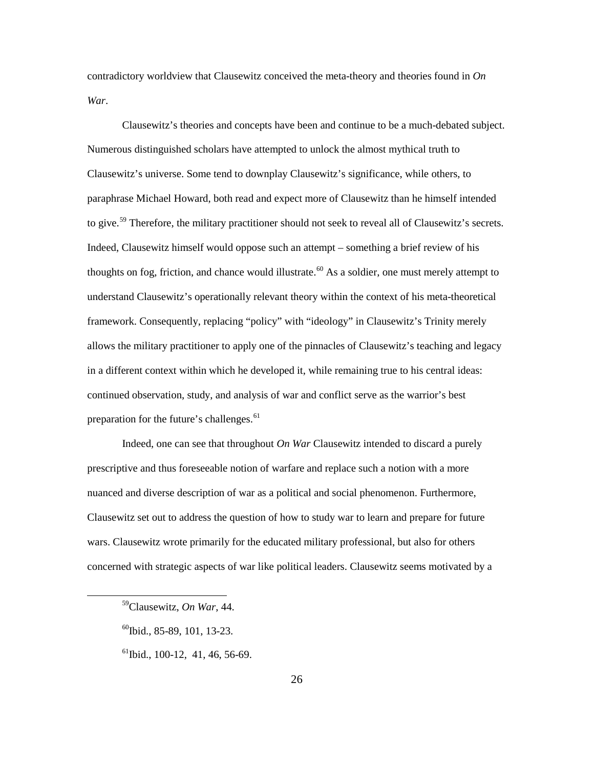contradictory worldview that Clausewitz conceived the meta-theory and theories found in *On War*.

Clausewitz's theories and concepts have been and continue to be a much-debated subject. Numerous distinguished scholars have attempted to unlock the almost mythical truth to Clausewitz's universe. Some tend to downplay Clausewitz's significance, while others, to paraphrase Michael Howard, both read and expect more of Clausewitz than he himself intended to give.<sup>59</sup> Therefore, the military practitioner should not seek to reveal all of Clausewitz's secrets. Indeed, Clausewitz himself would oppose such an attempt – something a brief review of his thoughts on fog, friction, and chance would illustrate.<sup>60</sup> As a soldier, one must merely attempt to understand Clausewitz's operationally relevant theory within the context of his meta-theoretical framework. Consequently, replacing "policy" with "ideology" in Clausewitz's Trinity merely allows the military practitioner to apply one of the pinnacles of Clausewitz's teaching and legacy in a different context within which he developed it, while remaining true to his central ideas: continued observation, study, and analysis of war and conflict serve as the warrior's best preparation for the future's challenges.<sup>61</sup>

Indeed, one can see that throughout *On War* Clausewitz intended to discard a purely prescriptive and thus foreseeable notion of warfare and replace such a notion with a more nuanced and diverse description of war as a political and social phenomenon. Furthermore, Clausewitz set out to address the question of how to study war to learn and prepare for future wars. Clausewitz wrote primarily for the educated military professional, but also for others concerned with strategic aspects of war like political leaders. Clausewitz seems motivated by a

 $\overline{a}$ 

 $^{61}$ Ibid., 100-12, 41, 46, 56-69.

<sup>59</sup>Clausewitz, *On War*, 44.

 $^{60}$ Ibid., 85-89, 101, 13-23.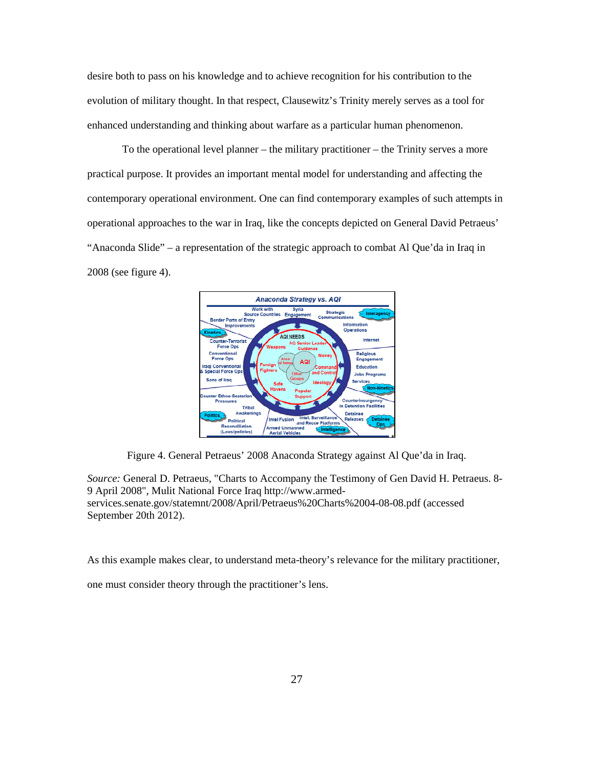desire both to pass on his knowledge and to achieve recognition for his contribution to the evolution of military thought. In that respect, Clausewitz's Trinity merely serves as a tool for enhanced understanding and thinking about warfare as a particular human phenomenon.

To the operational level planner – the military practitioner – the Trinity serves a more practical purpose. It provides an important mental model for understanding and affecting the contemporary operational environment. One can find contemporary examples of such attempts in operational approaches to the war in Iraq, like the concepts depicted on General David Petraeus' "Anaconda Slide" – a representation of the strategic approach to combat Al Que'da in Iraq in 2008 (see figure 4).



Figure 4. General Petraeus' 2008 Anaconda Strategy against Al Que'da in Iraq.

*Source:* General D. Petraeus, "Charts to Accompany the Testimony of Gen David H. Petraeus. 8- 9 April 2008", Mulit National Force Iraq http://www.armedservices.senate.gov/statemnt/2008/April/Petraeus%20Charts%2004-08-08.pdf (accessed September 20th 2012).

As this example makes clear, to understand meta-theory's relevance for the military practitioner,

one must consider theory through the practitioner's lens.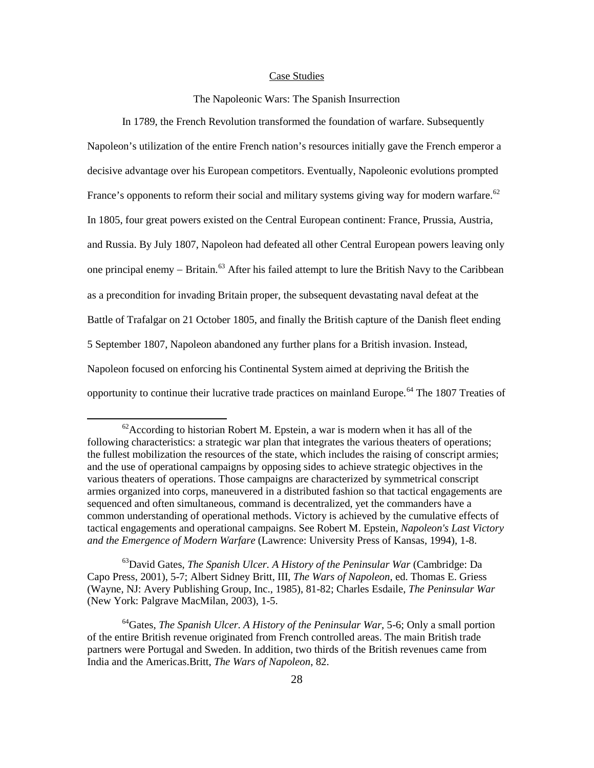#### Case Studies

### The Napoleonic Wars: The Spanish Insurrection

In 1789, the French Revolution transformed the foundation of warfare. Subsequently Napoleon's utilization of the entire French nation's resources initially gave the French emperor a decisive advantage over his European competitors. Eventually, Napoleonic evolutions prompted France's opponents to reform their social and military systems giving way for modern warfare.<sup>62</sup> In 1805, four great powers existed on the Central European continent: France, Prussia, Austria, and Russia. By July 1807, Napoleon had defeated all other Central European powers leaving only one principal enemy – Britain.<sup>63</sup> After his failed attempt to lure the British Navy to the Caribbean as a precondition for invading Britain proper, the subsequent devastating naval defeat at the Battle of Trafalgar on 21 October 1805, and finally the British capture of the Danish fleet ending 5 September 1807, Napoleon abandoned any further plans for a British invasion. Instead, Napoleon focused on enforcing his Continental System aimed at depriving the British the opportunity to continue their lucrative trade practices on mainland Europe.<sup>64</sup> The 1807 Treaties of

 $\overline{a}$ 

63David Gates, *The Spanish Ulcer. A History of the Peninsular War* (Cambridge: Da Capo Press, 2001), 5-7; Albert Sidney Britt, III, *The Wars of Napoleon*, ed. Thomas E. Griess (Wayne, NJ: Avery Publishing Group, Inc., 1985), 81-82; Charles Esdaile, *The Peninsular War* (New York: Palgrave MacMilan, 2003), 1-5.

64Gates, *The Spanish Ulcer. A History of the Peninsular War*, 5-6; Only a small portion of the entire British revenue originated from French controlled areas. The main British trade partners were Portugal and Sweden. In addition, two thirds of the British revenues came from India and the Americas.Britt, *The Wars of Napoleon*, 82.

 $62$ According to historian Robert M. Epstein, a war is modern when it has all of the following characteristics: a strategic war plan that integrates the various theaters of operations; the fullest mobilization the resources of the state, which includes the raising of conscript armies; and the use of operational campaigns by opposing sides to achieve strategic objectives in the various theaters of operations. Those campaigns are characterized by symmetrical conscript armies organized into corps, maneuvered in a distributed fashion so that tactical engagements are sequenced and often simultaneous, command is decentralized, yet the commanders have a common understanding of operational methods. Victory is achieved by the cumulative effects of tactical engagements and operational campaigns. See Robert M. Epstein, *Napoleon's Last Victory and the Emergence of Modern Warfare* (Lawrence: University Press of Kansas, 1994), 1-8.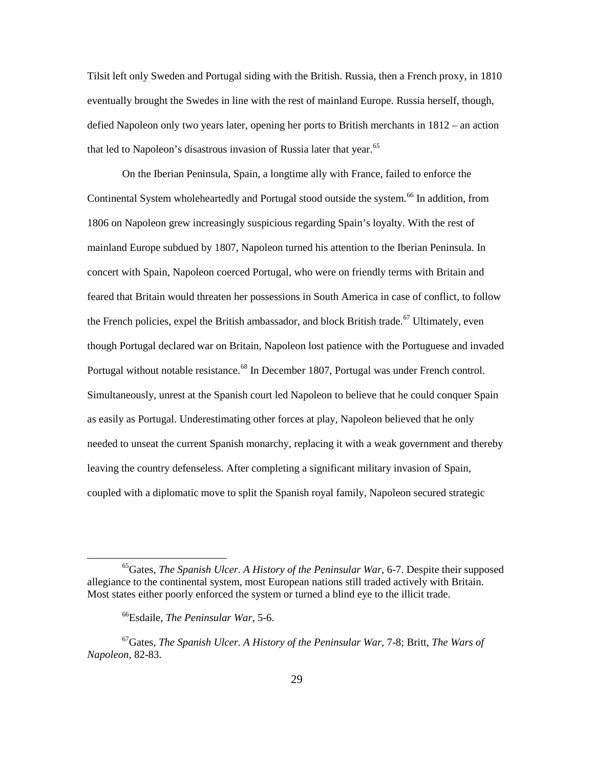Tilsit left only Sweden and Portugal siding with the British. Russia, then a French proxy, in 1810 eventually brought the Swedes in line with the rest of mainland Europe. Russia herself, though, defied Napoleon only two years later, opening her ports to British merchants in 1812 – an action that led to Napoleon's disastrous invasion of Russia later that year.<sup>65</sup>

On the Iberian Peninsula, Spain, a longtime ally with France, failed to enforce the Continental System wholeheartedly and Portugal stood outside the system.<sup>66</sup> In addition, from 1806 on Napoleon grew increasingly suspicious regarding Spain's loyalty. With the rest of mainland Europe subdued by 1807, Napoleon turned his attention to the Iberian Peninsula. In concert with Spain, Napoleon coerced Portugal, who were on friendly terms with Britain and feared that Britain would threaten her possessions in South America in case of conflict, to follow the French policies, expel the British ambassador, and block British trade.<sup>67</sup> Ultimately, even though Portugal declared war on Britain, Napoleon lost patience with the Portuguese and invaded Portugal without notable resistance.<sup>68</sup> In December 1807, Portugal was under French control. Simultaneously, unrest at the Spanish court led Napoleon to believe that he could conquer Spain as easily as Portugal. Underestimating other forces at play, Napoleon believed that he only needed to unseat the current Spanish monarchy, replacing it with a weak government and thereby leaving the country defenseless. After completing a significant military invasion of Spain, coupled with a diplomatic move to split the Spanish royal family, Napoleon secured strategic

<sup>65</sup>Gates, *The Spanish Ulcer. A History of the Peninsular War*, 6-7. Despite their supposed allegiance to the continental system, most European nations still traded actively with Britain. Most states either poorly enforced the system or turned a blind eye to the illicit trade.

<sup>66</sup>Esdaile, *The Peninsular War*, 5-6.

<sup>67</sup>Gates, *The Spanish Ulcer. A History of the Peninsular War*, 7-8; Britt, *The Wars of Napoleon*, 82-83.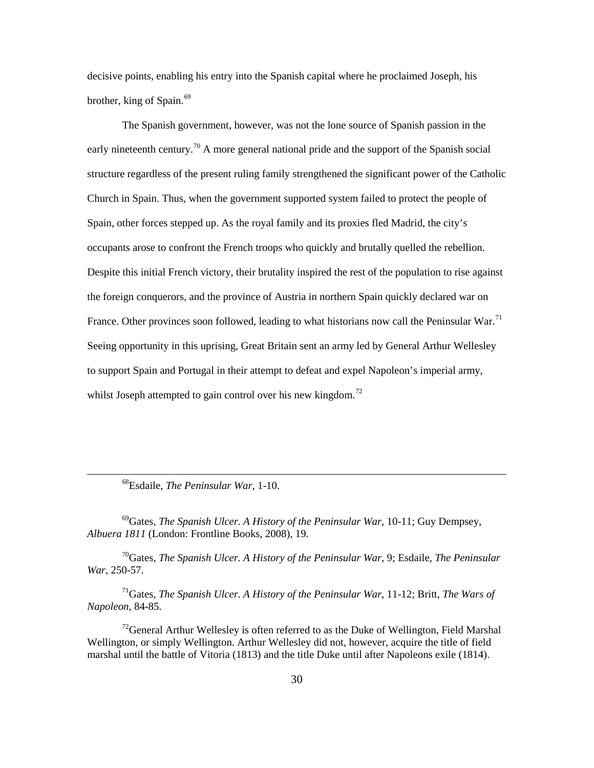decisive points, enabling his entry into the Spanish capital where he proclaimed Joseph, his brother, king of Spain.<sup>69</sup>

The Spanish government, however, was not the lone source of Spanish passion in the early nineteenth century.<sup>70</sup> A more general national pride and the support of the Spanish social structure regardless of the present ruling family strengthened the significant power of the Catholic Church in Spain. Thus, when the government supported system failed to protect the people of Spain, other forces stepped up. As the royal family and its proxies fled Madrid, the city's occupants arose to confront the French troops who quickly and brutally quelled the rebellion. Despite this initial French victory, their brutality inspired the rest of the population to rise against the foreign conquerors, and the province of Austria in northern Spain quickly declared war on France. Other provinces soon followed, leading to what historians now call the Peninsular War.<sup>71</sup> Seeing opportunity in this uprising, Great Britain sent an army led by General Arthur Wellesley to support Spain and Portugal in their attempt to defeat and expel Napoleon's imperial army, whilst Joseph attempted to gain control over his new kingdom.<sup>72</sup>

68Esdaile, *The Peninsular War*, 1-10.

 $\overline{a}$ 

69Gates, *The Spanish Ulcer. A History of the Peninsular War*, 10-11; Guy Dempsey, *Albuera 1811* (London: Frontline Books, 2008), 19.

70Gates, *The Spanish Ulcer. A History of the Peninsular War*, 9; Esdaile, *The Peninsular War*, 250-57.

71Gates, *The Spanish Ulcer. A History of the Peninsular War*, 11-12; Britt, *The Wars of Napoleon*, 84-85.

<sup>72</sup>General Arthur Wellesley is often referred to as the Duke of Wellington, Field Marshal Wellington, or simply Wellington, Arthur Wellesley did not, however, acquire the title of field marshal until the battle of Vitoria (1813) and the title Duke until after Napoleons exile (1814).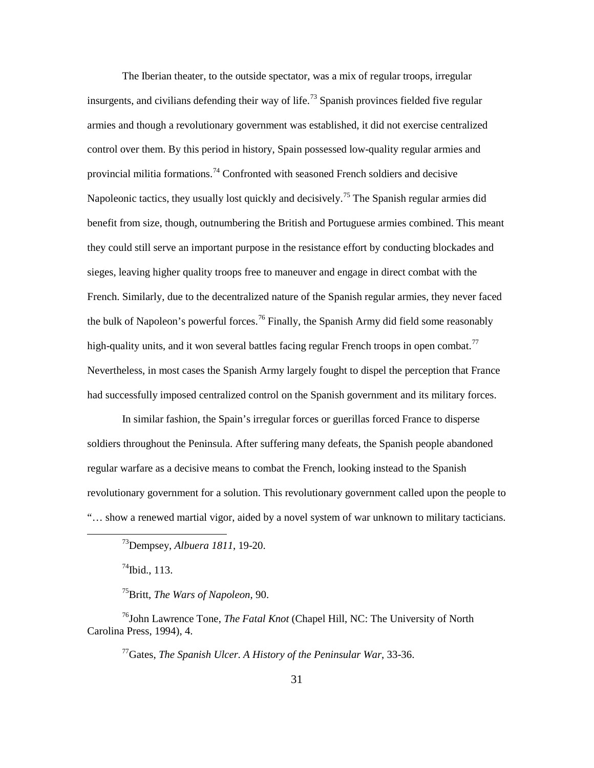The Iberian theater, to the outside spectator, was a mix of regular troops, irregular insurgents, and civilians defending their way of life.<sup>73</sup> Spanish provinces fielded five regular armies and though a revolutionary government was established, it did not exercise centralized control over them. By this period in history, Spain possessed low-quality regular armies and provincial militia formations.<sup>74</sup> Confronted with seasoned French soldiers and decisive Napoleonic tactics, they usually lost quickly and decisively.<sup>75</sup> The Spanish regular armies did benefit from size, though, outnumbering the British and Portuguese armies combined. This meant they could still serve an important purpose in the resistance effort by conducting blockades and sieges, leaving higher quality troops free to maneuver and engage in direct combat with the French. Similarly, due to the decentralized nature of the Spanish regular armies, they never faced the bulk of Napoleon's powerful forces.<sup>76</sup> Finally, the Spanish Army did field some reasonably high-quality units, and it won several battles facing regular French troops in open combat.<sup>77</sup> Nevertheless, in most cases the Spanish Army largely fought to dispel the perception that France had successfully imposed centralized control on the Spanish government and its military forces.

In similar fashion, the Spain's irregular forces or guerillas forced France to disperse soldiers throughout the Peninsula. After suffering many defeats, the Spanish people abandoned regular warfare as a decisive means to combat the French, looking instead to the Spanish revolutionary government for a solution. This revolutionary government called upon the people to "… show a renewed martial vigor, aided by a novel system of war unknown to military tacticians.

 $^{74}$ Ibid., 113.

 $\overline{a}$ 

75Britt, *The Wars of Napoleon*, 90.

76John Lawrence Tone, *The Fatal Knot* (Chapel Hill, NC: The University of North Carolina Press, 1994), 4.

77Gates, *The Spanish Ulcer. A History of the Peninsular War*, 33-36.

<sup>73</sup>Dempsey, *Albuera 1811*, 19-20.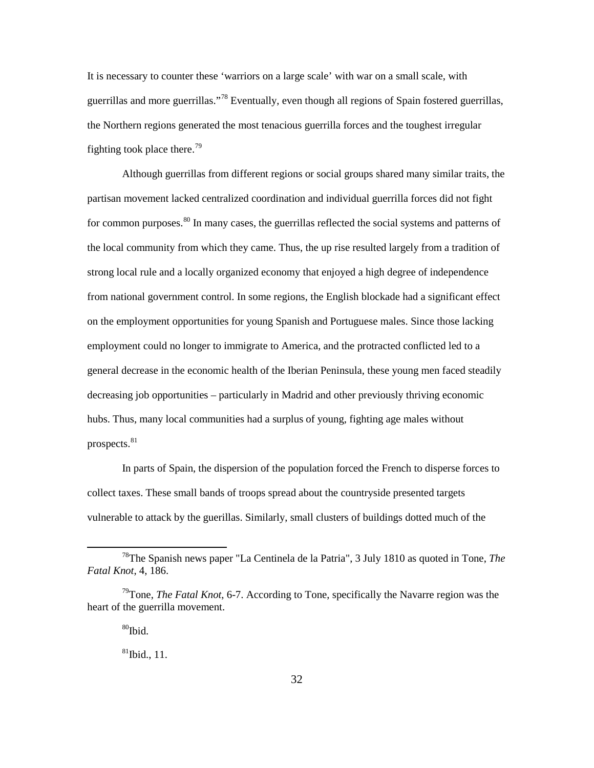It is necessary to counter these 'warriors on a large scale' with war on a small scale, with guerrillas and more guerrillas."<sup>78</sup> Eventually, even though all regions of Spain fostered guerrillas, the Northern regions generated the most tenacious guerrilla forces and the toughest irregular fighting took place there.<sup>79</sup>

Although guerrillas from different regions or social groups shared many similar traits, the partisan movement lacked centralized coordination and individual guerrilla forces did not fight for common purposes.<sup>80</sup> In many cases, the guerrillas reflected the social systems and patterns of the local community from which they came. Thus, the up rise resulted largely from a tradition of strong local rule and a locally organized economy that enjoyed a high degree of independence from national government control. In some regions, the English blockade had a significant effect on the employment opportunities for young Spanish and Portuguese males. Since those lacking employment could no longer to immigrate to America, and the protracted conflicted led to a general decrease in the economic health of the Iberian Peninsula, these young men faced steadily decreasing job opportunities – particularly in Madrid and other previously thriving economic hubs. Thus, many local communities had a surplus of young, fighting age males without prospects.<sup>81</sup>

In parts of Spain, the dispersion of the population forced the French to disperse forces to collect taxes. These small bands of troops spread about the countryside presented targets vulnerable to attack by the guerillas. Similarly, small clusters of buildings dotted much of the

 $^{80}$ Ibid $^{\circ}$ 

 $\overline{a}$ 

 $81$ Ibid., 11.

<sup>78</sup>The Spanish news paper "La Centinela de la Patria", 3 July 1810 as quoted in Tone, *The Fatal Knot*, 4, 186.

<sup>79</sup>Tone, *The Fatal Knot*, 6-7. According to Tone, specifically the Navarre region was the heart of the guerrilla movement.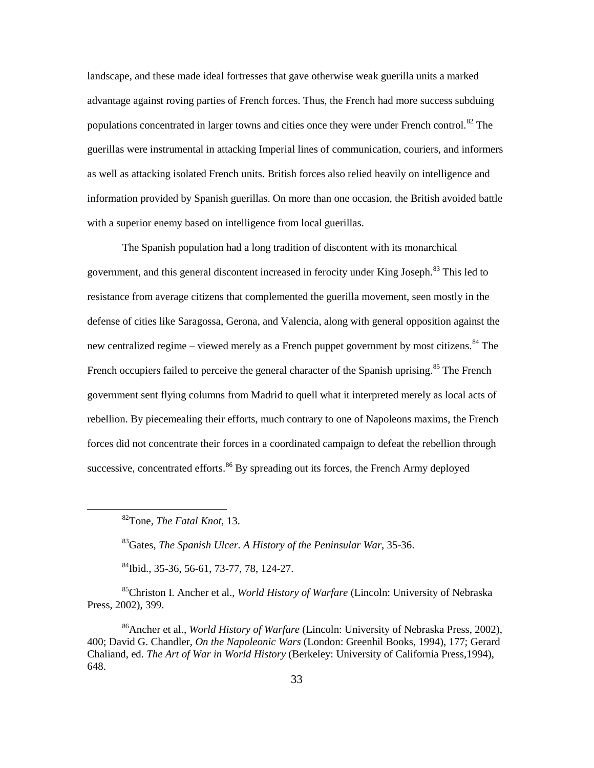landscape, and these made ideal fortresses that gave otherwise weak guerilla units a marked advantage against roving parties of French forces. Thus, the French had more success subduing populations concentrated in larger towns and cities once they were under French control.<sup>82</sup> The guerillas were instrumental in attacking Imperial lines of communication, couriers, and informers as well as attacking isolated French units. British forces also relied heavily on intelligence and information provided by Spanish guerillas. On more than one occasion, the British avoided battle with a superior enemy based on intelligence from local guerillas.

The Spanish population had a long tradition of discontent with its monarchical government, and this general discontent increased in ferocity under King Joseph.<sup>83</sup> This led to resistance from average citizens that complemented the guerilla movement, seen mostly in the defense of cities like Saragossa, Gerona, and Valencia, along with general opposition against the new centralized regime – viewed merely as a French puppet government by most citizens.<sup>84</sup> The French occupiers failed to perceive the general character of the Spanish uprising.<sup>85</sup> The French government sent flying columns from Madrid to quell what it interpreted merely as local acts of rebellion. By piecemealing their efforts, much contrary to one of Napoleons maxims, the French forces did not concentrate their forces in a coordinated campaign to defeat the rebellion through successive, concentrated efforts.<sup>86</sup> By spreading out its forces, the French Army deployed

82Tone, *The Fatal Knot*, 13.

 $\overline{a}$ 

83Gates, *The Spanish Ulcer. A History of the Peninsular War*, 35-36.

84Ibid., 35-36, 56-61, 73-77, 78, 124-27.

85Christon I. Ancher et al., *World History of Warfare* (Lincoln: University of Nebraska Press, 2002), 399.

86Ancher et al., *World History of Warfare* (Lincoln: University of Nebraska Press, 2002), 400; David G. Chandler, *On the Napoleonic Wars* (London: Greenhil Books, 1994), 177; Gerard Chaliand, ed. *The Art of War in World History* (Berkeley: University of California Press,1994), 648.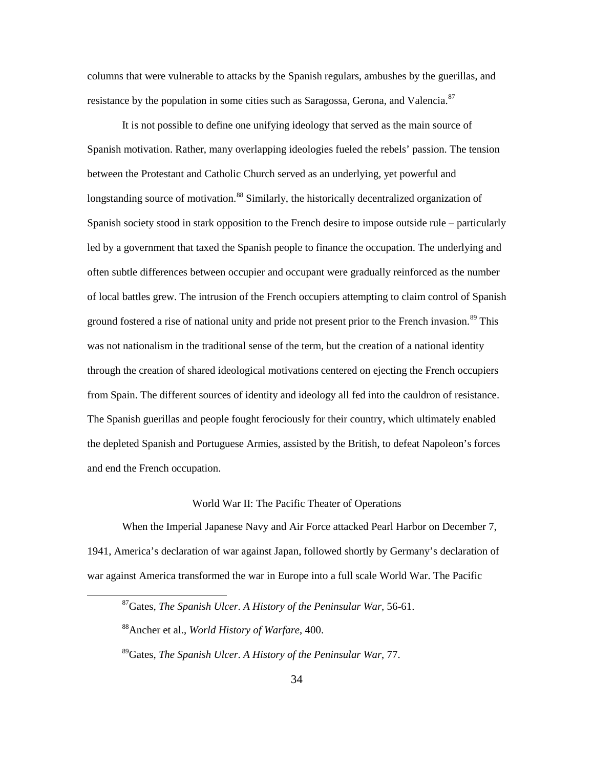columns that were vulnerable to attacks by the Spanish regulars, ambushes by the guerillas, and resistance by the population in some cities such as Saragossa, Gerona, and Valencia.<sup>87</sup>

It is not possible to define one unifying ideology that served as the main source of Spanish motivation. Rather, many overlapping ideologies fueled the rebels' passion. The tension between the Protestant and Catholic Church served as an underlying, yet powerful and longstanding source of motivation.<sup>88</sup> Similarly, the historically decentralized organization of Spanish society stood in stark opposition to the French desire to impose outside rule – particularly led by a government that taxed the Spanish people to finance the occupation. The underlying and often subtle differences between occupier and occupant were gradually reinforced as the number of local battles grew. The intrusion of the French occupiers attempting to claim control of Spanish ground fostered a rise of national unity and pride not present prior to the French invasion.<sup>89</sup> This was not nationalism in the traditional sense of the term, but the creation of a national identity through the creation of shared ideological motivations centered on ejecting the French occupiers from Spain. The different sources of identity and ideology all fed into the cauldron of resistance. The Spanish guerillas and people fought ferociously for their country, which ultimately enabled the depleted Spanish and Portuguese Armies, assisted by the British, to defeat Napoleon's forces and end the French occupation.

# World War II: The Pacific Theater of Operations

When the Imperial Japanese Navy and Air Force attacked Pearl Harbor on December 7, 1941, America's declaration of war against Japan, followed shortly by Germany's declaration of war against America transformed the war in Europe into a full scale World War. The Pacific

<sup>87</sup>Gates, *The Spanish Ulcer. A History of the Peninsular War*, 56-61.

<sup>88</sup>Ancher et al., *World History of Warfare*, 400.

<sup>89</sup>Gates, *The Spanish Ulcer. A History of the Peninsular War*, 77.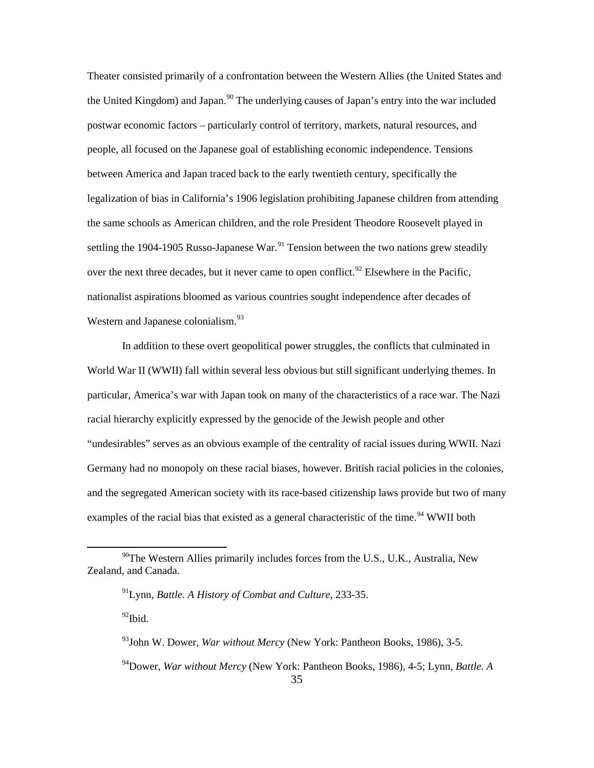Theater consisted primarily of a confrontation between the Western Allies (the United States and the United Kingdom) and Japan.<sup>90</sup> The underlying causes of Japan's entry into the war included postwar economic factors – particularly control of territory, markets, natural resources, and people, all focused on the Japanese goal of establishing economic independence. Tensions between America and Japan traced back to the early twentieth century, specifically the legalization of bias in California's 1906 legislation prohibiting Japanese children from attending the same schools as American children, and the role President Theodore Roosevelt played in settling the 1904-1905 Russo-Japanese War.<sup>91</sup> Tension between the two nations grew steadily over the next three decades, but it never came to open conflict.<sup>92</sup> Elsewhere in the Pacific, nationalist aspirations bloomed as various countries sought independence after decades of Western and Japanese colonialism.<sup>93</sup>

In addition to these overt geopolitical power struggles, the conflicts that culminated in World War II (WWII) fall within several less obvious but still significant underlying themes. In particular, America's war with Japan took on many of the characteristics of a race war. The Nazi racial hierarchy explicitly expressed by the genocide of the Jewish people and other "undesirables" serves as an obvious example of the centrality of racial issues during WWII. Nazi Germany had no monopoly on these racial biases, however. British racial policies in the colonies, and the segregated American society with its race-based citizenship laws provide but two of many examples of the racial bias that existed as a general characteristic of the time.<sup>94</sup> WWII both

 $^{92}$ Ibid.

 $^{90}$ The Western Allies primarily includes forces from the U.S., U.K., Australia, New Zealand, and Canada.

<sup>91</sup>Lynn, *Battle. A History of Combat and Culture*, 233-35.

<sup>93</sup>John W. Dower, *War without Mercy* (New York: Pantheon Books, 1986), 3-5.

<sup>94</sup>Dower, *War without Mercy* (New York: Pantheon Books, 1986), 4-5; Lynn, *Battle. A*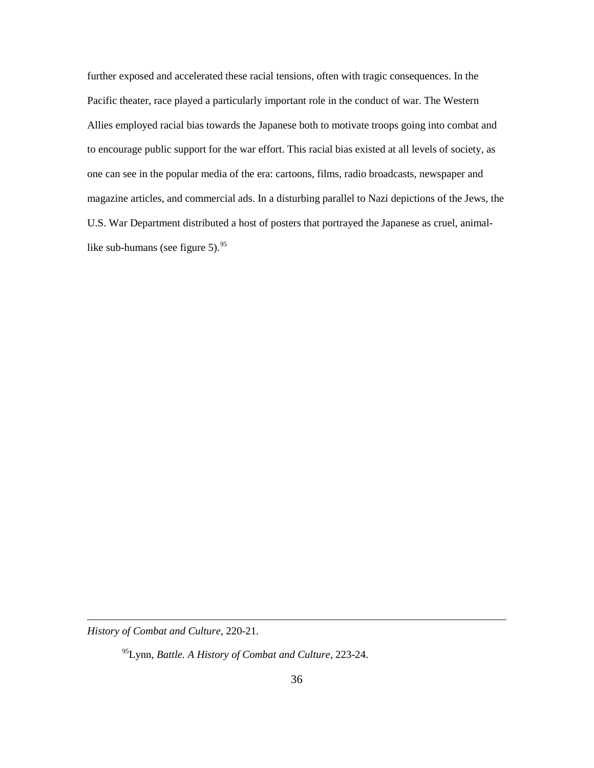further exposed and accelerated these racial tensions, often with tragic consequences. In the Pacific theater, race played a particularly important role in the conduct of war. The Western Allies employed racial bias towards the Japanese both to motivate troops going into combat and to encourage public support for the war effort. This racial bias existed at all levels of society, as one can see in the popular media of the era: cartoons, films, radio broadcasts, newspaper and magazine articles, and commercial ads. In a disturbing parallel to Nazi depictions of the Jews, the U.S. War Department distributed a host of posters that portrayed the Japanese as cruel, animallike sub-humans (see figure 5).  $95^{95}$ 

*History of Combat and Culture*, 220-21.

 $\overline{a}$ 

95Lynn, *Battle. A History of Combat and Culture*, 223-24.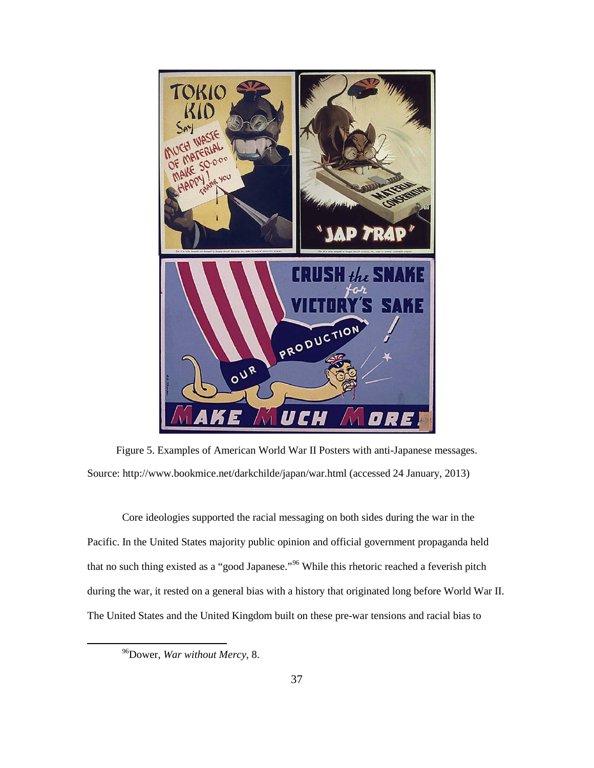

Figure 5. Examples of American World War II Posters with anti-Japanese messages. Source: http://www.bookmice.net/darkchilde/japan/war.html (accessed 24 January, 2013)

Core ideologies supported the racial messaging on both sides during the war in the Pacific. In the United States majority public opinion and official government propaganda held that no such thing existed as a "good Japanese."<sup>96</sup> While this rhetoric reached a feverish pitch during the war, it rested on a general bias with a history that originated long before World War II. The United States and the United Kingdom built on these pre-war tensions and racial bias to

<sup>96</sup>Dower, *War without Mercy*, 8.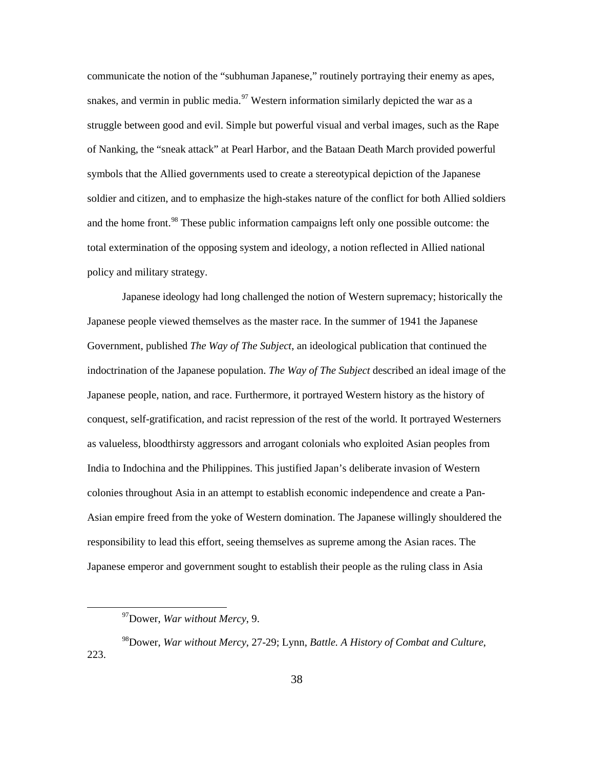communicate the notion of the "subhuman Japanese," routinely portraying their enemy as apes, snakes, and vermin in public media.<sup>97</sup> Western information similarly depicted the war as a struggle between good and evil. Simple but powerful visual and verbal images, such as the Rape of Nanking, the "sneak attack" at Pearl Harbor, and the Bataan Death March provided powerful symbols that the Allied governments used to create a stereotypical depiction of the Japanese soldier and citizen, and to emphasize the high-stakes nature of the conflict for both Allied soldiers and the home front.<sup>98</sup> These public information campaigns left only one possible outcome: the total extermination of the opposing system and ideology, a notion reflected in Allied national policy and military strategy.

Japanese ideology had long challenged the notion of Western supremacy; historically the Japanese people viewed themselves as the master race. In the summer of 1941 the Japanese Government, published *The Way of The Subject*, an ideological publication that continued the indoctrination of the Japanese population. *The Way of The Subject* described an ideal image of the Japanese people, nation, and race. Furthermore, it portrayed Western history as the history of conquest, self-gratification, and racist repression of the rest of the world. It portrayed Westerners as valueless, bloodthirsty aggressors and arrogant colonials who exploited Asian peoples from India to Indochina and the Philippines. This justified Japan's deliberate invasion of Western colonies throughout Asia in an attempt to establish economic independence and create a Pan-Asian empire freed from the yoke of Western domination. The Japanese willingly shouldered the responsibility to lead this effort, seeing themselves as supreme among the Asian races. The Japanese emperor and government sought to establish their people as the ruling class in Asia

<sup>97</sup>Dower, *War without Mercy*, 9.

<sup>98</sup>Dower, *War without Mercy*, 27-29; Lynn, *Battle. A History of Combat and Culture*, 223.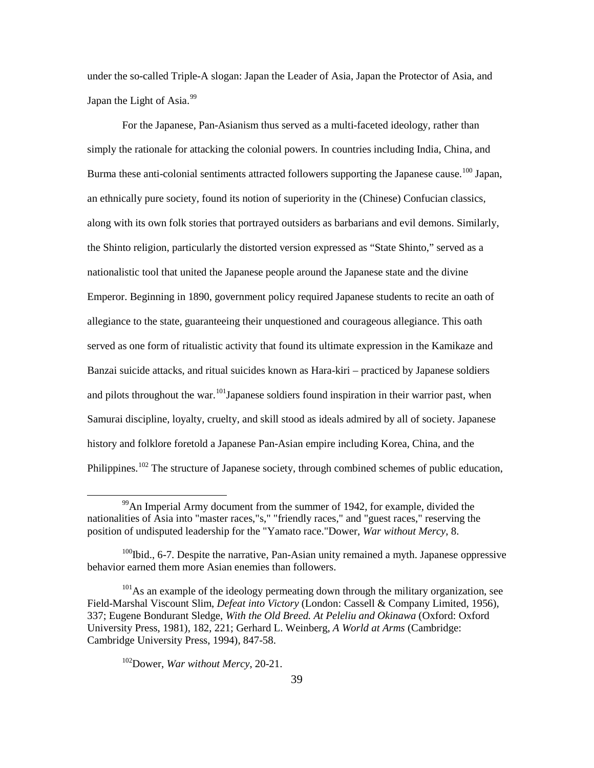under the so-called Triple-A slogan: Japan the Leader of Asia, Japan the Protector of Asia, and Japan the Light of Asia. $99$ 

For the Japanese, Pan-Asianism thus served as a multi-faceted ideology, rather than simply the rationale for attacking the colonial powers. In countries including India, China, and Burma these anti-colonial sentiments attracted followers supporting the Japanese cause.<sup>100</sup> Japan, an ethnically pure society, found its notion of superiority in the (Chinese) Confucian classics, along with its own folk stories that portrayed outsiders as barbarians and evil demons. Similarly, the Shinto religion, particularly the distorted version expressed as "State Shinto," served as a nationalistic tool that united the Japanese people around the Japanese state and the divine Emperor. Beginning in 1890, government policy required Japanese students to recite an oath of allegiance to the state, guaranteeing their unquestioned and courageous allegiance. This oath served as one form of ritualistic activity that found its ultimate expression in the Kamikaze and Banzai suicide attacks, and ritual suicides known as Hara-kiri – practiced by Japanese soldiers and pilots throughout the war.  $^{101}$ Japanese soldiers found inspiration in their warrior past, when Samurai discipline, loyalty, cruelty, and skill stood as ideals admired by all of society. Japanese history and folklore foretold a Japanese Pan-Asian empire including Korea, China, and the Philippines.<sup>102</sup> The structure of Japanese society, through combined schemes of public education,

 $^{99}$ An Imperial Army document from the summer of 1942, for example, divided the nationalities of Asia into "master races,"s," "friendly races," and "guest races," reserving the position of undisputed leadership for the "Yamato race."Dower, *War without Mercy*, 8.

 $100$ Ibid., 6-7. Despite the narrative, Pan-Asian unity remained a myth. Japanese oppressive behavior earned them more Asian enemies than followers.

<sup>&</sup>lt;sup>101</sup>As an example of the ideology permeating down through the military organization, see Field-Marshal Viscount Slim, *Defeat into Victory* (London: Cassell & Company Limited, 1956), 337; Eugene Bondurant Sledge, *With the Old Breed. At Peleliu and Okinawa* (Oxford: Oxford University Press, 1981), 182, 221; Gerhard L. Weinberg, *A World at Arms* (Cambridge: Cambridge University Press, 1994), 847-58.

<sup>102</sup>Dower, *War without Mercy*, 20-21.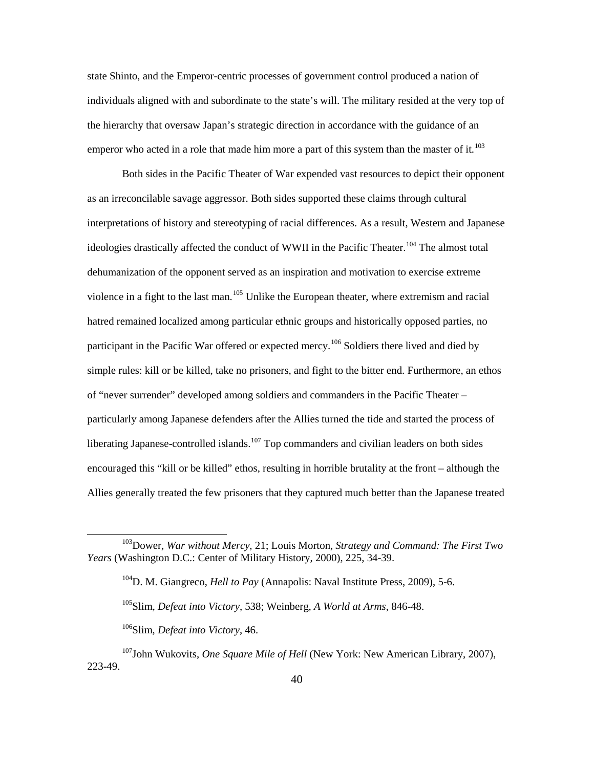state Shinto, and the Emperor-centric processes of government control produced a nation of individuals aligned with and subordinate to the state's will. The military resided at the very top of the hierarchy that oversaw Japan's strategic direction in accordance with the guidance of an emperor who acted in a role that made him more a part of this system than the master of it.<sup>103</sup>

Both sides in the Pacific Theater of War expended vast resources to depict their opponent as an irreconcilable savage aggressor. Both sides supported these claims through cultural interpretations of history and stereotyping of racial differences. As a result, Western and Japanese ideologies drastically affected the conduct of WWII in the Pacific Theater.<sup>104</sup> The almost total dehumanization of the opponent served as an inspiration and motivation to exercise extreme violence in a fight to the last man.<sup>105</sup> Unlike the European theater, where extremism and racial hatred remained localized among particular ethnic groups and historically opposed parties, no participant in the Pacific War offered or expected mercy.<sup>106</sup> Soldiers there lived and died by simple rules: kill or be killed, take no prisoners, and fight to the bitter end. Furthermore, an ethos of "never surrender" developed among soldiers and commanders in the Pacific Theater – particularly among Japanese defenders after the Allies turned the tide and started the process of liberating Japanese-controlled islands.<sup>107</sup> Top commanders and civilian leaders on both sides encouraged this "kill or be killed" ethos, resulting in horrible brutality at the front – although the Allies generally treated the few prisoners that they captured much better than the Japanese treated

<sup>103</sup>Dower, *War without Mercy*, 21; Louis Morton, *Strategy and Command: The First Two Years* (Washington D.C.: Center of Military History, 2000), 225, 34-39.

<sup>104</sup>D. M. Giangreco, *Hell to Pay* (Annapolis: Naval Institute Press, 2009), 5-6.

<sup>105</sup>Slim, *Defeat into Victory*, 538; Weinberg, *A World at Arms*, 846-48.

<sup>106</sup>Slim, *Defeat into Victory*, 46.

<sup>107</sup>John Wukovits, *One Square Mile of Hell* (New York: New American Library, 2007), 223-49.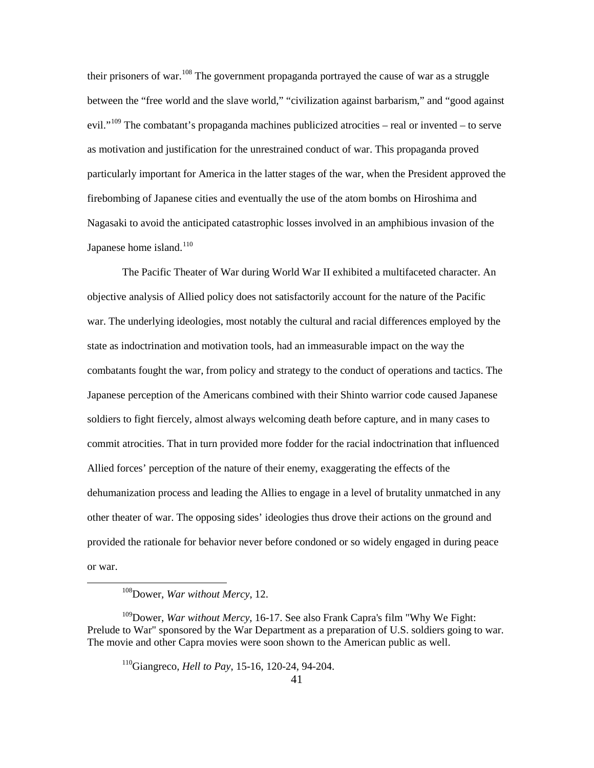their prisoners of war.<sup>108</sup> The government propaganda portrayed the cause of war as a struggle between the "free world and the slave world," "civilization against barbarism," and "good against evil."<sup>109</sup> The combatant's propaganda machines publicized atrocities – real or invented – to serve as motivation and justification for the unrestrained conduct of war. This propaganda proved particularly important for America in the latter stages of the war, when the President approved the firebombing of Japanese cities and eventually the use of the atom bombs on Hiroshima and Nagasaki to avoid the anticipated catastrophic losses involved in an amphibious invasion of the Japanese home island. $110$ 

The Pacific Theater of War during World War II exhibited a multifaceted character. An objective analysis of Allied policy does not satisfactorily account for the nature of the Pacific war. The underlying ideologies, most notably the cultural and racial differences employed by the state as indoctrination and motivation tools, had an immeasurable impact on the way the combatants fought the war, from policy and strategy to the conduct of operations and tactics. The Japanese perception of the Americans combined with their Shinto warrior code caused Japanese soldiers to fight fiercely, almost always welcoming death before capture, and in many cases to commit atrocities. That in turn provided more fodder for the racial indoctrination that influenced Allied forces' perception of the nature of their enemy, exaggerating the effects of the dehumanization process and leading the Allies to engage in a level of brutality unmatched in any other theater of war. The opposing sides' ideologies thus drove their actions on the ground and provided the rationale for behavior never before condoned or so widely engaged in during peace or war.

<sup>108</sup>Dower, *War without Mercy*, 12.

<sup>109</sup>Dower, *War without Mercy*, 16-17. See also Frank Capra's film "Why We Fight: Prelude to War" sponsored by the War Department as a preparation of U.S. soldiers going to war. The movie and other Capra movies were soon shown to the American public as well.

<sup>110</sup>Giangreco, *Hell to Pay*, 15-16, 120-24, 94-204.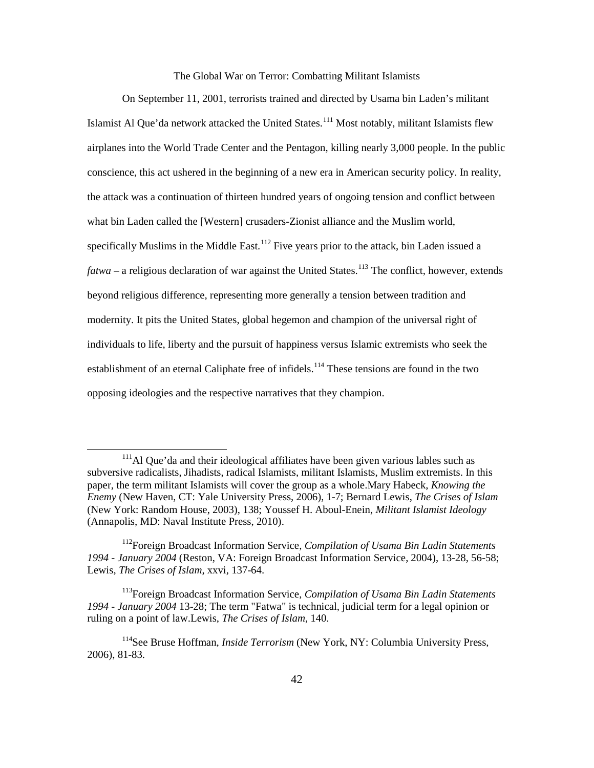The Global War on Terror: Combatting Militant Islamists

On September 11, 2001, terrorists trained and directed by Usama bin Laden's militant Islamist Al Que'da network attacked the United States.<sup>111</sup> Most notably, militant Islamists flew airplanes into the World Trade Center and the Pentagon, killing nearly 3,000 people. In the public conscience, this act ushered in the beginning of a new era in American security policy. In reality, the attack was a continuation of thirteen hundred years of ongoing tension and conflict between what bin Laden called the [Western] crusaders-Zionist alliance and the Muslim world, specifically Muslims in the Middle East.<sup>112</sup> Five years prior to the attack, bin Laden issued a *fatwa* – a religious declaration of war against the United States.<sup>113</sup> The conflict, however, extends beyond religious difference, representing more generally a tension between tradition and modernity. It pits the United States, global hegemon and champion of the universal right of individuals to life, liberty and the pursuit of happiness versus Islamic extremists who seek the establishment of an eternal Caliphate free of infidels.<sup>114</sup> These tensions are found in the two opposing ideologies and the respective narratives that they champion.

 $111$ Al Que'da and their ideological affiliates have been given various lables such as subversive radicalists, Jihadists, radical Islamists, militant Islamists, Muslim extremists. In this paper, the term militant Islamists will cover the group as a whole.Mary Habeck, *Knowing the Enemy* (New Haven, CT: Yale University Press, 2006), 1-7; Bernard Lewis, *The Crises of Islam* (New York: Random House, 2003), 138; Youssef H. Aboul-Enein, *Militant Islamist Ideology* (Annapolis, MD: Naval Institute Press, 2010).

<sup>112</sup>Foreign Broadcast Information Service, *Compilation of Usama Bin Ladin Statements 1994 - January 2004* (Reston, VA: Foreign Broadcast Information Service, 2004), 13-28, 56-58; Lewis, *The Crises of Islam*, xxvi, 137-64.

<sup>113</sup>Foreign Broadcast Information Service, *Compilation of Usama Bin Ladin Statements 1994 - January 2004* 13-28; The term "Fatwa" is technical, judicial term for a legal opinion or ruling on a point of law.Lewis, *The Crises of Islam*, 140.

<sup>114</sup>See Bruse Hoffman, *Inside Terrorism* (New York, NY: Columbia University Press, 2006), 81-83.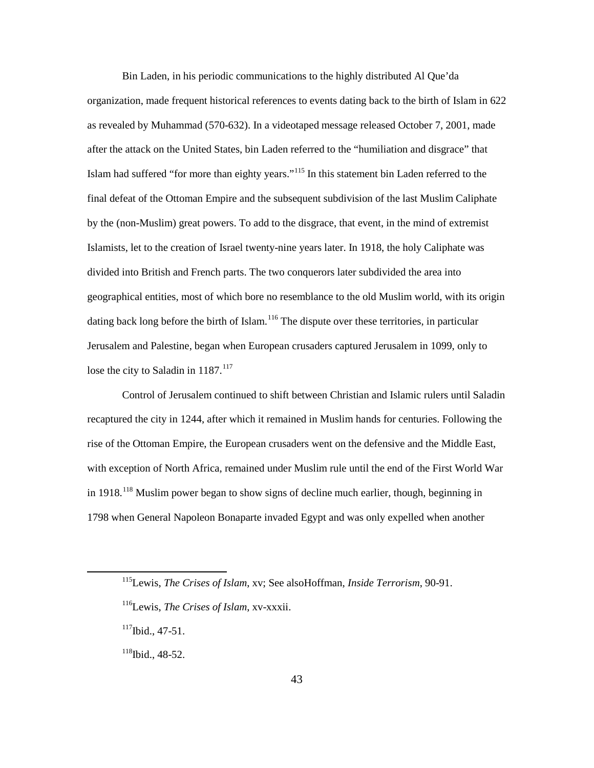Bin Laden, in his periodic communications to the highly distributed Al Que'da organization, made frequent historical references to events dating back to the birth of Islam in 622 as revealed by Muhammad (570-632). In a videotaped message released October 7, 2001, made after the attack on the United States, bin Laden referred to the "humiliation and disgrace" that Islam had suffered "for more than eighty years."<sup>115</sup> In this statement bin Laden referred to the final defeat of the Ottoman Empire and the subsequent subdivision of the last Muslim Caliphate by the (non-Muslim) great powers. To add to the disgrace, that event, in the mind of extremist Islamists, let to the creation of Israel twenty-nine years later. In 1918, the holy Caliphate was divided into British and French parts. The two conquerors later subdivided the area into geographical entities, most of which bore no resemblance to the old Muslim world, with its origin dating back long before the birth of Islam.<sup>116</sup> The dispute over these territories, in particular Jerusalem and Palestine, began when European crusaders captured Jerusalem in 1099, only to lose the city to Saladin in  $1187$ <sup>117</sup>

Control of Jerusalem continued to shift between Christian and Islamic rulers until Saladin recaptured the city in 1244, after which it remained in Muslim hands for centuries. Following the rise of the Ottoman Empire, the European crusaders went on the defensive and the Middle East, with exception of North Africa, remained under Muslim rule until the end of the First World War in  $1918$ <sup>118</sup> Muslim power began to show signs of decline much earlier, though, beginning in 1798 when General Napoleon Bonaparte invaded Egypt and was only expelled when another

<sup>115</sup>Lewis, *The Crises of Islam*, xv; See alsoHoffman, *Inside Terrorism*, 90-91.

<sup>116</sup>Lewis, *The Crises of Islam*, xv-xxxii.

 $117$ Ibid., 47-51.

 $118$ Ibid., 48-52.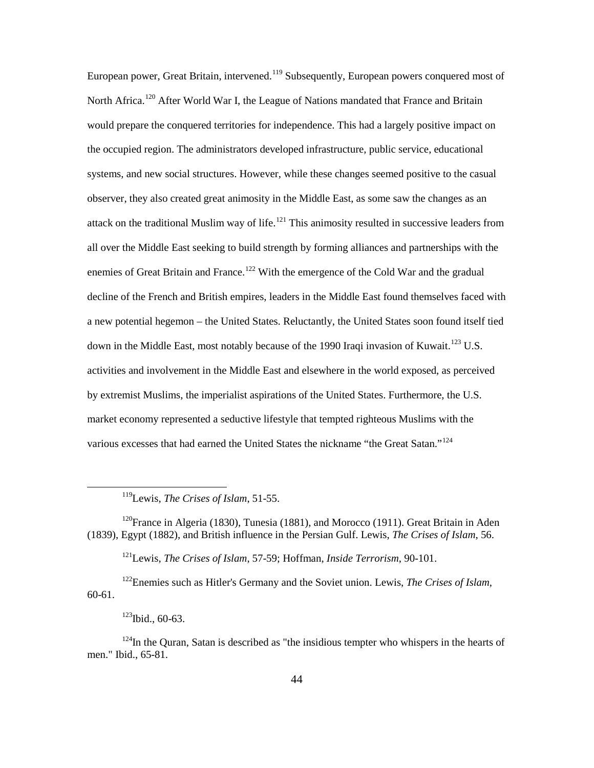European power, Great Britain, intervened.<sup>119</sup> Subsequently, European powers conquered most of North Africa.<sup>120</sup> After World War I, the League of Nations mandated that France and Britain would prepare the conquered territories for independence. This had a largely positive impact on the occupied region. The administrators developed infrastructure, public service, educational systems, and new social structures. However, while these changes seemed positive to the casual observer, they also created great animosity in the Middle East, as some saw the changes as an attack on the traditional Muslim way of life.<sup>121</sup> This animosity resulted in successive leaders from all over the Middle East seeking to build strength by forming alliances and partnerships with the enemies of Great Britain and France.<sup>122</sup> With the emergence of the Cold War and the gradual decline of the French and British empires, leaders in the Middle East found themselves faced with a new potential hegemon – the United States. Reluctantly, the United States soon found itself tied down in the Middle East, most notably because of the 1990 Iraqi invasion of Kuwait.<sup>123</sup> U.S. activities and involvement in the Middle East and elsewhere in the world exposed, as perceived by extremist Muslims, the imperialist aspirations of the United States. Furthermore, the U.S. market economy represented a seductive lifestyle that tempted righteous Muslims with the various excesses that had earned the United States the nickname "the Great Satan."<sup>124</sup>

119Lewis, *The Crises of Islam*, 51-55.

<sup>120</sup>France in Algeria (1830), Tunesia (1881), and Morocco (1911). Great Britain in Aden (1839), Egypt (1882), and British influence in the Persian Gulf. Lewis, *The Crises of Islam*, 56.

121Lewis, *The Crises of Islam*, 57-59; Hoffman, *Inside Terrorism*, 90-101.

122Enemies such as Hitler's Germany and the Soviet union. Lewis, *The Crises of Islam*, 60-61.

 $123$ Ibid., 60-63.

 $\overline{a}$ 

 $124$ In the Ouran, Satan is described as "the insidious tempter who whispers in the hearts of men." Ibid., 65-81.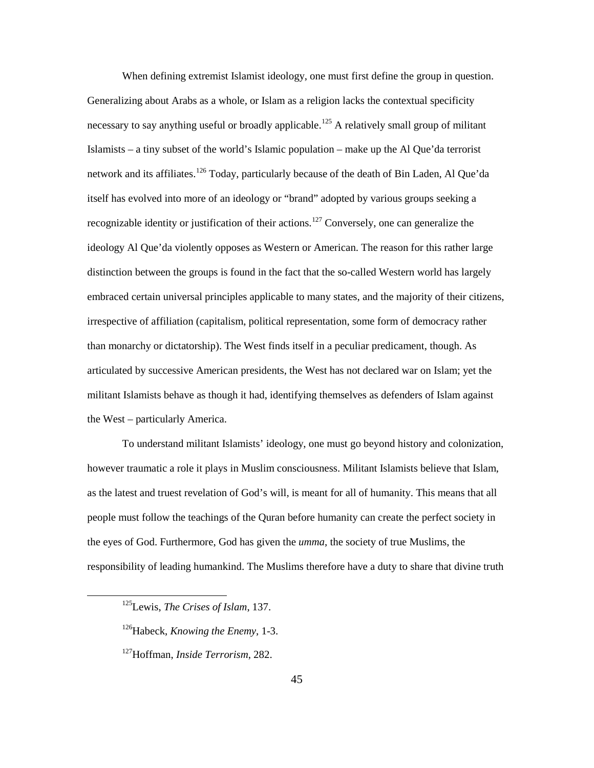When defining extremist Islamist ideology, one must first define the group in question. Generalizing about Arabs as a whole, or Islam as a religion lacks the contextual specificity necessary to say anything useful or broadly applicable.<sup>125</sup> A relatively small group of militant Islamists – a tiny subset of the world's Islamic population – make up the Al Que'da terrorist network and its affiliates.<sup>126</sup> Today, particularly because of the death of Bin Laden, Al Que'da itself has evolved into more of an ideology or "brand" adopted by various groups seeking a recognizable identity or justification of their actions.<sup>127</sup> Conversely, one can generalize the ideology Al Que'da violently opposes as Western or American. The reason for this rather large distinction between the groups is found in the fact that the so-called Western world has largely embraced certain universal principles applicable to many states, and the majority of their citizens, irrespective of affiliation (capitalism, political representation, some form of democracy rather than monarchy or dictatorship). The West finds itself in a peculiar predicament, though. As articulated by successive American presidents, the West has not declared war on Islam; yet the militant Islamists behave as though it had, identifying themselves as defenders of Islam against the West – particularly America.

To understand militant Islamists' ideology, one must go beyond history and colonization, however traumatic a role it plays in Muslim consciousness. Militant Islamists believe that Islam, as the latest and truest revelation of God's will, is meant for all of humanity. This means that all people must follow the teachings of the Quran before humanity can create the perfect society in the eyes of God. Furthermore, God has given the *umma*, the society of true Muslims, the responsibility of leading humankind. The Muslims therefore have a duty to share that divine truth

<sup>125</sup>Lewis, *The Crises of Islam*, 137.

<sup>126</sup>Habeck, *Knowing the Enemy*, 1-3.

<sup>127</sup>Hoffman, *Inside Terrorism*, 282.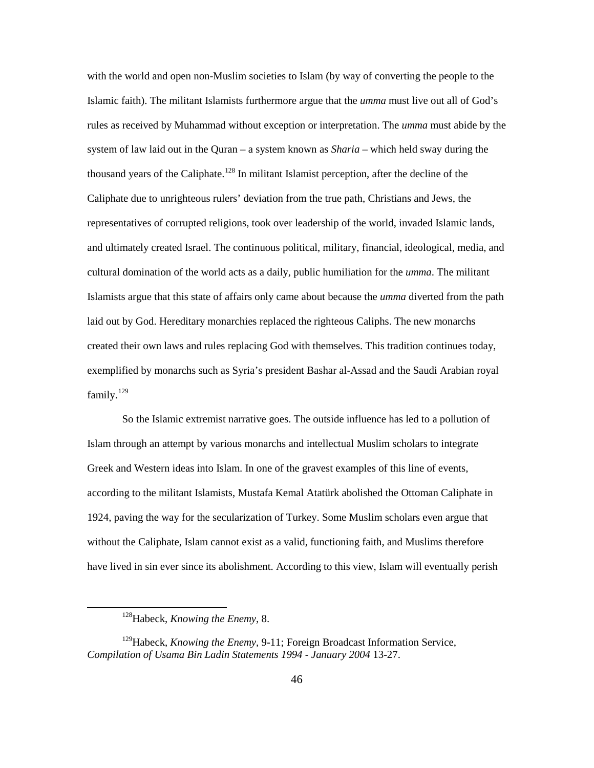with the world and open non-Muslim societies to Islam (by way of converting the people to the Islamic faith). The militant Islamists furthermore argue that the *umma* must live out all of God's rules as received by Muhammad without exception or interpretation. The *umma* must abide by the system of law laid out in the Quran – a system known as *Sharia* – which held sway during the thousand years of the Caliphate.<sup>128</sup> In militant Islamist perception, after the decline of the Caliphate due to unrighteous rulers' deviation from the true path, Christians and Jews, the representatives of corrupted religions, took over leadership of the world, invaded Islamic lands, and ultimately created Israel. The continuous political, military, financial, ideological, media, and cultural domination of the world acts as a daily, public humiliation for the *umma*. The militant Islamists argue that this state of affairs only came about because the *umma* diverted from the path laid out by God. Hereditary monarchies replaced the righteous Caliphs. The new monarchs created their own laws and rules replacing God with themselves. This tradition continues today, exemplified by monarchs such as Syria's president Bashar al-Assad and the Saudi Arabian royal family.<sup>129</sup>

So the Islamic extremist narrative goes. The outside influence has led to a pollution of Islam through an attempt by various monarchs and intellectual Muslim scholars to integrate Greek and Western ideas into Islam. In one of the gravest examples of this line of events, according to the militant Islamists, Mustafa Kemal Atatürk abolished the Ottoman Caliphate in 1924, paving the way for the secularization of Turkey. Some Muslim scholars even argue that without the Caliphate, Islam cannot exist as a valid, functioning faith, and Muslims therefore have lived in sin ever since its abolishment. According to this view, Islam will eventually perish

<sup>128</sup>Habeck, *Knowing the Enemy*, 8.

<sup>&</sup>lt;sup>129</sup>Habeck, *Knowing the Enemy*, 9-11; Foreign Broadcast Information Service, *Compilation of Usama Bin Ladin Statements 1994 - January 2004* 13-27.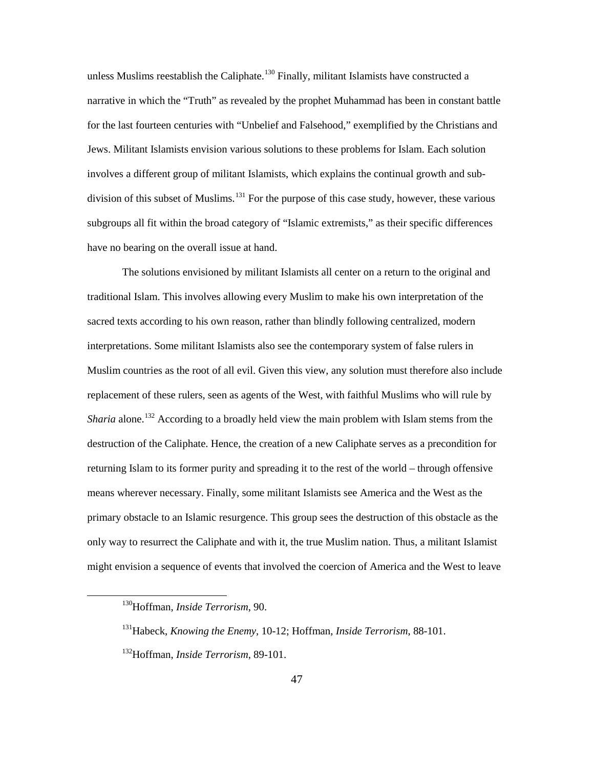unless Muslims reestablish the Caliphate.<sup>130</sup> Finally, militant Islamists have constructed a narrative in which the "Truth" as revealed by the prophet Muhammad has been in constant battle for the last fourteen centuries with "Unbelief and Falsehood," exemplified by the Christians and Jews. Militant Islamists envision various solutions to these problems for Islam. Each solution involves a different group of militant Islamists, which explains the continual growth and subdivision of this subset of Muslims.<sup>131</sup> For the purpose of this case study, however, these various subgroups all fit within the broad category of "Islamic extremists," as their specific differences have no bearing on the overall issue at hand.

The solutions envisioned by militant Islamists all center on a return to the original and traditional Islam. This involves allowing every Muslim to make his own interpretation of the sacred texts according to his own reason, rather than blindly following centralized, modern interpretations. Some militant Islamists also see the contemporary system of false rulers in Muslim countries as the root of all evil. Given this view, any solution must therefore also include replacement of these rulers, seen as agents of the West, with faithful Muslims who will rule by *Sharia* alone.<sup>132</sup> According to a broadly held view the main problem with Islam stems from the destruction of the Caliphate. Hence, the creation of a new Caliphate serves as a precondition for returning Islam to its former purity and spreading it to the rest of the world – through offensive means wherever necessary. Finally, some militant Islamists see America and the West as the primary obstacle to an Islamic resurgence. This group sees the destruction of this obstacle as the only way to resurrect the Caliphate and with it, the true Muslim nation. Thus, a militant Islamist might envision a sequence of events that involved the coercion of America and the West to leave

<sup>130</sup>Hoffman, *Inside Terrorism*, 90.

<sup>131</sup>Habeck, *Knowing the Enemy*, 10-12; Hoffman, *Inside Terrorism*, 88-101.

<sup>132</sup>Hoffman, *Inside Terrorism*, 89-101.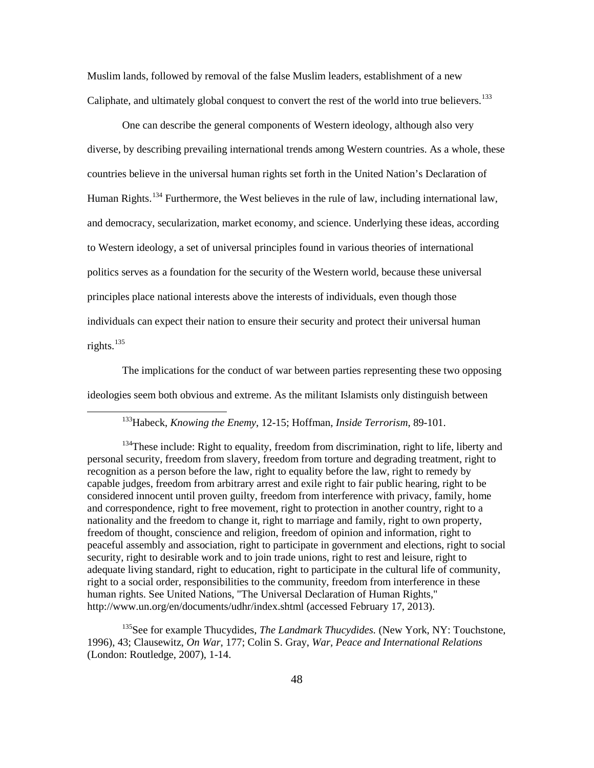Muslim lands, followed by removal of the false Muslim leaders, establishment of a new Caliphate, and ultimately global conquest to convert the rest of the world into true believers.<sup>133</sup>

One can describe the general components of Western ideology, although also very diverse, by describing prevailing international trends among Western countries. As a whole, these countries believe in the universal human rights set forth in the United Nation's Declaration of Human Rights.<sup>134</sup> Furthermore, the West believes in the rule of law, including international law, and democracy, secularization, market economy, and science. Underlying these ideas, according to Western ideology, a set of universal principles found in various theories of international politics serves as a foundation for the security of the Western world, because these universal principles place national interests above the interests of individuals, even though those individuals can expect their nation to ensure their security and protect their universal human rights. $135$ 

The implications for the conduct of war between parties representing these two opposing ideologies seem both obvious and extreme. As the militant Islamists only distinguish between

 $\overline{a}$ 

<sup>135</sup>See for example Thucydides, *The Landmark Thucydides*. (New York, NY: Touchstone, 1996), 43; Clausewitz, *On War*, 177; Colin S. Gray, *War, Peace and International Relations* (London: Routledge, 2007), 1-14.

<sup>133</sup>Habeck, *Knowing the Enemy*, 12-15; Hoffman, *Inside Terrorism*, 89-101.

 $134$ These include: Right to equality, freedom from discrimination, right to life, liberty and personal security, freedom from slavery, freedom from torture and degrading treatment, right to recognition as a person before the law, right to equality before the law, right to remedy by capable judges, freedom from arbitrary arrest and exile right to fair public hearing, right to be considered innocent until proven guilty, freedom from interference with privacy, family, home and correspondence, right to free movement, right to protection in another country, right to a nationality and the freedom to change it, right to marriage and family, right to own property, freedom of thought, conscience and religion, freedom of opinion and information, right to peaceful assembly and association, right to participate in government and elections, right to social security, right to desirable work and to join trade unions, right to rest and leisure, right to adequate living standard, right to education, right to participate in the cultural life of community, right to a social order, responsibilities to the community, freedom from interference in these human rights. See United Nations, "The Universal Declaration of Human Rights," http://www.un.org/en/documents/udhr/index.shtml (accessed February 17, 2013).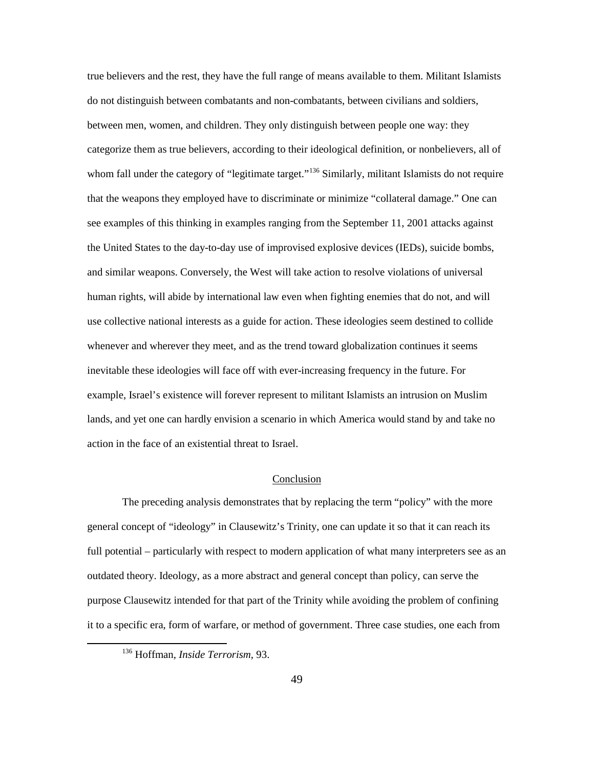true believers and the rest, they have the full range of means available to them. Militant Islamists do not distinguish between combatants and non-combatants, between civilians and soldiers, between men, women, and children. They only distinguish between people one way: they categorize them as true believers, according to their ideological definition, or nonbelievers, all of whom fall under the category of "legitimate target."<sup>136</sup> Similarly, militant Islamists do not require that the weapons they employed have to discriminate or minimize "collateral damage." One can see examples of this thinking in examples ranging from the September 11, 2001 attacks against the United States to the day-to-day use of improvised explosive devices (IEDs), suicide bombs, and similar weapons. Conversely, the West will take action to resolve violations of universal human rights, will abide by international law even when fighting enemies that do not, and will use collective national interests as a guide for action. These ideologies seem destined to collide whenever and wherever they meet, and as the trend toward globalization continues it seems inevitable these ideologies will face off with ever-increasing frequency in the future. For example, Israel's existence will forever represent to militant Islamists an intrusion on Muslim lands, and yet one can hardly envision a scenario in which America would stand by and take no action in the face of an existential threat to Israel.

# Conclusion

The preceding analysis demonstrates that by replacing the term "policy" with the more general concept of "ideology" in Clausewitz's Trinity, one can update it so that it can reach its full potential – particularly with respect to modern application of what many interpreters see as an outdated theory. Ideology, as a more abstract and general concept than policy, can serve the purpose Clausewitz intended for that part of the Trinity while avoiding the problem of confining it to a specific era, form of warfare, or method of government. Three case studies, one each from

<sup>136</sup> Hoffman, *Inside Terrorism*, 93.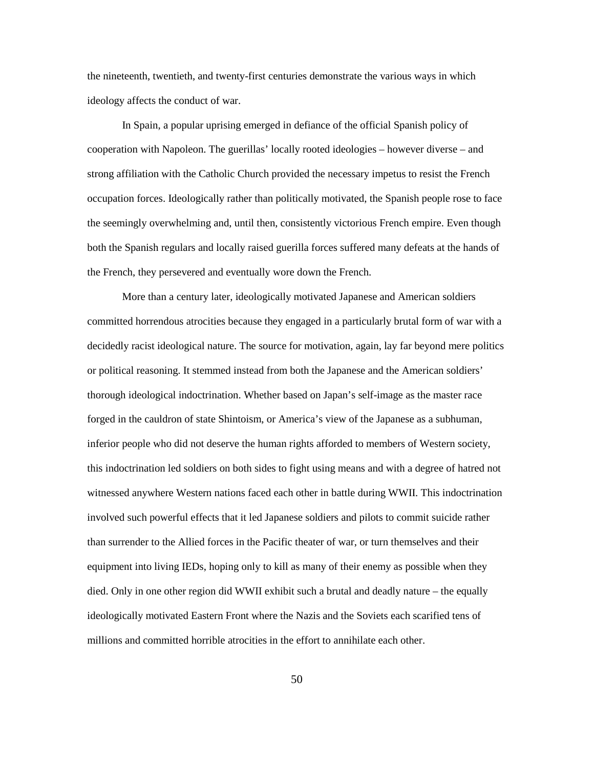the nineteenth, twentieth, and twenty-first centuries demonstrate the various ways in which ideology affects the conduct of war.

In Spain, a popular uprising emerged in defiance of the official Spanish policy of cooperation with Napoleon. The guerillas' locally rooted ideologies – however diverse – and strong affiliation with the Catholic Church provided the necessary impetus to resist the French occupation forces. Ideologically rather than politically motivated, the Spanish people rose to face the seemingly overwhelming and, until then, consistently victorious French empire. Even though both the Spanish regulars and locally raised guerilla forces suffered many defeats at the hands of the French, they persevered and eventually wore down the French.

More than a century later, ideologically motivated Japanese and American soldiers committed horrendous atrocities because they engaged in a particularly brutal form of war with a decidedly racist ideological nature. The source for motivation, again, lay far beyond mere politics or political reasoning. It stemmed instead from both the Japanese and the American soldiers' thorough ideological indoctrination. Whether based on Japan's self-image as the master race forged in the cauldron of state Shintoism, or America's view of the Japanese as a subhuman, inferior people who did not deserve the human rights afforded to members of Western society, this indoctrination led soldiers on both sides to fight using means and with a degree of hatred not witnessed anywhere Western nations faced each other in battle during WWII. This indoctrination involved such powerful effects that it led Japanese soldiers and pilots to commit suicide rather than surrender to the Allied forces in the Pacific theater of war, or turn themselves and their equipment into living IEDs, hoping only to kill as many of their enemy as possible when they died. Only in one other region did WWII exhibit such a brutal and deadly nature – the equally ideologically motivated Eastern Front where the Nazis and the Soviets each scarified tens of millions and committed horrible atrocities in the effort to annihilate each other.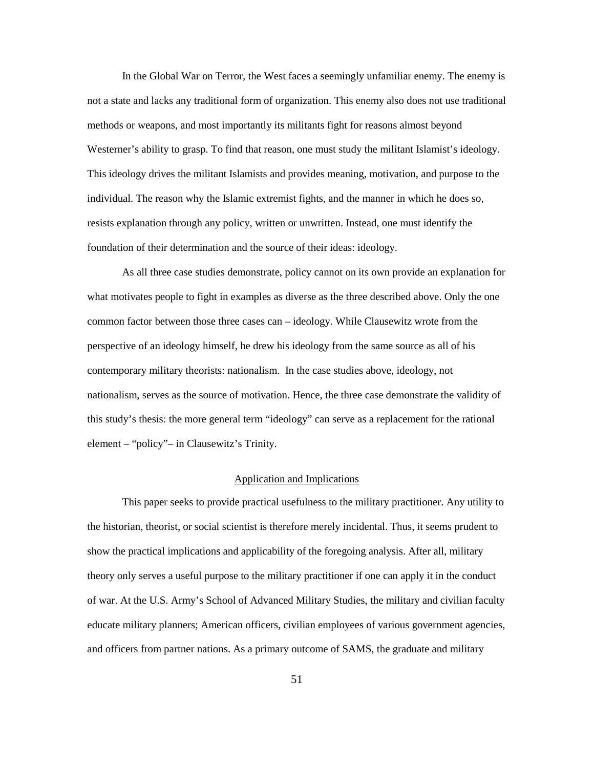In the Global War on Terror, the West faces a seemingly unfamiliar enemy. The enemy is not a state and lacks any traditional form of organization. This enemy also does not use traditional methods or weapons, and most importantly its militants fight for reasons almost beyond Westerner's ability to grasp. To find that reason, one must study the militant Islamist's ideology. This ideology drives the militant Islamists and provides meaning, motivation, and purpose to the individual. The reason why the Islamic extremist fights, and the manner in which he does so, resists explanation through any policy, written or unwritten. Instead, one must identify the foundation of their determination and the source of their ideas: ideology.

As all three case studies demonstrate, policy cannot on its own provide an explanation for what motivates people to fight in examples as diverse as the three described above. Only the one common factor between those three cases can – ideology. While Clausewitz wrote from the perspective of an ideology himself, he drew his ideology from the same source as all of his contemporary military theorists: nationalism. In the case studies above, ideology, not nationalism, serves as the source of motivation. Hence, the three case demonstrate the validity of this study's thesis: the more general term "ideology" can serve as a replacement for the rational element – "policy"– in Clausewitz's Trinity.

# Application and Implications

This paper seeks to provide practical usefulness to the military practitioner. Any utility to the historian, theorist, or social scientist is therefore merely incidental. Thus, it seems prudent to show the practical implications and applicability of the foregoing analysis. After all, military theory only serves a useful purpose to the military practitioner if one can apply it in the conduct of war. At the U.S. Army's School of Advanced Military Studies, the military and civilian faculty educate military planners; American officers, civilian employees of various government agencies, and officers from partner nations. As a primary outcome of SAMS, the graduate and military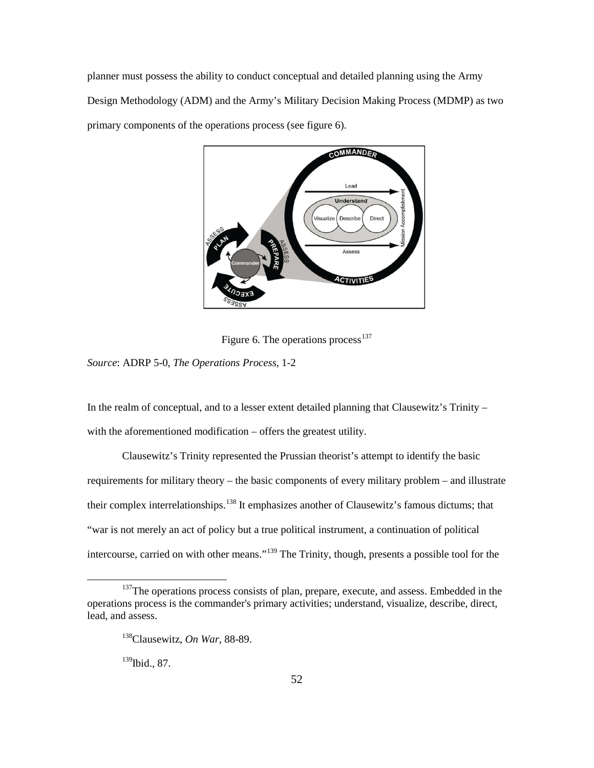planner must possess the ability to conduct conceptual and detailed planning using the Army Design Methodology (ADM) and the Army's Military Decision Making Process (MDMP) as two primary components of the operations process (see figure 6).



Figure 6. The operations process<sup>137</sup>

*Source*: ADRP 5-0, *The Operations Process*, 1-2

In the realm of conceptual, and to a lesser extent detailed planning that Clausewitz's Trinity – with the aforementioned modification – offers the greatest utility.

Clausewitz's Trinity represented the Prussian theorist's attempt to identify the basic requirements for military theory – the basic components of every military problem – and illustrate their complex interrelationships.<sup>138</sup> It emphasizes another of Clausewitz's famous dictums; that "war is not merely an act of policy but a true political instrument, a continuation of political intercourse, carried on with other means."<sup>139</sup> The Trinity, though, presents a possible tool for the

<sup>139</sup>Ibid., 87.

<sup>&</sup>lt;sup>137</sup>The operations process consists of plan, prepare, execute, and assess. Embedded in the operations process is the commander's primary activities; understand, visualize, describe, direct, lead, and assess.

<sup>138</sup>Clausewitz, *On War*, 88-89.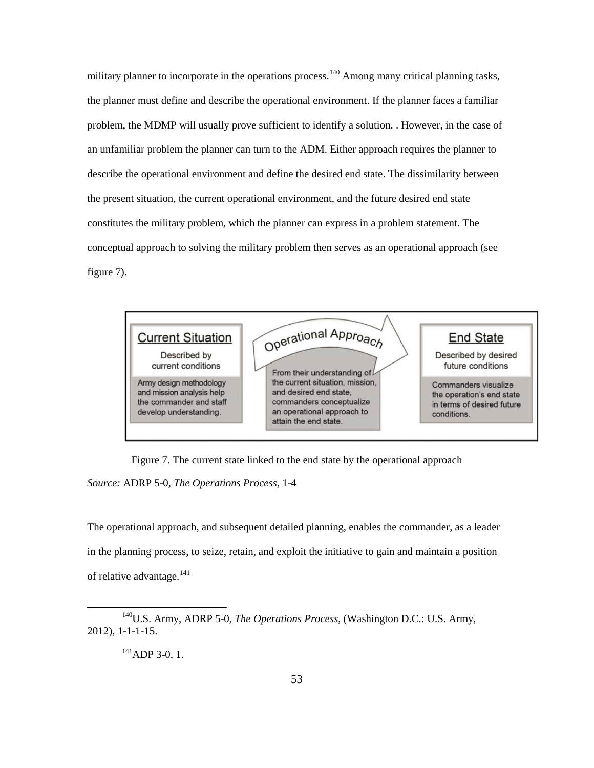military planner to incorporate in the operations process.<sup>140</sup> Among many critical planning tasks, the planner must define and describe the operational environment. If the planner faces a familiar problem, the MDMP will usually prove sufficient to identify a solution. . However, in the case of an unfamiliar problem the planner can turn to the ADM. Either approach requires the planner to describe the operational environment and define the desired end state. The dissimilarity between the present situation, the current operational environment, and the future desired end state constitutes the military problem, which the planner can express in a problem statement. The conceptual approach to solving the military problem then serves as an operational approach (see figure 7).



Figure 7. The current state linked to the end state by the operational approach *Source:* ADRP 5-0, *The Operations Process*, 1-4

The operational approach, and subsequent detailed planning, enables the commander, as a leader in the planning process, to seize, retain, and exploit the initiative to gain and maintain a position of relative advantage.<sup>141</sup>

 $^{141}$ ADP 3-0, 1.

<sup>&</sup>lt;sup>140</sup>U.S. Army, ADRP 5-0*, The Operations Process*, (Washington D.C.: U.S. Army, 2012), 1-1-1-15.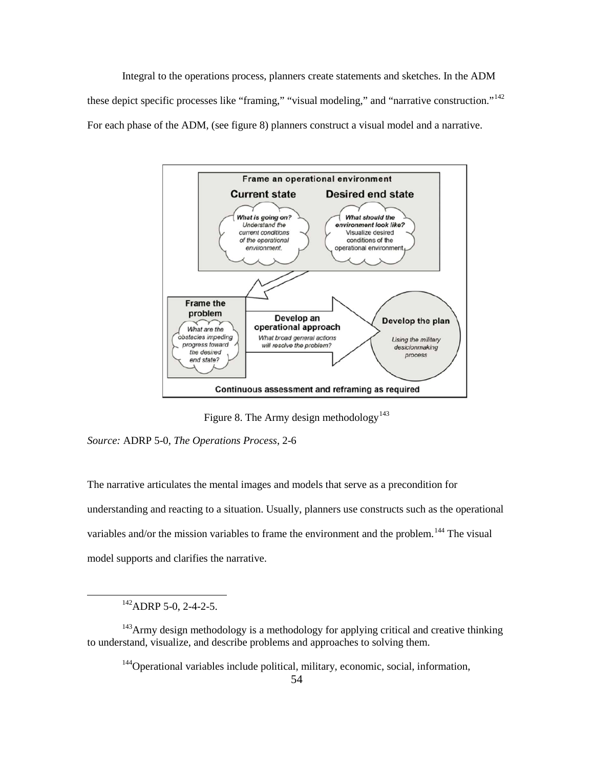Integral to the operations process, planners create statements and sketches. In the ADM these depict specific processes like "framing," "visual modeling," and "narrative construction."<sup>142</sup> For each phase of the ADM, (see figure 8) planners construct a visual model and a narrative.



Figure 8. The Army design methodology<sup>143</sup>

*Source:* ADRP 5-0, *The Operations Process*, 2-6

The narrative articulates the mental images and models that serve as a precondition for understanding and reacting to a situation. Usually, planners use constructs such as the operational variables and/or the mission variables to frame the environment and the problem.<sup>144</sup> The visual model supports and clarifies the narrative.

142ADRP 5-0, 2-4-2-5.

 $\overline{a}$ 

144Operational variables include political, military, economic, social, information,

 $143$ Army design methodology is a methodology for applying critical and creative thinking to understand, visualize, and describe problems and approaches to solving them.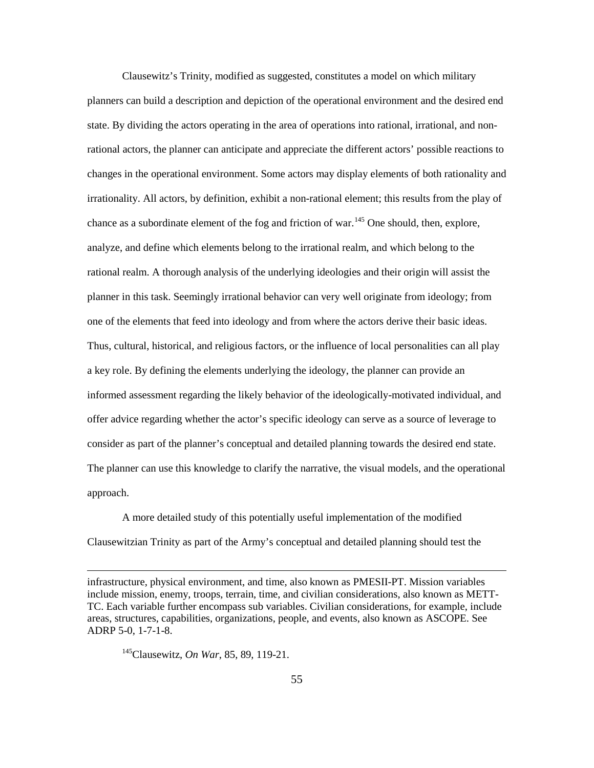Clausewitz's Trinity, modified as suggested, constitutes a model on which military planners can build a description and depiction of the operational environment and the desired end state. By dividing the actors operating in the area of operations into rational, irrational, and nonrational actors, the planner can anticipate and appreciate the different actors' possible reactions to changes in the operational environment. Some actors may display elements of both rationality and irrationality. All actors, by definition, exhibit a non-rational element; this results from the play of chance as a subordinate element of the fog and friction of war.<sup>145</sup> One should, then, explore, analyze, and define which elements belong to the irrational realm, and which belong to the rational realm. A thorough analysis of the underlying ideologies and their origin will assist the planner in this task. Seemingly irrational behavior can very well originate from ideology; from one of the elements that feed into ideology and from where the actors derive their basic ideas. Thus, cultural, historical, and religious factors, or the influence of local personalities can all play a key role. By defining the elements underlying the ideology, the planner can provide an informed assessment regarding the likely behavior of the ideologically-motivated individual, and offer advice regarding whether the actor's specific ideology can serve as a source of leverage to consider as part of the planner's conceptual and detailed planning towards the desired end state. The planner can use this knowledge to clarify the narrative, the visual models, and the operational approach.

A more detailed study of this potentially useful implementation of the modified Clausewitzian Trinity as part of the Army's conceptual and detailed planning should test the

145Clausewitz, *On War*, 85, 89, 119-21.

infrastructure, physical environment, and time, also known as PMESII-PT. Mission variables include mission, enemy, troops, terrain, time, and civilian considerations, also known as METT-TC. Each variable further encompass sub variables. Civilian considerations, for example, include areas, structures, capabilities, organizations, people, and events, also known as ASCOPE. See ADRP 5-0, 1-7-1-8.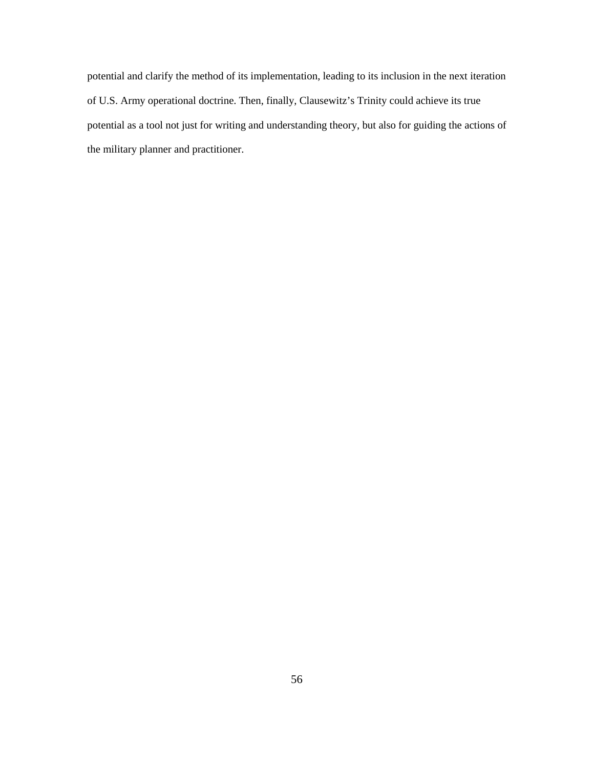potential and clarify the method of its implementation, leading to its inclusion in the next iteration of U.S. Army operational doctrine. Then, finally, Clausewitz's Trinity could achieve its true potential as a tool not just for writing and understanding theory, but also for guiding the actions of the military planner and practitioner.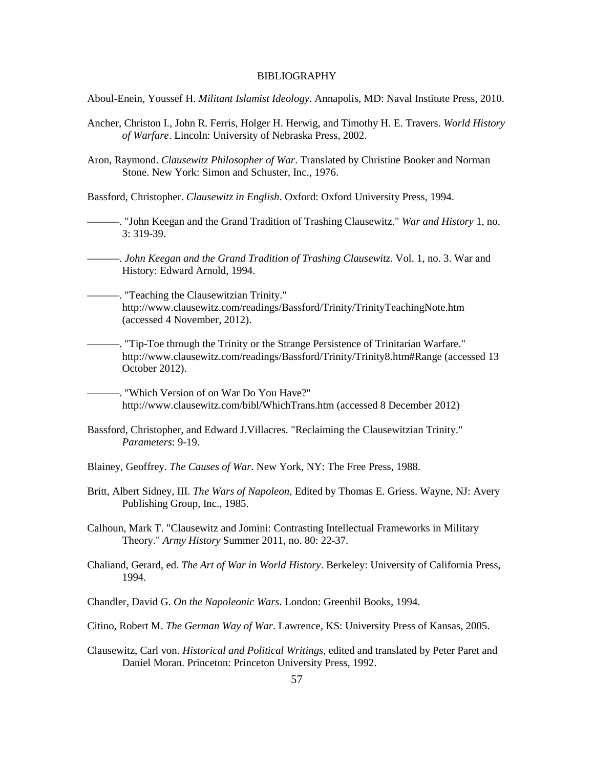## **BIBLIOGRAPHY**

Aboul-Enein, Youssef H. *Militant Islamist Ideology*. Annapolis, MD: Naval Institute Press, 2010.

- Ancher, Christon I., John R. Ferris, Holger H. Herwig, and Timothy H. E. Travers. *World History of Warfare*. Lincoln: University of Nebraska Press, 2002.
- Aron, Raymond. *Clausewitz Philosopher of War*. Translated by Christine Booker and Norman Stone. New York: Simon and Schuster, Inc., 1976.

Bassford, Christopher. *Clausewitz in English*. Oxford: Oxford University Press, 1994.

———. "John Keegan and the Grand Tradition of Trashing Clausewitz." *War and History* 1, no. 3: 319-39.

———. *John Keegan and the Grand Tradition of Trashing Clausewitz*. Vol. 1, no. 3. War and History: Edward Arnold, 1994.

———. "Teaching the Clausewitzian Trinity." http://www.clausewitz.com/readings/Bassford/Trinity/TrinityTeachingNote.htm (accessed 4 November, 2012).

———. "Tip-Toe through the Trinity or the Strange Persistence of Trinitarian Warfare." http://www.clausewitz.com/readings/Bassford/Trinity/Trinity8.htm#Range (accessed 13 October 2012).

———. "Which Version of on War Do You Have?" http://www.clausewitz.com/bibl/WhichTrans.htm (accessed 8 December 2012)

- Bassford, Christopher, and Edward J.Villacres. "Reclaiming the Clausewitzian Trinity." *Parameters*: 9-19.
- Blainey, Geoffrey. *The Causes of War*. New York, NY: The Free Press, 1988.
- Britt, Albert Sidney, III. *The Wars of Napoleon*, Edited by Thomas E. Griess. Wayne, NJ: Avery Publishing Group, Inc., 1985.

Calhoun, Mark T. "Clausewitz and Jomini: Contrasting Intellectual Frameworks in Military Theory." *Army History* Summer 2011, no. 80: 22-37.

Chaliand, Gerard, ed. *The Art of War in World History*. Berkeley: University of California Press, 1994.

Chandler, David G. *On the Napoleonic Wars*. London: Greenhil Books, 1994.

Citino, Robert M. *The German Way of War*. Lawrence, KS: University Press of Kansas, 2005.

Clausewitz, Carl von. *Historical and Political Writings*, edited and translated by Peter Paret and Daniel Moran. Princeton: Princeton University Press, 1992.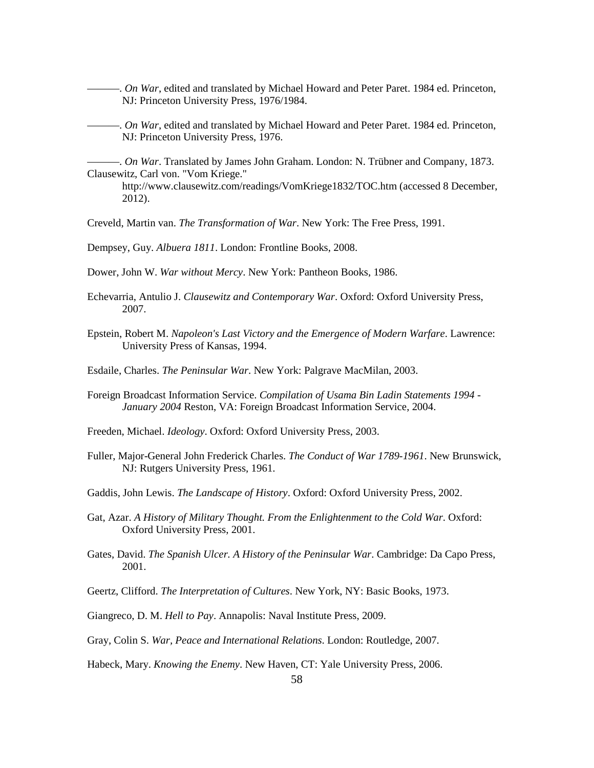———. *On War*, edited and translated by Michael Howard and Peter Paret. 1984 ed. Princeton, NJ: Princeton University Press, 1976/1984.

———. *On War*, edited and translated by Michael Howard and Peter Paret. 1984 ed. Princeton, NJ: Princeton University Press, 1976.

———. *On War*. Translated by James John Graham. London: N. Trübner and Company, 1873. Clausewitz, Carl von. "Vom Kriege."

http://www.clausewitz.com/readings/VomKriege1832/TOC.htm (accessed 8 December, 2012).

Creveld, Martin van. *The Transformation of War*. New York: The Free Press, 1991.

Dempsey, Guy. *Albuera 1811*. London: Frontline Books, 2008.

Dower, John W. *War without Mercy*. New York: Pantheon Books, 1986.

- Echevarria, Antulio J. *Clausewitz and Contemporary War*. Oxford: Oxford University Press, 2007.
- Epstein, Robert M. *Napoleon's Last Victory and the Emergence of Modern Warfare*. Lawrence: University Press of Kansas, 1994.
- Esdaile, Charles. *The Peninsular War*. New York: Palgrave MacMilan, 2003.
- Foreign Broadcast Information Service. *Compilation of Usama Bin Ladin Statements 1994 - January 2004* Reston, VA: Foreign Broadcast Information Service, 2004.

Freeden, Michael. *Ideology*. Oxford: Oxford University Press, 2003.

- Fuller, Major-General John Frederick Charles. *The Conduct of War 1789-1961*. New Brunswick, NJ: Rutgers University Press, 1961.
- Gaddis, John Lewis. *The Landscape of History*. Oxford: Oxford University Press, 2002.
- Gat, Azar. *A History of Military Thought. From the Enlightenment to the Cold War*. Oxford: Oxford University Press, 2001.
- Gates, David. *The Spanish Ulcer. A History of the Peninsular War*. Cambridge: Da Capo Press, 2001.

Geertz, Clifford. *The Interpretation of Cultures*. New York, NY: Basic Books, 1973.

- Giangreco, D. M. *Hell to Pay*. Annapolis: Naval Institute Press, 2009.
- Gray, Colin S. *War, Peace and International Relations*. London: Routledge, 2007.

Habeck, Mary. *Knowing the Enemy*. New Haven, CT: Yale University Press, 2006.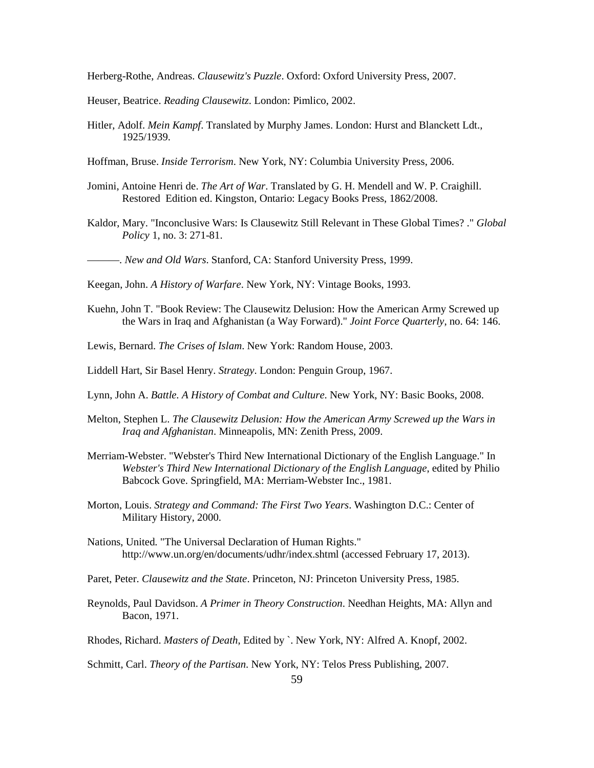Herberg-Rothe, Andreas. *Clausewitz's Puzzle*. Oxford: Oxford University Press, 2007.

Heuser, Beatrice. *Reading Clausewitz*. London: Pimlico, 2002.

Hitler, Adolf. *Mein Kampf*. Translated by Murphy James. London: Hurst and Blanckett Ldt., 1925/1939.

Hoffman, Bruse. *Inside Terrorism*. New York, NY: Columbia University Press, 2006.

- Jomini, Antoine Henri de. *The Art of War*. Translated by G. H. Mendell and W. P. Craighill. Restored Edition ed. Kingston, Ontario: Legacy Books Press, 1862/2008.
- Kaldor, Mary. "Inconclusive Wars: Is Clausewitz Still Relevant in These Global Times? ." *Global Policy* 1, no. 3: 271-81.

———. *New and Old Wars*. Stanford, CA: Stanford University Press, 1999.

Keegan, John. *A History of Warfare*. New York, NY: Vintage Books, 1993.

- Kuehn, John T. "Book Review: The Clausewitz Delusion: How the American Army Screwed up the Wars in Iraq and Afghanistan (a Way Forward)." *Joint Force Quarterly*, no. 64: 146.
- Lewis, Bernard. *The Crises of Islam*. New York: Random House, 2003.
- Liddell Hart, Sir Basel Henry. *Strategy*. London: Penguin Group, 1967.
- Lynn, John A. *Battle. A History of Combat and Culture*. New York, NY: Basic Books, 2008.
- Melton, Stephen L. *The Clausewitz Delusion: How the American Army Screwed up the Wars in Iraq and Afghanistan*. Minneapolis, MN: Zenith Press, 2009.
- Merriam-Webster. "Webster's Third New International Dictionary of the English Language." In *Webster's Third New International Dictionary of the English Language*, edited by Philio Babcock Gove. Springfield, MA: Merriam-Webster Inc., 1981.
- Morton, Louis. *Strategy and Command: The First Two Years*. Washington D.C.: Center of Military History, 2000.
- Nations, United. "The Universal Declaration of Human Rights." http://www.un.org/en/documents/udhr/index.shtml (accessed February 17, 2013).
- Paret, Peter. *Clausewitz and the State*. Princeton, NJ: Princeton University Press, 1985.
- Reynolds, Paul Davidson. *A Primer in Theory Construction*. Needhan Heights, MA: Allyn and Bacon, 1971.
- Rhodes, Richard. *Masters of Death*, Edited by `. New York, NY: Alfred A. Knopf, 2002.

Schmitt, Carl. *Theory of the Partisan*. New York, NY: Telos Press Publishing, 2007.